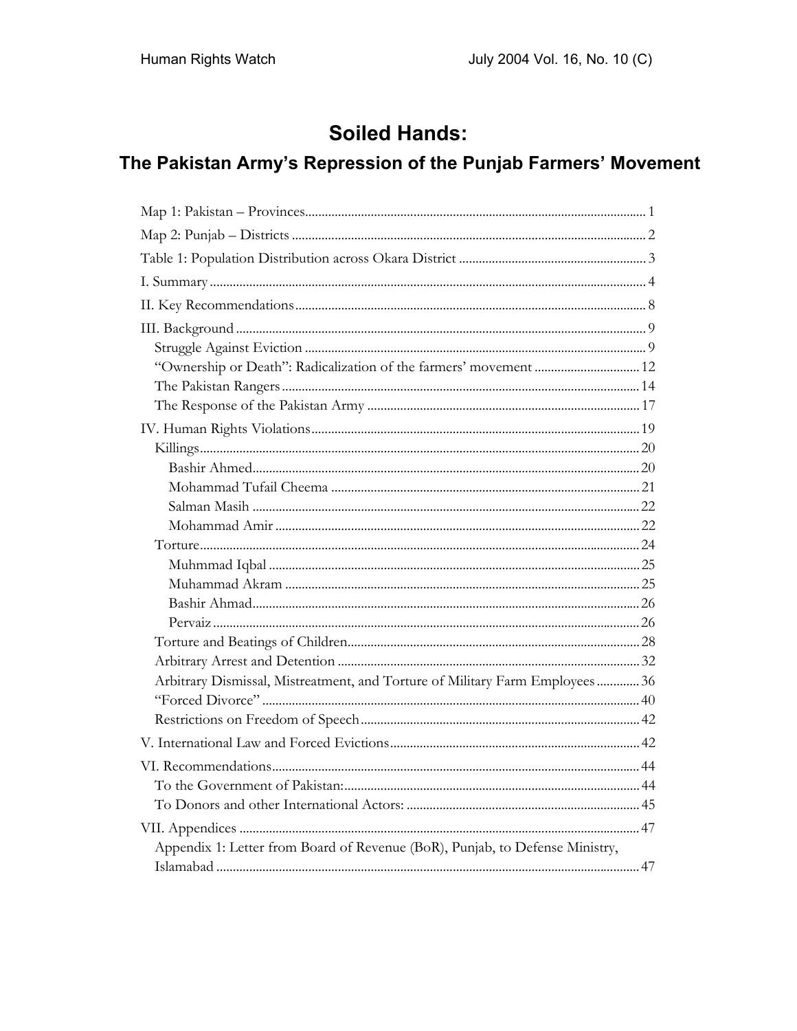# **Soiled Hands:**

# The Pakistan Army's Repression of the Punjab Farmers' Movement

| "Ownership or Death": Radicalization of the farmers' movement  12             |  |
|-------------------------------------------------------------------------------|--|
|                                                                               |  |
|                                                                               |  |
|                                                                               |  |
|                                                                               |  |
|                                                                               |  |
|                                                                               |  |
|                                                                               |  |
|                                                                               |  |
|                                                                               |  |
|                                                                               |  |
|                                                                               |  |
|                                                                               |  |
|                                                                               |  |
|                                                                               |  |
|                                                                               |  |
| Arbitrary Dismissal, Mistreatment, and Torture of Military Farm Employees  36 |  |
|                                                                               |  |
|                                                                               |  |
|                                                                               |  |
|                                                                               |  |
|                                                                               |  |
|                                                                               |  |
|                                                                               |  |
| Appendix 1: Letter from Board of Revenue (BoR), Punjab, to Defense Ministry,  |  |
|                                                                               |  |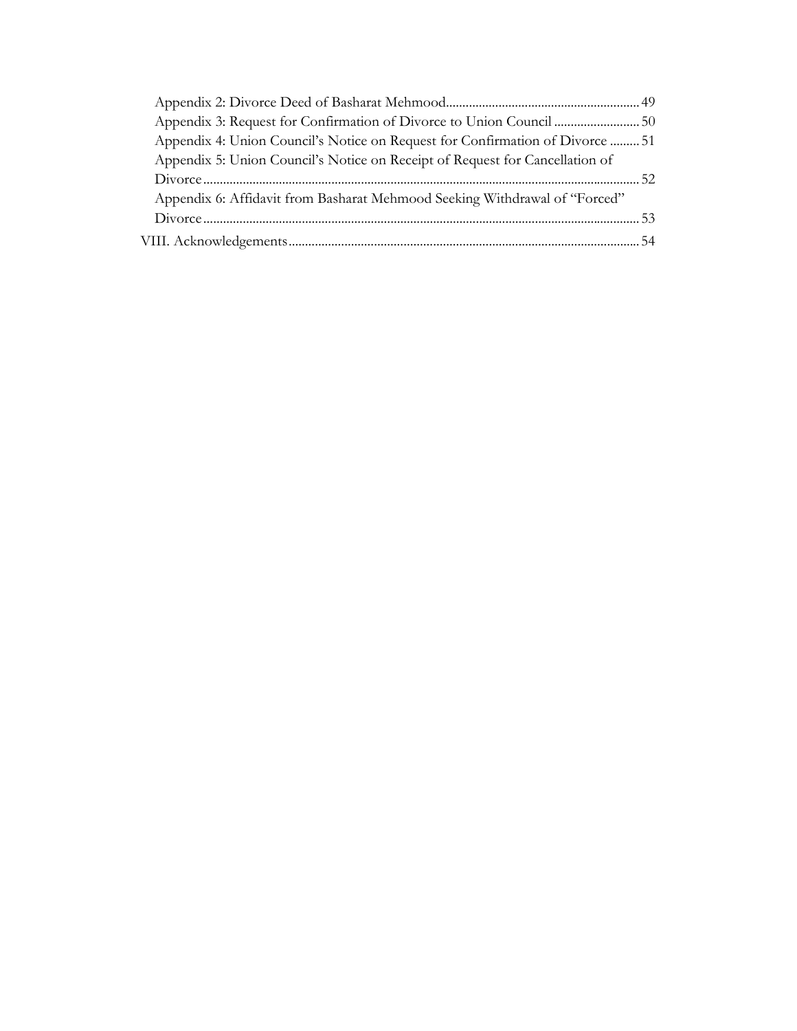| Appendix 3: Request for Confirmation of Divorce to Union Council 50           |  |
|-------------------------------------------------------------------------------|--|
| Appendix 4: Union Council's Notice on Request for Confirmation of Divorce  51 |  |
| Appendix 5: Union Council's Notice on Receipt of Request for Cancellation of  |  |
|                                                                               |  |
| Appendix 6: Affidavit from Basharat Mehmood Seeking Withdrawal of "Forced"    |  |
|                                                                               |  |
|                                                                               |  |
|                                                                               |  |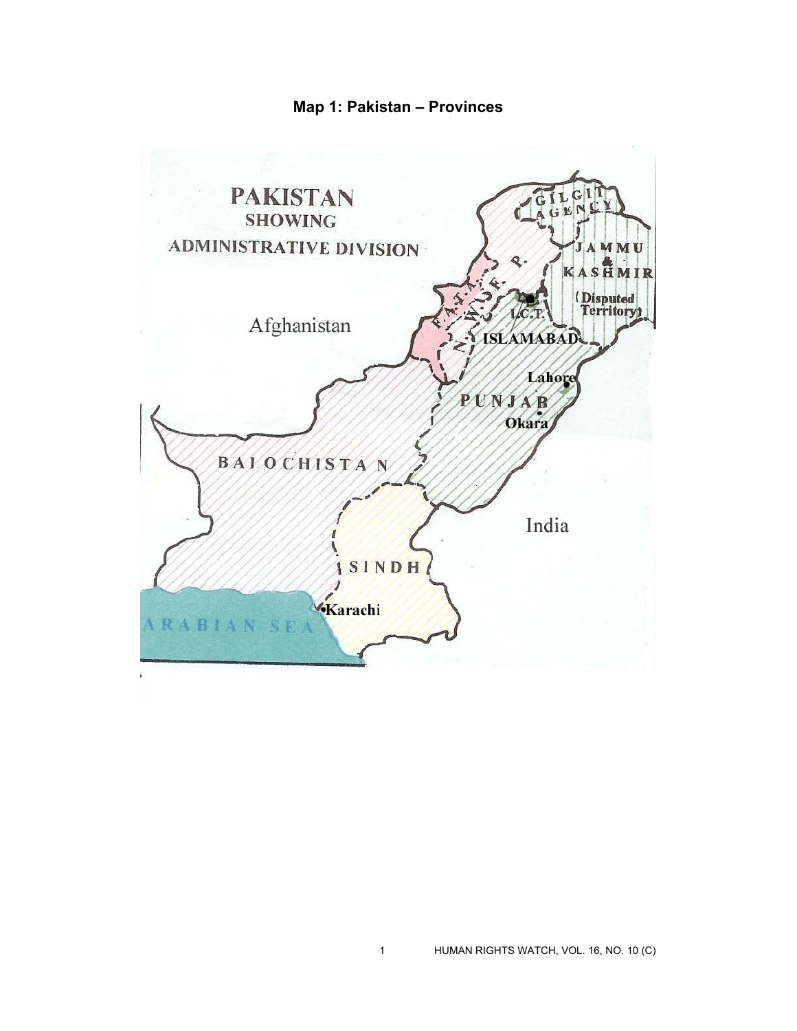**Map 1: Pakistan – Provinces** 

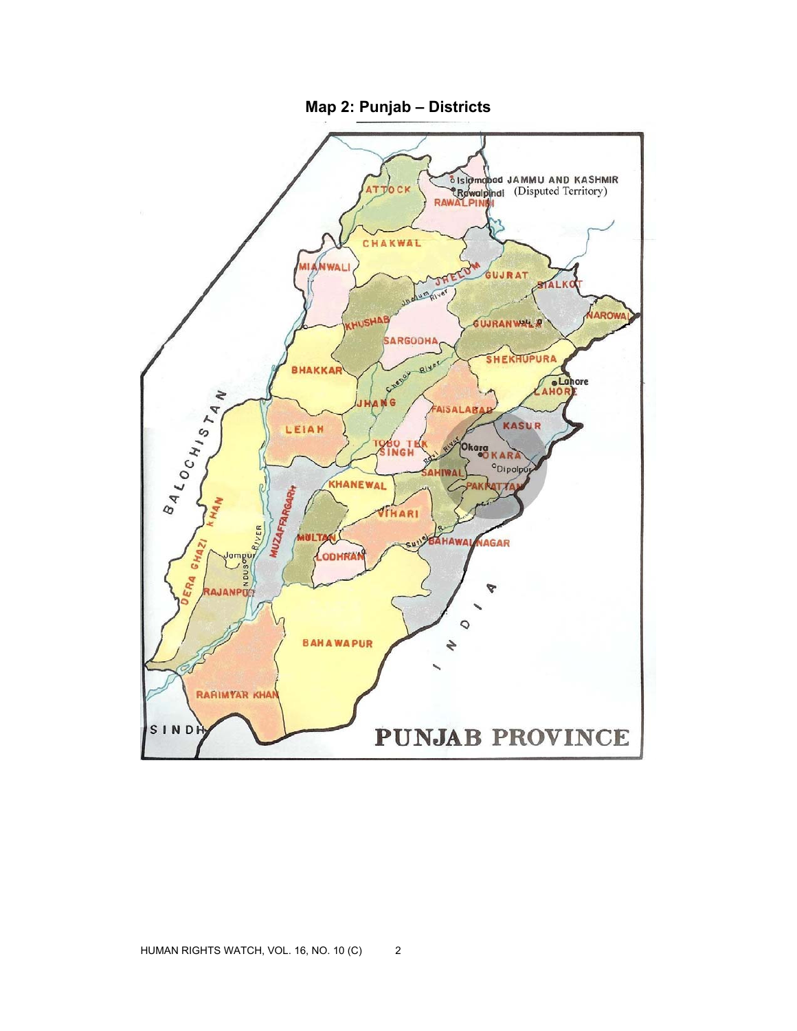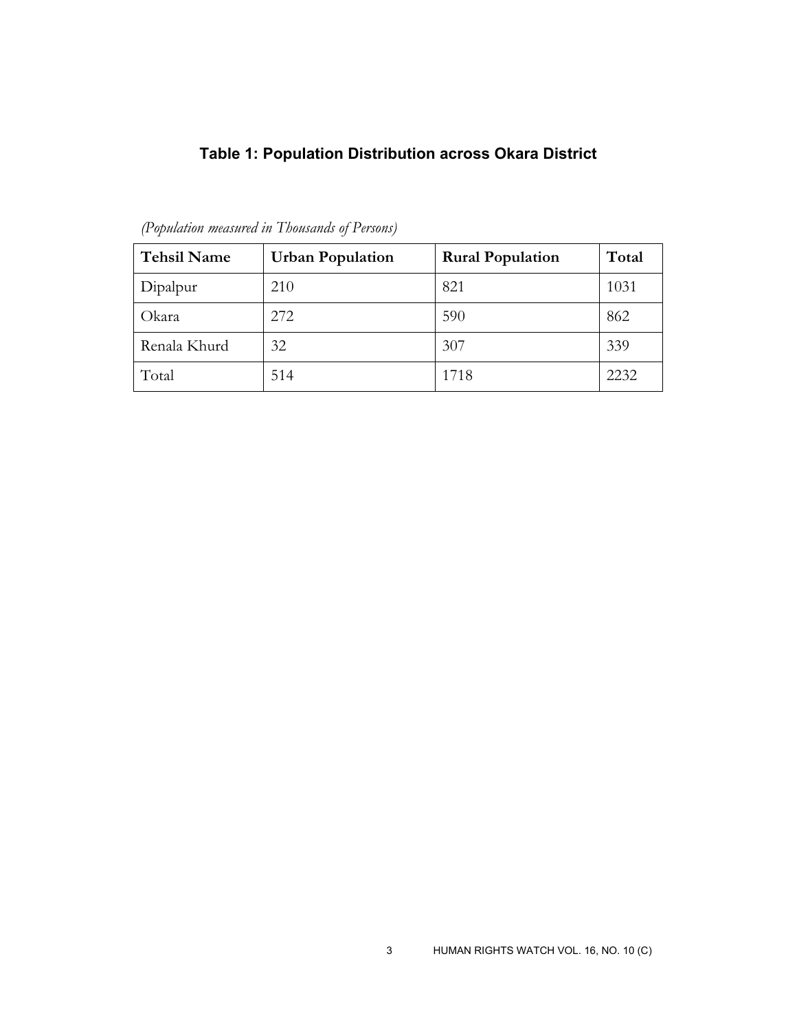# **Table 1: Population Distribution across Okara District**

| <b>Tehsil Name</b> | <b>Urban Population</b> | <b>Rural Population</b> | Total |
|--------------------|-------------------------|-------------------------|-------|
| Dipalpur           | 210                     | 821                     | 1031  |
| Okara              | 272                     | 590                     | 862   |
| Renala Khurd       | 32                      | 307                     | 339   |
| Total              | 514                     | 1718                    | 2232  |

*(Population measured in Thousands of Persons)*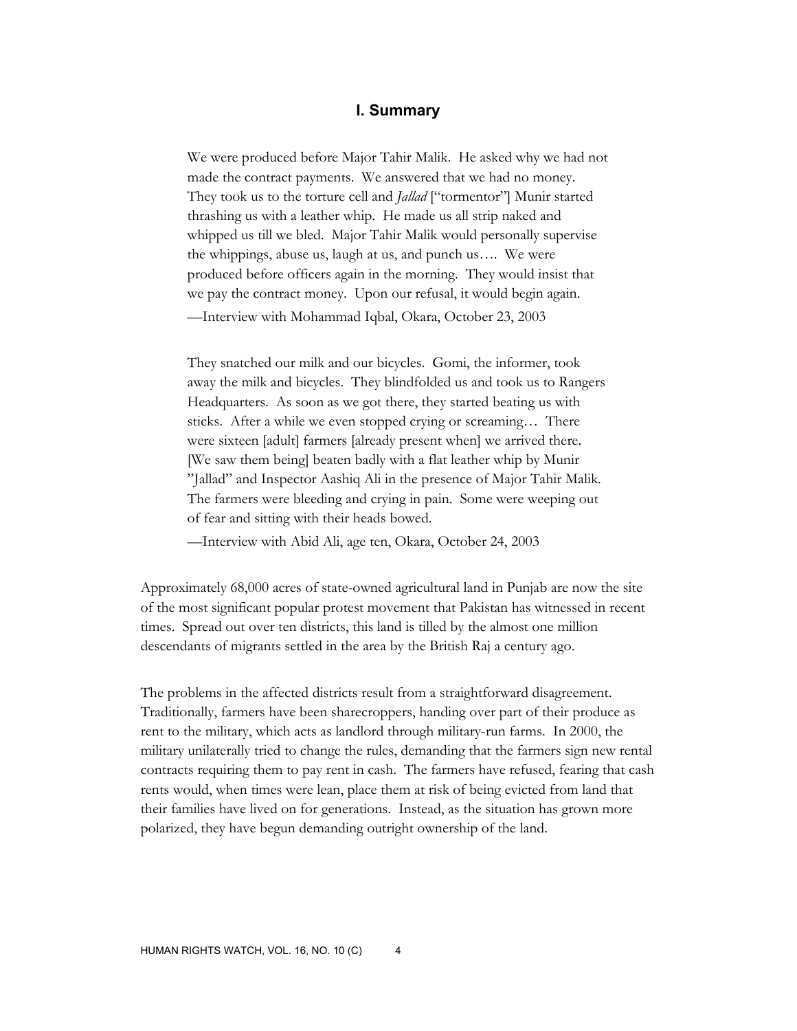# **I. Summary**

We were produced before Major Tahir Malik. He asked why we had not made the contract payments. We answered that we had no money. They took us to the torture cell and *Jallad* ["tormentor"] Munir started thrashing us with a leather whip. He made us all strip naked and whipped us till we bled. Major Tahir Malik would personally supervise the whippings, abuse us, laugh at us, and punch us…. We were produced before officers again in the morning. They would insist that we pay the contract money. Upon our refusal, it would begin again. —Interview with Mohammad Iqbal, Okara, October 23, 2003

They snatched our milk and our bicycles. Gomi, the informer, took away the milk and bicycles. They blindfolded us and took us to Rangers Headquarters. As soon as we got there, they started beating us with sticks. After a while we even stopped crying or screaming… There were sixteen [adult] farmers [already present when] we arrived there. [We saw them being] beaten badly with a flat leather whip by Munir "Jallad" and Inspector Aashiq Ali in the presence of Major Tahir Malik. The farmers were bleeding and crying in pain. Some were weeping out of fear and sitting with their heads bowed.

—Interview with Abid Ali, age ten, Okara, October 24, 2003

Approximately 68,000 acres of state-owned agricultural land in Punjab are now the site of the most significant popular protest movement that Pakistan has witnessed in recent times. Spread out over ten districts, this land is tilled by the almost one million descendants of migrants settled in the area by the British Raj a century ago.

The problems in the affected districts result from a straightforward disagreement. Traditionally, farmers have been sharecroppers, handing over part of their produce as rent to the military, which acts as landlord through military-run farms. In 2000, the military unilaterally tried to change the rules, demanding that the farmers sign new rental contracts requiring them to pay rent in cash. The farmers have refused, fearing that cash rents would, when times were lean, place them at risk of being evicted from land that their families have lived on for generations. Instead, as the situation has grown more polarized, they have begun demanding outright ownership of the land.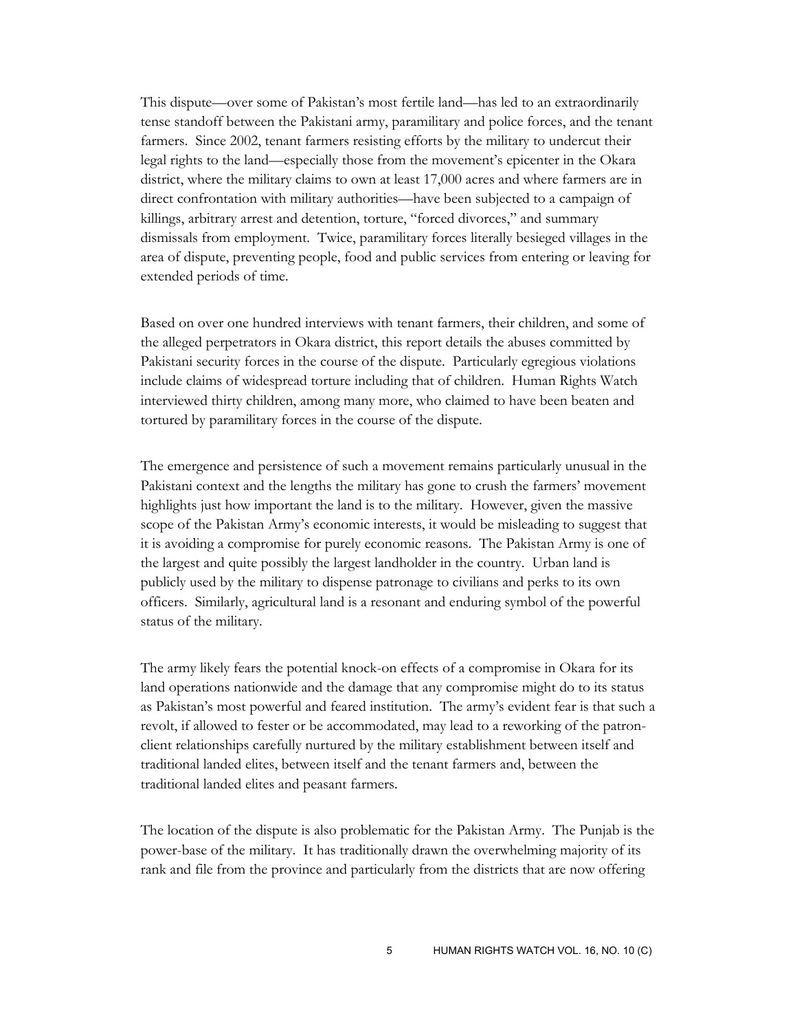This dispute––over some of Pakistan's most fertile land––has led to an extraordinarily tense standoff between the Pakistani army, paramilitary and police forces, and the tenant farmers. Since 2002, tenant farmers resisting efforts by the military to undercut their legal rights to the land—especially those from the movement's epicenter in the Okara district, where the military claims to own at least 17,000 acres and where farmers are in direct confrontation with military authorities—have been subjected to a campaign of killings, arbitrary arrest and detention, torture, "forced divorces," and summary dismissals from employment. Twice, paramilitary forces literally besieged villages in the area of dispute, preventing people, food and public services from entering or leaving for extended periods of time.

Based on over one hundred interviews with tenant farmers, their children, and some of the alleged perpetrators in Okara district, this report details the abuses committed by Pakistani security forces in the course of the dispute. Particularly egregious violations include claims of widespread torture including that of children. Human Rights Watch interviewed thirty children, among many more, who claimed to have been beaten and tortured by paramilitary forces in the course of the dispute.

The emergence and persistence of such a movement remains particularly unusual in the Pakistani context and the lengths the military has gone to crush the farmers' movement highlights just how important the land is to the military. However, given the massive scope of the Pakistan Army's economic interests, it would be misleading to suggest that it is avoiding a compromise for purely economic reasons. The Pakistan Army is one of the largest and quite possibly the largest landholder in the country. Urban land is publicly used by the military to dispense patronage to civilians and perks to its own officers. Similarly, agricultural land is a resonant and enduring symbol of the powerful status of the military.

The army likely fears the potential knock-on effects of a compromise in Okara for its land operations nationwide and the damage that any compromise might do to its status as Pakistan's most powerful and feared institution. The army's evident fear is that such a revolt, if allowed to fester or be accommodated, may lead to a reworking of the patronclient relationships carefully nurtured by the military establishment between itself and traditional landed elites, between itself and the tenant farmers and, between the traditional landed elites and peasant farmers.

The location of the dispute is also problematic for the Pakistan Army. The Punjab is the power-base of the military. It has traditionally drawn the overwhelming majority of its rank and file from the province and particularly from the districts that are now offering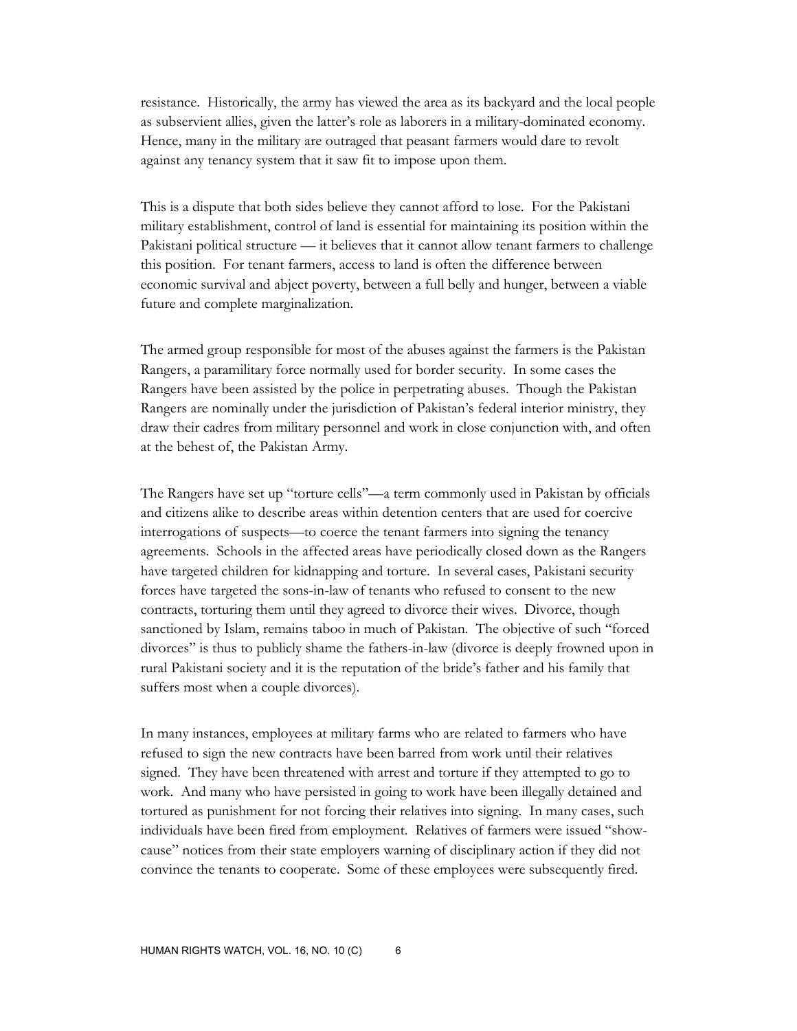resistance. Historically, the army has viewed the area as its backyard and the local people as subservient allies, given the latter's role as laborers in a military-dominated economy. Hence, many in the military are outraged that peasant farmers would dare to revolt against any tenancy system that it saw fit to impose upon them.

This is a dispute that both sides believe they cannot afford to lose. For the Pakistani military establishment, control of land is essential for maintaining its position within the Pakistani political structure –– it believes that it cannot allow tenant farmers to challenge this position. For tenant farmers, access to land is often the difference between economic survival and abject poverty, between a full belly and hunger, between a viable future and complete marginalization.

The armed group responsible for most of the abuses against the farmers is the Pakistan Rangers, a paramilitary force normally used for border security. In some cases the Rangers have been assisted by the police in perpetrating abuses. Though the Pakistan Rangers are nominally under the jurisdiction of Pakistan's federal interior ministry, they draw their cadres from military personnel and work in close conjunction with, and often at the behest of, the Pakistan Army.

The Rangers have set up "torture cells"—a term commonly used in Pakistan by officials and citizens alike to describe areas within detention centers that are used for coercive interrogations of suspects—to coerce the tenant farmers into signing the tenancy agreements. Schools in the affected areas have periodically closed down as the Rangers have targeted children for kidnapping and torture. In several cases, Pakistani security forces have targeted the sons-in-law of tenants who refused to consent to the new contracts, torturing them until they agreed to divorce their wives. Divorce, though sanctioned by Islam, remains taboo in much of Pakistan. The objective of such "forced divorces" is thus to publicly shame the fathers-in-law (divorce is deeply frowned upon in rural Pakistani society and it is the reputation of the bride's father and his family that suffers most when a couple divorces).

In many instances, employees at military farms who are related to farmers who have refused to sign the new contracts have been barred from work until their relatives signed. They have been threatened with arrest and torture if they attempted to go to work. And many who have persisted in going to work have been illegally detained and tortured as punishment for not forcing their relatives into signing. In many cases, such individuals have been fired from employment. Relatives of farmers were issued "showcause" notices from their state employers warning of disciplinary action if they did not convince the tenants to cooperate. Some of these employees were subsequently fired.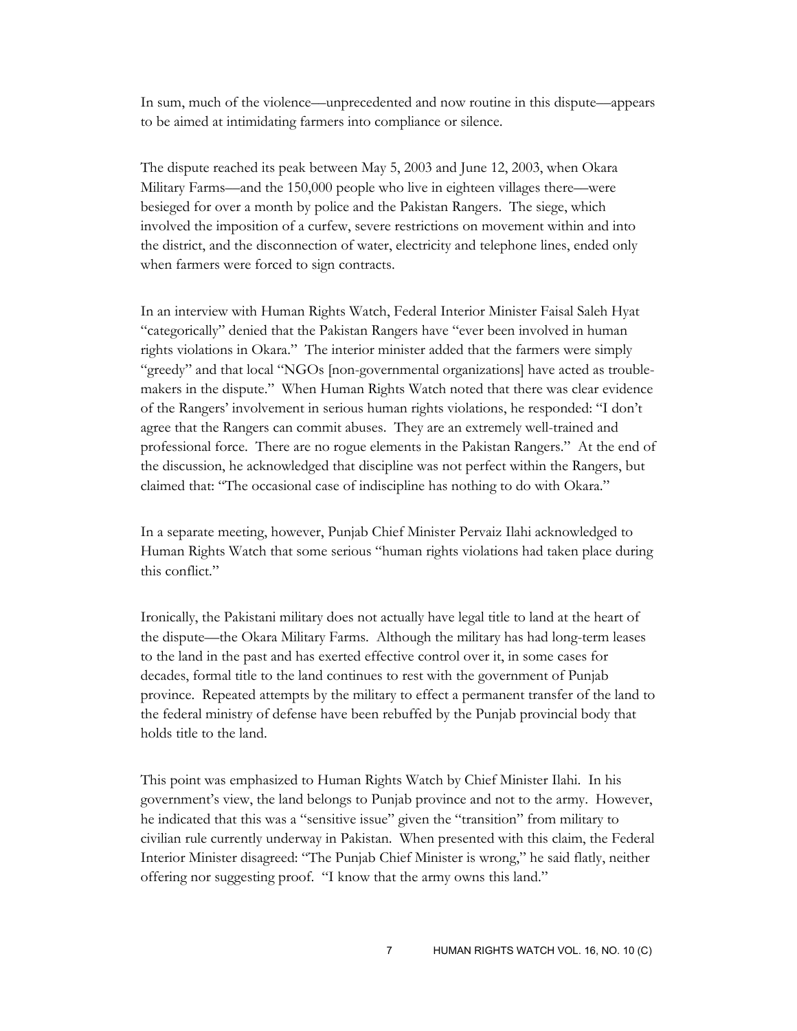In sum, much of the violence––unprecedented and now routine in this dispute––appears to be aimed at intimidating farmers into compliance or silence.

The dispute reached its peak between May 5, 2003 and June 12, 2003, when Okara Military Farms––and the 150,000 people who live in eighteen villages there––were besieged for over a month by police and the Pakistan Rangers. The siege, which involved the imposition of a curfew, severe restrictions on movement within and into the district, and the disconnection of water, electricity and telephone lines, ended only when farmers were forced to sign contracts.

In an interview with Human Rights Watch, Federal Interior Minister Faisal Saleh Hyat "categorically" denied that the Pakistan Rangers have "ever been involved in human rights violations in Okara." The interior minister added that the farmers were simply "greedy" and that local "NGOs [non-governmental organizations] have acted as troublemakers in the dispute." When Human Rights Watch noted that there was clear evidence of the Rangers' involvement in serious human rights violations, he responded: "I don't agree that the Rangers can commit abuses. They are an extremely well-trained and professional force. There are no rogue elements in the Pakistan Rangers." At the end of the discussion, he acknowledged that discipline was not perfect within the Rangers, but claimed that: "The occasional case of indiscipline has nothing to do with Okara."

In a separate meeting, however, Punjab Chief Minister Pervaiz Ilahi acknowledged to Human Rights Watch that some serious "human rights violations had taken place during this conflict."

Ironically, the Pakistani military does not actually have legal title to land at the heart of the dispute—the Okara Military Farms. Although the military has had long-term leases to the land in the past and has exerted effective control over it, in some cases for decades, formal title to the land continues to rest with the government of Punjab province. Repeated attempts by the military to effect a permanent transfer of the land to the federal ministry of defense have been rebuffed by the Punjab provincial body that holds title to the land.

This point was emphasized to Human Rights Watch by Chief Minister Ilahi. In his government's view, the land belongs to Punjab province and not to the army. However, he indicated that this was a "sensitive issue" given the "transition" from military to civilian rule currently underway in Pakistan. When presented with this claim, the Federal Interior Minister disagreed: "The Punjab Chief Minister is wrong," he said flatly, neither offering nor suggesting proof. "I know that the army owns this land."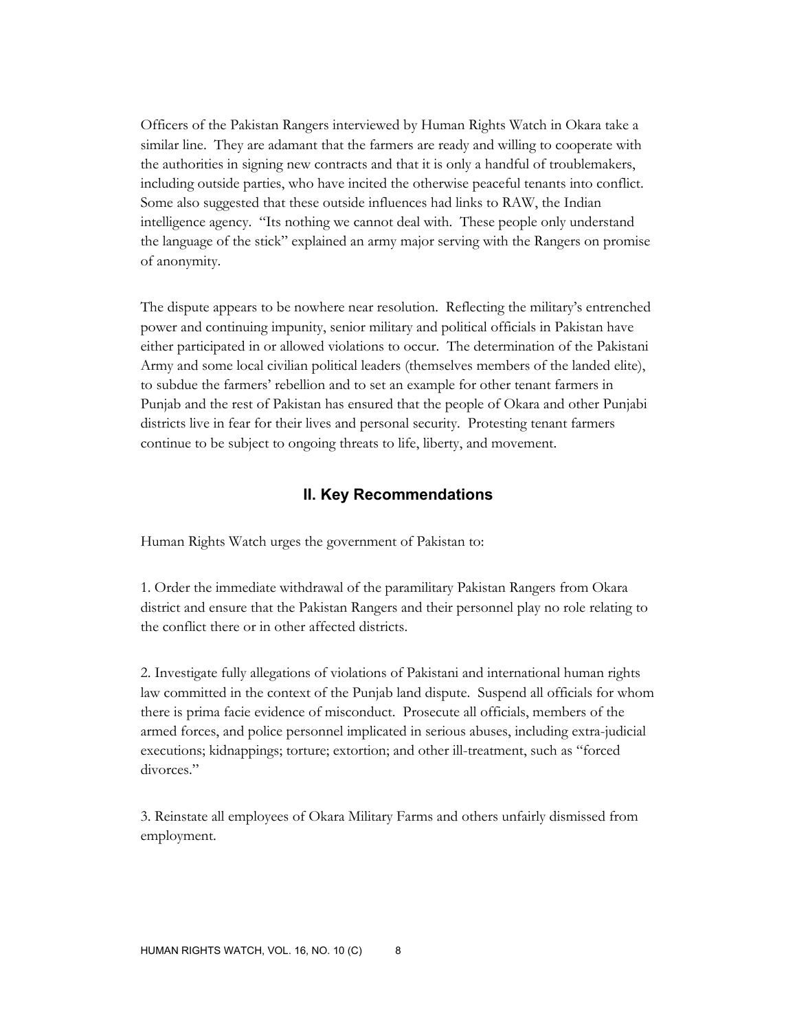Officers of the Pakistan Rangers interviewed by Human Rights Watch in Okara take a similar line. They are adamant that the farmers are ready and willing to cooperate with the authorities in signing new contracts and that it is only a handful of troublemakers, including outside parties, who have incited the otherwise peaceful tenants into conflict. Some also suggested that these outside influences had links to RAW, the Indian intelligence agency. "Its nothing we cannot deal with. These people only understand the language of the stick" explained an army major serving with the Rangers on promise of anonymity.

The dispute appears to be nowhere near resolution. Reflecting the military's entrenched power and continuing impunity, senior military and political officials in Pakistan have either participated in or allowed violations to occur. The determination of the Pakistani Army and some local civilian political leaders (themselves members of the landed elite), to subdue the farmers' rebellion and to set an example for other tenant farmers in Punjab and the rest of Pakistan has ensured that the people of Okara and other Punjabi districts live in fear for their lives and personal security. Protesting tenant farmers continue to be subject to ongoing threats to life, liberty, and movement.

## **II. Key Recommendations**

Human Rights Watch urges the government of Pakistan to:

1. Order the immediate withdrawal of the paramilitary Pakistan Rangers from Okara district and ensure that the Pakistan Rangers and their personnel play no role relating to the conflict there or in other affected districts.

2. Investigate fully allegations of violations of Pakistani and international human rights law committed in the context of the Punjab land dispute. Suspend all officials for whom there is prima facie evidence of misconduct. Prosecute all officials, members of the armed forces, and police personnel implicated in serious abuses, including extra-judicial executions; kidnappings; torture; extortion; and other ill-treatment, such as "forced divorces."

3. Reinstate all employees of Okara Military Farms and others unfairly dismissed from employment.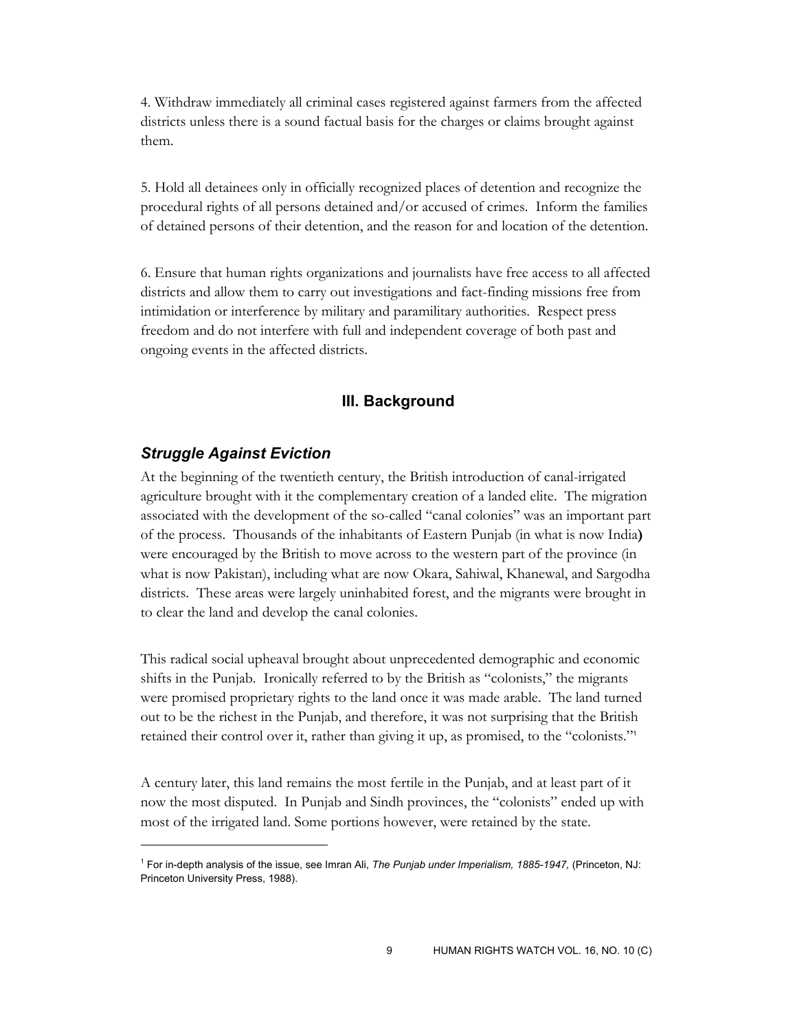4. Withdraw immediately all criminal cases registered against farmers from the affected districts unless there is a sound factual basis for the charges or claims brought against them.

5. Hold all detainees only in officially recognized places of detention and recognize the procedural rights of all persons detained and/or accused of crimes. Inform the families of detained persons of their detention, and the reason for and location of the detention.

6. Ensure that human rights organizations and journalists have free access to all affected districts and allow them to carry out investigations and fact-finding missions free from intimidation or interference by military and paramilitary authorities. Respect press freedom and do not interfere with full and independent coverage of both past and ongoing events in the affected districts.

## **III. Background**

#### *Struggle Against Eviction*

-

At the beginning of the twentieth century, the British introduction of canal-irrigated agriculture brought with it the complementary creation of a landed elite. The migration associated with the development of the so-called "canal colonies" was an important part of the process. Thousands of the inhabitants of Eastern Punjab (in what is now India**)**  were encouraged by the British to move across to the western part of the province (in what is now Pakistan), including what are now Okara, Sahiwal, Khanewal, and Sargodha districts. These areas were largely uninhabited forest, and the migrants were brought in to clear the land and develop the canal colonies.

This radical social upheaval brought about unprecedented demographic and economic shifts in the Punjab. Ironically referred to by the British as "colonists," the migrants were promised proprietary rights to the land once it was made arable. The land turned out to be the richest in the Punjab, and therefore, it was not surprising that the British retained their control over it, rather than giving it up, as promised, to the "colonists."<sup>1</sup>

A century later, this land remains the most fertile in the Punjab, and at least part of it now the most disputed. In Punjab and Sindh provinces, the "colonists" ended up with most of the irrigated land. Some portions however, were retained by the state.

<sup>1</sup> For in-depth analysis of the issue, see Imran Ali, *The Punjab under Imperialism, 1885-1947,* (Princeton, NJ: Princeton University Press, 1988).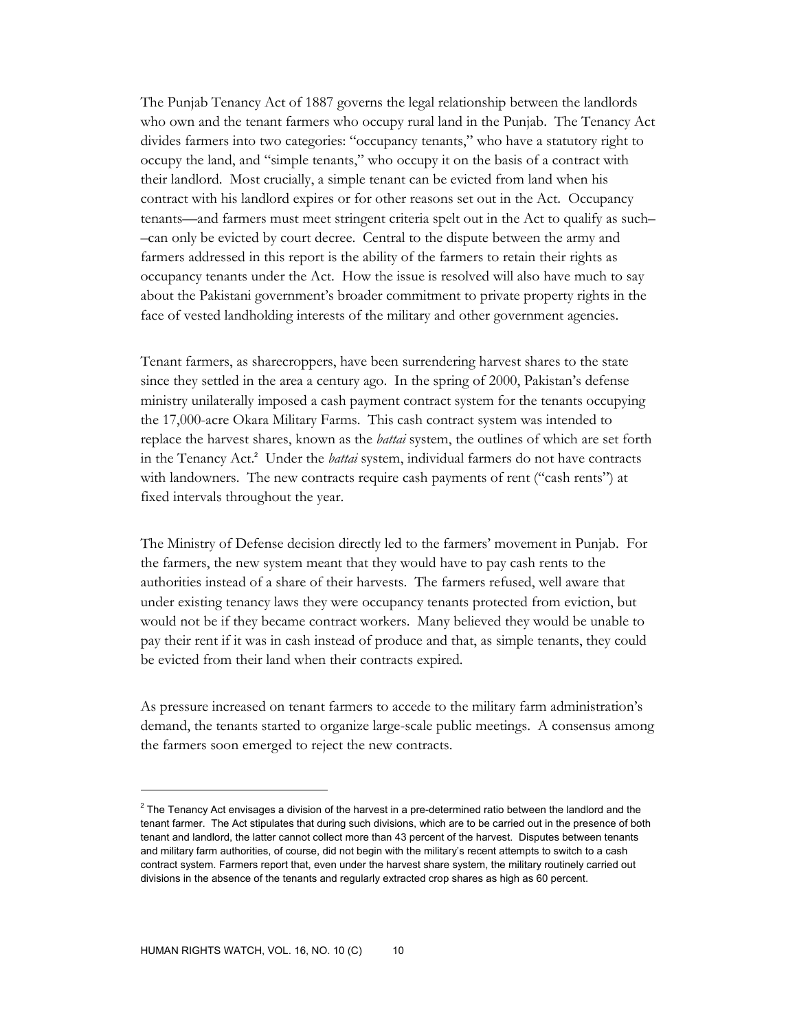The Punjab Tenancy Act of 1887 governs the legal relationship between the landlords who own and the tenant farmers who occupy rural land in the Punjab. The Tenancy Act divides farmers into two categories: "occupancy tenants," who have a statutory right to occupy the land, and "simple tenants," who occupy it on the basis of a contract with their landlord. Most crucially, a simple tenant can be evicted from land when his contract with his landlord expires or for other reasons set out in the Act. Occupancy tenants––and farmers must meet stringent criteria spelt out in the Act to qualify as such– –can only be evicted by court decree. Central to the dispute between the army and farmers addressed in this report is the ability of the farmers to retain their rights as occupancy tenants under the Act. How the issue is resolved will also have much to say about the Pakistani government's broader commitment to private property rights in the face of vested landholding interests of the military and other government agencies.

Tenant farmers, as sharecroppers, have been surrendering harvest shares to the state since they settled in the area a century ago. In the spring of 2000, Pakistan's defense ministry unilaterally imposed a cash payment contract system for the tenants occupying the 17,000-acre Okara Military Farms. This cash contract system was intended to replace the harvest shares, known as the *battai* system, the outlines of which are set forth in the Tenancy Act.<sup>2</sup> Under the *battai* system, individual farmers do not have contracts with landowners. The new contracts require cash payments of rent ("cash rents") at fixed intervals throughout the year.

The Ministry of Defense decision directly led to the farmers' movement in Punjab. For the farmers, the new system meant that they would have to pay cash rents to the authorities instead of a share of their harvests. The farmers refused, well aware that under existing tenancy laws they were occupancy tenants protected from eviction, but would not be if they became contract workers. Many believed they would be unable to pay their rent if it was in cash instead of produce and that, as simple tenants, they could be evicted from their land when their contracts expired.

As pressure increased on tenant farmers to accede to the military farm administration's demand, the tenants started to organize large-scale public meetings. A consensus among the farmers soon emerged to reject the new contracts.

 $^2$  The Tenancy Act envisages a division of the harvest in a pre-determined ratio between the landlord and the tenant farmer. The Act stipulates that during such divisions, which are to be carried out in the presence of both tenant and landlord, the latter cannot collect more than 43 percent of the harvest. Disputes between tenants and military farm authorities, of course, did not begin with the military's recent attempts to switch to a cash contract system. Farmers report that, even under the harvest share system, the military routinely carried out divisions in the absence of the tenants and regularly extracted crop shares as high as 60 percent.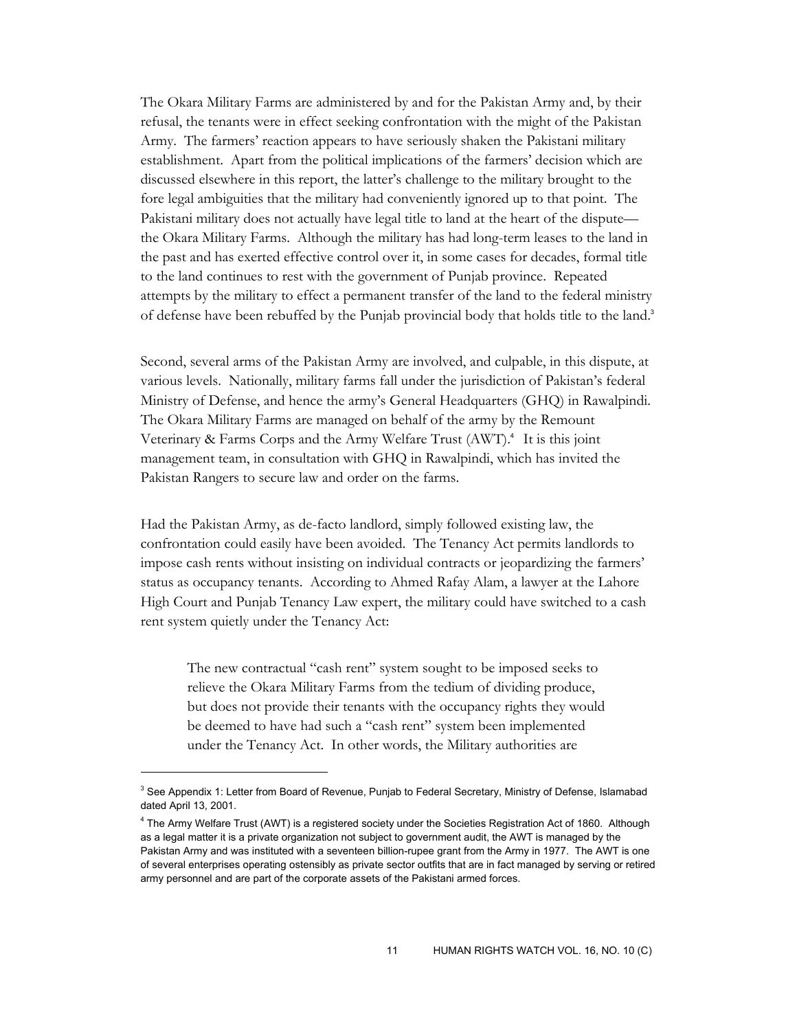The Okara Military Farms are administered by and for the Pakistan Army and, by their refusal, the tenants were in effect seeking confrontation with the might of the Pakistan Army. The farmers' reaction appears to have seriously shaken the Pakistani military establishment. Apart from the political implications of the farmers' decision which are discussed elsewhere in this report, the latter's challenge to the military brought to the fore legal ambiguities that the military had conveniently ignored up to that point. The Pakistani military does not actually have legal title to land at the heart of the dispute the Okara Military Farms. Although the military has had long-term leases to the land in the past and has exerted effective control over it, in some cases for decades, formal title to the land continues to rest with the government of Punjab province. Repeated attempts by the military to effect a permanent transfer of the land to the federal ministry of defense have been rebuffed by the Punjab provincial body that holds title to the land.<sup>3</sup>

Second, several arms of the Pakistan Army are involved, and culpable, in this dispute, at various levels. Nationally, military farms fall under the jurisdiction of Pakistan's federal Ministry of Defense, and hence the army's General Headquarters (GHQ) in Rawalpindi. The Okara Military Farms are managed on behalf of the army by the Remount Veterinary & Farms Corps and the Army Welfare Trust (AWT).4 It is this joint management team, in consultation with GHQ in Rawalpindi, which has invited the Pakistan Rangers to secure law and order on the farms.

Had the Pakistan Army, as de-facto landlord, simply followed existing law, the confrontation could easily have been avoided. The Tenancy Act permits landlords to impose cash rents without insisting on individual contracts or jeopardizing the farmers' status as occupancy tenants. According to Ahmed Rafay Alam, a lawyer at the Lahore High Court and Punjab Tenancy Law expert, the military could have switched to a cash rent system quietly under the Tenancy Act:

The new contractual "cash rent" system sought to be imposed seeks to relieve the Okara Military Farms from the tedium of dividing produce, but does not provide their tenants with the occupancy rights they would be deemed to have had such a "cash rent" system been implemented under the Tenancy Act. In other words, the Military authorities are

<sup>&</sup>lt;sup>3</sup> See Appendix 1: Letter from Board of Revenue, Punjab to Federal Secretary, Ministry of Defense, Islamabad dated April 13, 2001.

<sup>4</sup> The Army Welfare Trust (AWT) is a registered society under the Societies Registration Act of 1860. Although as a legal matter it is a private organization not subject to government audit, the AWT is managed by the Pakistan Army and was instituted with a seventeen billion-rupee grant from the Army in 1977. The AWT is one of several enterprises operating ostensibly as private sector outfits that are in fact managed by serving or retired army personnel and are part of the corporate assets of the Pakistani armed forces.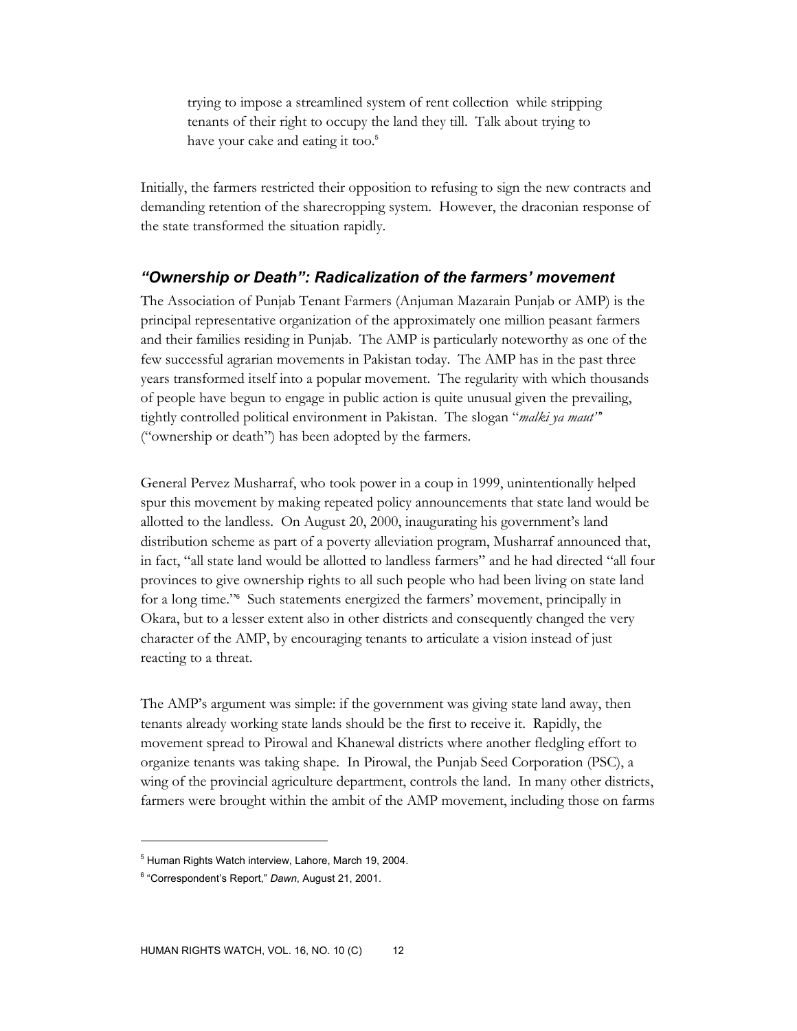trying to impose a streamlined system of rent collection while stripping tenants of their right to occupy the land they till. Talk about trying to have your cake and eating it too.<sup>5</sup>

Initially, the farmers restricted their opposition to refusing to sign the new contracts and demanding retention of the sharecropping system. However, the draconian response of the state transformed the situation rapidly.

## *"Ownership or Death": Radicalization of the farmers' movement*

The Association of Punjab Tenant Farmers (Anjuman Mazarain Punjab or AMP) is the principal representative organization of the approximately one million peasant farmers and their families residing in Punjab. The AMP is particularly noteworthy as one of the few successful agrarian movements in Pakistan today. The AMP has in the past three years transformed itself into a popular movement. The regularity with which thousands of people have begun to engage in public action is quite unusual given the prevailing, tightly controlled political environment in Pakistan. The slogan "*malki ya maut"*' ("ownership or death") has been adopted by the farmers.

General Pervez Musharraf, who took power in a coup in 1999, unintentionally helped spur this movement by making repeated policy announcements that state land would be allotted to the landless. On August 20, 2000, inaugurating his government's land distribution scheme as part of a poverty alleviation program, Musharraf announced that, in fact, "all state land would be allotted to landless farmers" and he had directed "all four provinces to give ownership rights to all such people who had been living on state land for a long time."<sup>6</sup> Such statements energized the farmers' movement, principally in Okara, but to a lesser extent also in other districts and consequently changed the very character of the AMP, by encouraging tenants to articulate a vision instead of just reacting to a threat.

The AMP's argument was simple: if the government was giving state land away, then tenants already working state lands should be the first to receive it. Rapidly, the movement spread to Pirowal and Khanewal districts where another fledgling effort to organize tenants was taking shape. In Pirowal, the Punjab Seed Corporation (PSC), a wing of the provincial agriculture department, controls the land. In many other districts, farmers were brought within the ambit of the AMP movement, including those on farms

<sup>&</sup>lt;sup>5</sup> Human Rights Watch interview, Lahore, March 19, 2004.

<sup>6</sup> "Correspondent's Report," *Dawn*, August 21, 2001.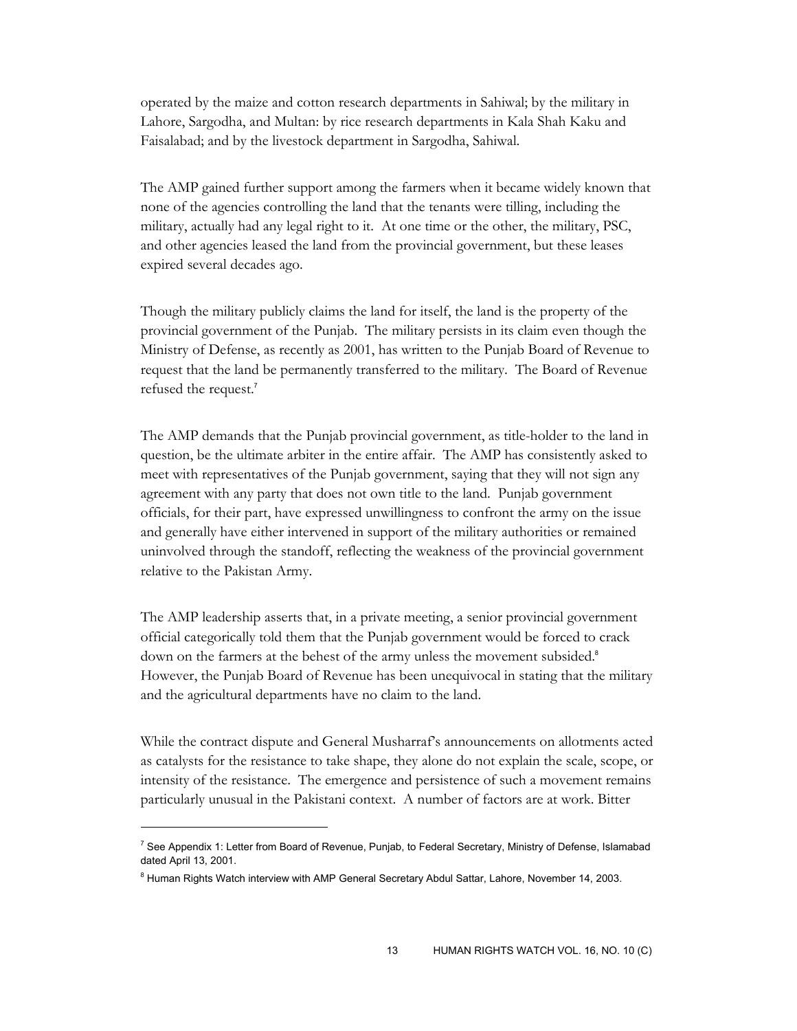operated by the maize and cotton research departments in Sahiwal; by the military in Lahore, Sargodha, and Multan: by rice research departments in Kala Shah Kaku and Faisalabad; and by the livestock department in Sargodha, Sahiwal.

The AMP gained further support among the farmers when it became widely known that none of the agencies controlling the land that the tenants were tilling, including the military, actually had any legal right to it. At one time or the other, the military, PSC, and other agencies leased the land from the provincial government, but these leases expired several decades ago.

Though the military publicly claims the land for itself, the land is the property of the provincial government of the Punjab. The military persists in its claim even though the Ministry of Defense, as recently as 2001, has written to the Punjab Board of Revenue to request that the land be permanently transferred to the military. The Board of Revenue refused the request.<sup>7</sup>

The AMP demands that the Punjab provincial government, as title-holder to the land in question, be the ultimate arbiter in the entire affair. The AMP has consistently asked to meet with representatives of the Punjab government, saying that they will not sign any agreement with any party that does not own title to the land. Punjab government officials, for their part, have expressed unwillingness to confront the army on the issue and generally have either intervened in support of the military authorities or remained uninvolved through the standoff, reflecting the weakness of the provincial government relative to the Pakistan Army.

The AMP leadership asserts that, in a private meeting, a senior provincial government official categorically told them that the Punjab government would be forced to crack down on the farmers at the behest of the army unless the movement subsided.<sup>8</sup> However, the Punjab Board of Revenue has been unequivocal in stating that the military and the agricultural departments have no claim to the land.

While the contract dispute and General Musharraf's announcements on allotments acted as catalysts for the resistance to take shape, they alone do not explain the scale, scope, or intensity of the resistance. The emergence and persistence of such a movement remains particularly unusual in the Pakistani context. A number of factors are at work. Bitter

<sup>&</sup>lt;sup>7</sup> See Appendix 1: Letter from Board of Revenue, Punjab, to Federal Secretary, Ministry of Defense, Islamabad dated April 13, 2001.

<sup>&</sup>lt;sup>8</sup> Human Rights Watch interview with AMP General Secretary Abdul Sattar, Lahore, November 14, 2003.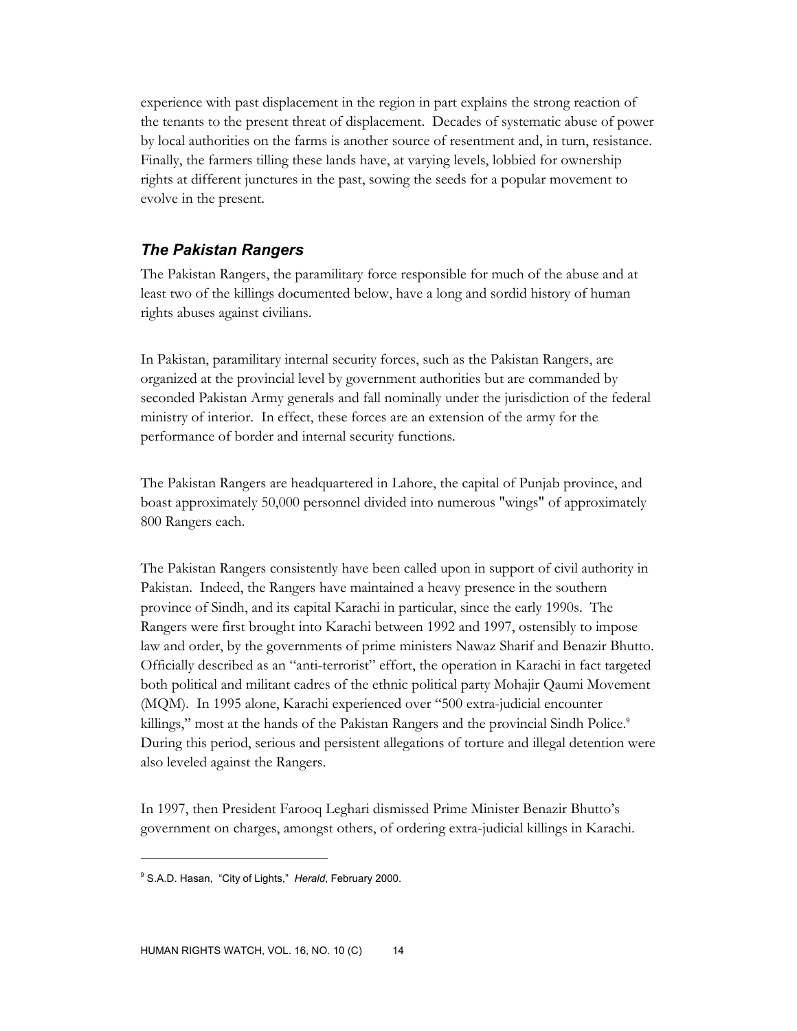experience with past displacement in the region in part explains the strong reaction of the tenants to the present threat of displacement. Decades of systematic abuse of power by local authorities on the farms is another source of resentment and, in turn, resistance. Finally, the farmers tilling these lands have, at varying levels, lobbied for ownership rights at different junctures in the past, sowing the seeds for a popular movement to evolve in the present.

## *The Pakistan Rangers*

The Pakistan Rangers, the paramilitary force responsible for much of the abuse and at least two of the killings documented below, have a long and sordid history of human rights abuses against civilians.

In Pakistan, paramilitary internal security forces, such as the Pakistan Rangers, are organized at the provincial level by government authorities but are commanded by seconded Pakistan Army generals and fall nominally under the jurisdiction of the federal ministry of interior. In effect, these forces are an extension of the army for the performance of border and internal security functions.

The Pakistan Rangers are headquartered in Lahore, the capital of Punjab province, and boast approximately 50,000 personnel divided into numerous "wings" of approximately 800 Rangers each.

The Pakistan Rangers consistently have been called upon in support of civil authority in Pakistan. Indeed, the Rangers have maintained a heavy presence in the southern province of Sindh, and its capital Karachi in particular, since the early 1990s. The Rangers were first brought into Karachi between 1992 and 1997, ostensibly to impose law and order, by the governments of prime ministers Nawaz Sharif and Benazir Bhutto. Officially described as an "anti-terrorist" effort, the operation in Karachi in fact targeted both political and militant cadres of the ethnic political party Mohajir Qaumi Movement (MQM). In 1995 alone, Karachi experienced over "500 extra-judicial encounter killings," most at the hands of the Pakistan Rangers and the provincial Sindh Police.<sup>9</sup> During this period, serious and persistent allegations of torture and illegal detention were also leveled against the Rangers.

In 1997, then President Farooq Leghari dismissed Prime Minister Benazir Bhutto's government on charges, amongst others, of ordering extra-judicial killings in Karachi.

<sup>9</sup> S.A.D. Hasan, "City of Lights," *Herald*, February 2000.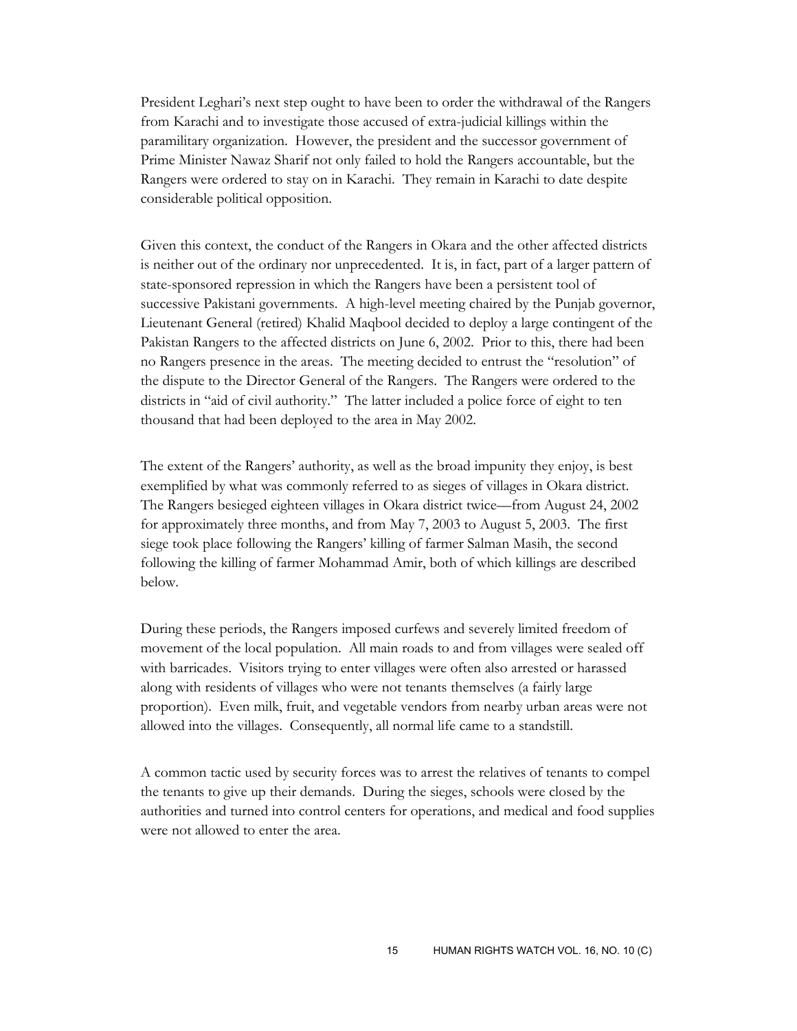President Leghari's next step ought to have been to order the withdrawal of the Rangers from Karachi and to investigate those accused of extra-judicial killings within the paramilitary organization. However, the president and the successor government of Prime Minister Nawaz Sharif not only failed to hold the Rangers accountable, but the Rangers were ordered to stay on in Karachi. They remain in Karachi to date despite considerable political opposition.

Given this context, the conduct of the Rangers in Okara and the other affected districts is neither out of the ordinary nor unprecedented. It is, in fact, part of a larger pattern of state-sponsored repression in which the Rangers have been a persistent tool of successive Pakistani governments. A high-level meeting chaired by the Punjab governor, Lieutenant General (retired) Khalid Maqbool decided to deploy a large contingent of the Pakistan Rangers to the affected districts on June 6, 2002. Prior to this, there had been no Rangers presence in the areas. The meeting decided to entrust the "resolution" of the dispute to the Director General of the Rangers. The Rangers were ordered to the districts in "aid of civil authority." The latter included a police force of eight to ten thousand that had been deployed to the area in May 2002.

The extent of the Rangers' authority, as well as the broad impunity they enjoy, is best exemplified by what was commonly referred to as sieges of villages in Okara district. The Rangers besieged eighteen villages in Okara district twice––from August 24, 2002 for approximately three months, and from May 7, 2003 to August 5, 2003. The first siege took place following the Rangers' killing of farmer Salman Masih, the second following the killing of farmer Mohammad Amir, both of which killings are described below.

During these periods, the Rangers imposed curfews and severely limited freedom of movement of the local population. All main roads to and from villages were sealed off with barricades. Visitors trying to enter villages were often also arrested or harassed along with residents of villages who were not tenants themselves (a fairly large proportion). Even milk, fruit, and vegetable vendors from nearby urban areas were not allowed into the villages. Consequently, all normal life came to a standstill.

A common tactic used by security forces was to arrest the relatives of tenants to compel the tenants to give up their demands. During the sieges, schools were closed by the authorities and turned into control centers for operations, and medical and food supplies were not allowed to enter the area.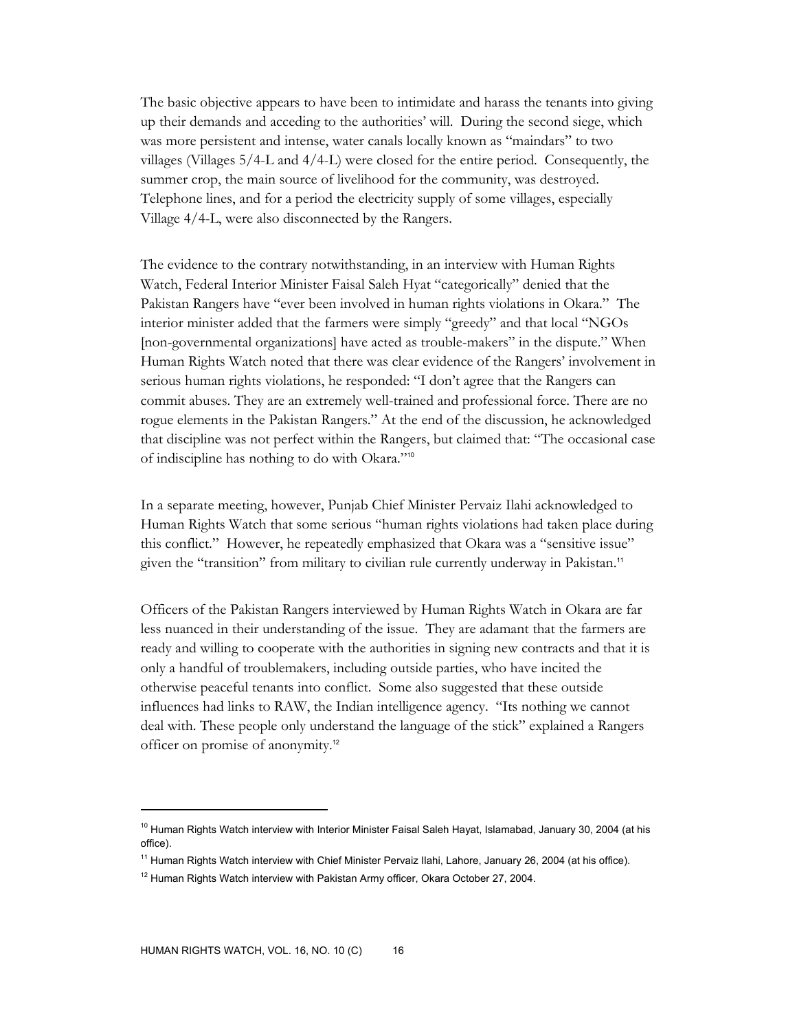The basic objective appears to have been to intimidate and harass the tenants into giving up their demands and acceding to the authorities' will. During the second siege, which was more persistent and intense, water canals locally known as "maindars" to two villages (Villages 5/4-L and 4/4-L) were closed for the entire period. Consequently, the summer crop, the main source of livelihood for the community, was destroyed. Telephone lines, and for a period the electricity supply of some villages, especially Village 4/4-L, were also disconnected by the Rangers.

The evidence to the contrary notwithstanding, in an interview with Human Rights Watch, Federal Interior Minister Faisal Saleh Hyat "categorically" denied that the Pakistan Rangers have "ever been involved in human rights violations in Okara." The interior minister added that the farmers were simply "greedy" and that local "NGOs [non-governmental organizations] have acted as trouble-makers" in the dispute." When Human Rights Watch noted that there was clear evidence of the Rangers' involvement in serious human rights violations, he responded: "I don't agree that the Rangers can commit abuses. They are an extremely well-trained and professional force. There are no rogue elements in the Pakistan Rangers." At the end of the discussion, he acknowledged that discipline was not perfect within the Rangers, but claimed that: "The occasional case of indiscipline has nothing to do with Okara."<sup>10</sup>

In a separate meeting, however, Punjab Chief Minister Pervaiz Ilahi acknowledged to Human Rights Watch that some serious "human rights violations had taken place during this conflict." However, he repeatedly emphasized that Okara was a "sensitive issue" given the "transition" from military to civilian rule currently underway in Pakistan.<sup>11</sup>

Officers of the Pakistan Rangers interviewed by Human Rights Watch in Okara are far less nuanced in their understanding of the issue. They are adamant that the farmers are ready and willing to cooperate with the authorities in signing new contracts and that it is only a handful of troublemakers, including outside parties, who have incited the otherwise peaceful tenants into conflict. Some also suggested that these outside influences had links to RAW, the Indian intelligence agency. "Its nothing we cannot deal with. These people only understand the language of the stick" explained a Rangers officer on promise of anonymity.<sup>12</sup>

<sup>&</sup>lt;sup>10</sup> Human Rights Watch interview with Interior Minister Faisal Saleh Hayat, Islamabad, January 30, 2004 (at his office).

<sup>&</sup>lt;sup>11</sup> Human Rights Watch interview with Chief Minister Pervaiz Ilahi, Lahore, January 26, 2004 (at his office).

 $12$  Human Rights Watch interview with Pakistan Army officer, Okara October 27, 2004.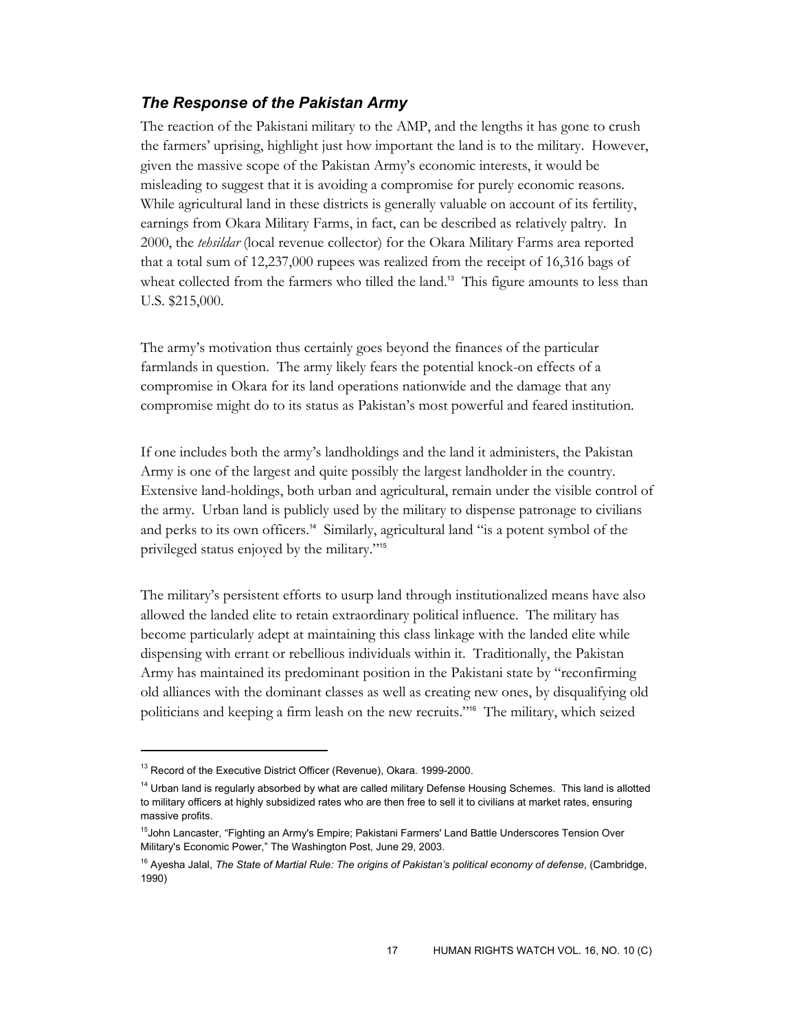## *The Response of the Pakistan Army*

The reaction of the Pakistani military to the AMP, and the lengths it has gone to crush the farmers' uprising, highlight just how important the land is to the military. However, given the massive scope of the Pakistan Army's economic interests, it would be misleading to suggest that it is avoiding a compromise for purely economic reasons. While agricultural land in these districts is generally valuable on account of its fertility, earnings from Okara Military Farms, in fact, can be described as relatively paltry. In 2000, the *tehsildar* (local revenue collector) for the Okara Military Farms area reported that a total sum of 12,237,000 rupees was realized from the receipt of 16,316 bags of wheat collected from the farmers who tilled the land.<sup>13</sup> This figure amounts to less than U.S. \$215,000.

The army's motivation thus certainly goes beyond the finances of the particular farmlands in question. The army likely fears the potential knock-on effects of a compromise in Okara for its land operations nationwide and the damage that any compromise might do to its status as Pakistan's most powerful and feared institution.

If one includes both the army's landholdings and the land it administers, the Pakistan Army is one of the largest and quite possibly the largest landholder in the country. Extensive land-holdings, both urban and agricultural, remain under the visible control of the army. Urban land is publicly used by the military to dispense patronage to civilians and perks to its own officers.<sup>14</sup> Similarly, agricultural land "is a potent symbol of the privileged status enjoyed by the military."<sup>15</sup>

The military's persistent efforts to usurp land through institutionalized means have also allowed the landed elite to retain extraordinary political influence. The military has become particularly adept at maintaining this class linkage with the landed elite while dispensing with errant or rebellious individuals within it. Traditionally, the Pakistan Army has maintained its predominant position in the Pakistani state by "reconfirming old alliances with the dominant classes as well as creating new ones, by disqualifying old politicians and keeping a firm leash on the new recruits."16 The military, which seized

<sup>&</sup>lt;sup>13</sup> Record of the Executive District Officer (Revenue), Okara. 1999-2000.

<sup>&</sup>lt;sup>14</sup> Urban land is regularly absorbed by what are called military Defense Housing Schemes. This land is allotted to military officers at highly subsidized rates who are then free to sell it to civilians at market rates, ensuring massive profits.

<sup>&</sup>lt;sup>15</sup>John Lancaster, "Fighting an Army's Empire; Pakistani Farmers' Land Battle Underscores Tension Over Military's Economic Power," The Washington Post, June 29, 2003.

<sup>16</sup> Ayesha Jalal, *The State of Martial Rule: The origins of Pakistan's political economy of defense*, (Cambridge, 1990)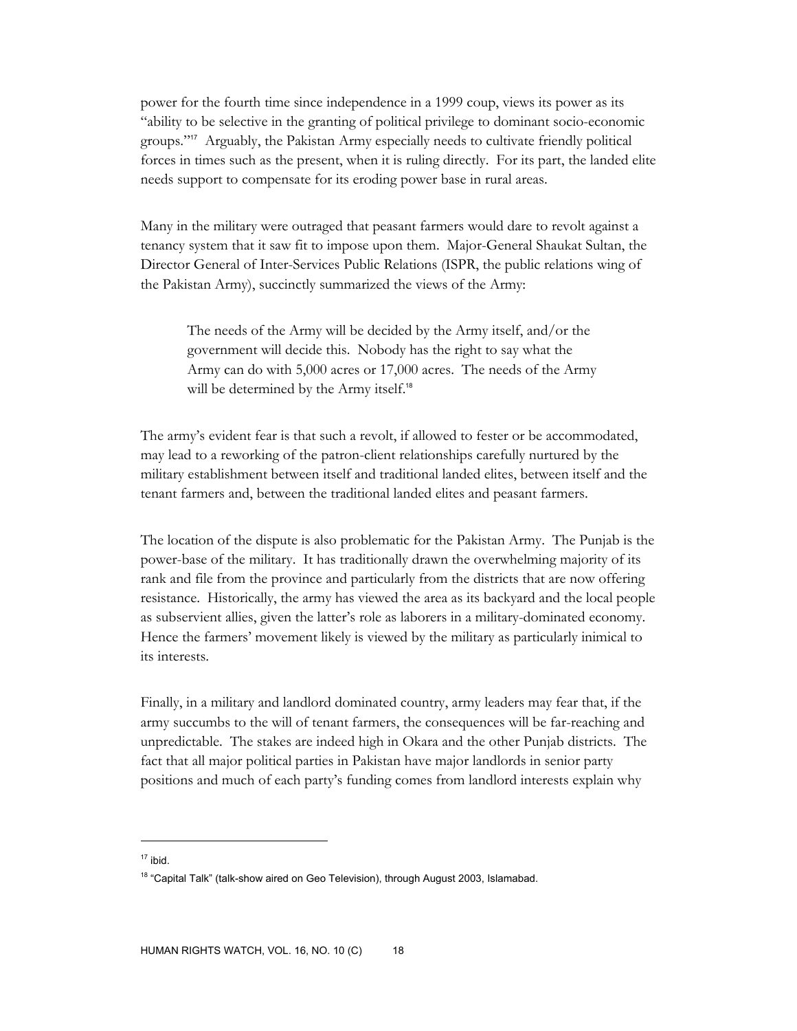power for the fourth time since independence in a 1999 coup, views its power as its "ability to be selective in the granting of political privilege to dominant socio-economic groups."17 Arguably, the Pakistan Army especially needs to cultivate friendly political forces in times such as the present, when it is ruling directly. For its part, the landed elite needs support to compensate for its eroding power base in rural areas.

Many in the military were outraged that peasant farmers would dare to revolt against a tenancy system that it saw fit to impose upon them. Major-General Shaukat Sultan, the Director General of Inter-Services Public Relations (ISPR, the public relations wing of the Pakistan Army), succinctly summarized the views of the Army:

The needs of the Army will be decided by the Army itself, and/or the government will decide this. Nobody has the right to say what the Army can do with 5,000 acres or 17,000 acres. The needs of the Army will be determined by the Army itself.<sup>18</sup>

The army's evident fear is that such a revolt, if allowed to fester or be accommodated, may lead to a reworking of the patron-client relationships carefully nurtured by the military establishment between itself and traditional landed elites, between itself and the tenant farmers and, between the traditional landed elites and peasant farmers.

The location of the dispute is also problematic for the Pakistan Army. The Punjab is the power-base of the military. It has traditionally drawn the overwhelming majority of its rank and file from the province and particularly from the districts that are now offering resistance. Historically, the army has viewed the area as its backyard and the local people as subservient allies, given the latter's role as laborers in a military-dominated economy. Hence the farmers' movement likely is viewed by the military as particularly inimical to its interests.

Finally, in a military and landlord dominated country, army leaders may fear that, if the army succumbs to the will of tenant farmers, the consequences will be far-reaching and unpredictable. The stakes are indeed high in Okara and the other Punjab districts. The fact that all major political parties in Pakistan have major landlords in senior party positions and much of each party's funding comes from landlord interests explain why

 $17$  ibid.

<sup>&</sup>lt;sup>18</sup> "Capital Talk" (talk-show aired on Geo Television), through August 2003, Islamabad.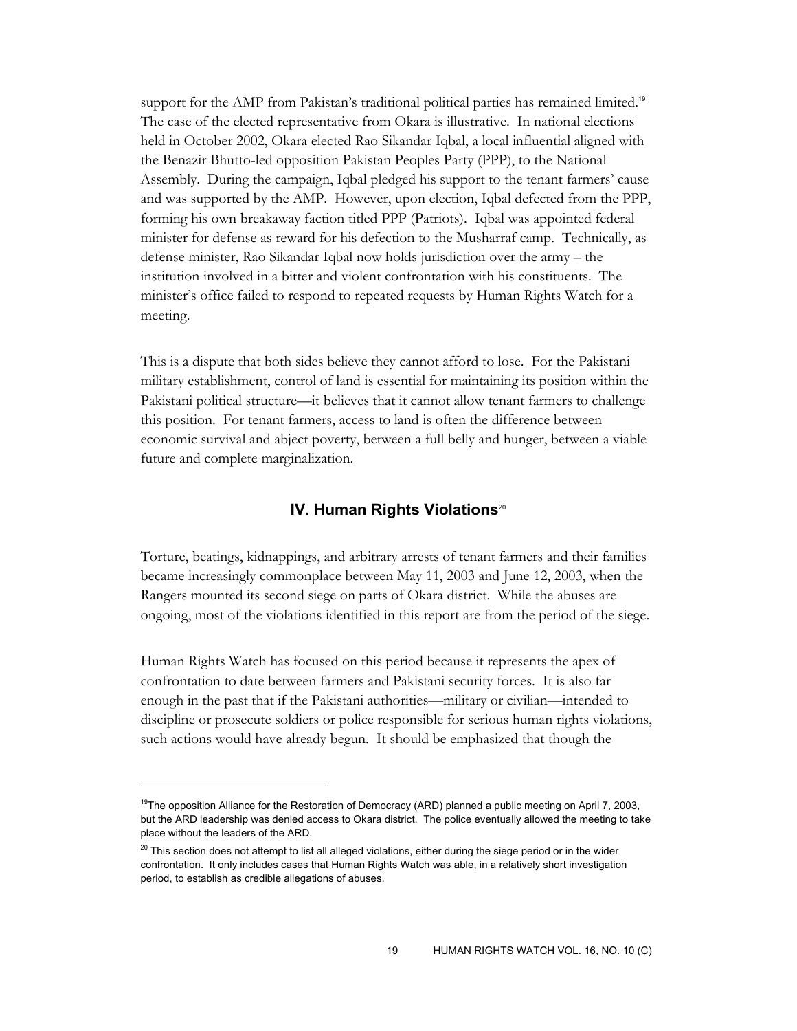support for the AMP from Pakistan's traditional political parties has remained limited.<sup>19</sup> The case of the elected representative from Okara is illustrative. In national elections held in October 2002, Okara elected Rao Sikandar Iqbal, a local influential aligned with the Benazir Bhutto-led opposition Pakistan Peoples Party (PPP), to the National Assembly. During the campaign, Iqbal pledged his support to the tenant farmers' cause and was supported by the AMP. However, upon election, Iqbal defected from the PPP, forming his own breakaway faction titled PPP (Patriots). Iqbal was appointed federal minister for defense as reward for his defection to the Musharraf camp. Technically, as defense minister, Rao Sikandar Iqbal now holds jurisdiction over the army – the institution involved in a bitter and violent confrontation with his constituents. The minister's office failed to respond to repeated requests by Human Rights Watch for a meeting.

This is a dispute that both sides believe they cannot afford to lose. For the Pakistani military establishment, control of land is essential for maintaining its position within the Pakistani political structure––it believes that it cannot allow tenant farmers to challenge this position. For tenant farmers, access to land is often the difference between economic survival and abject poverty, between a full belly and hunger, between a viable future and complete marginalization.

#### **IV. Human Rights Violations**<sup>20</sup>

Torture, beatings, kidnappings, and arbitrary arrests of tenant farmers and their families became increasingly commonplace between May 11, 2003 and June 12, 2003, when the Rangers mounted its second siege on parts of Okara district. While the abuses are ongoing, most of the violations identified in this report are from the period of the siege.

Human Rights Watch has focused on this period because it represents the apex of confrontation to date between farmers and Pakistani security forces. It is also far enough in the past that if the Pakistani authorities––military or civilian––intended to discipline or prosecute soldiers or police responsible for serious human rights violations, such actions would have already begun. It should be emphasized that though the

<sup>&</sup>lt;sup>19</sup>The opposition Alliance for the Restoration of Democracy (ARD) planned a public meeting on April 7, 2003, but the ARD leadership was denied access to Okara district. The police eventually allowed the meeting to take place without the leaders of the ARD.

 $20$  This section does not attempt to list all alleged violations, either during the siege period or in the wider confrontation. It only includes cases that Human Rights Watch was able, in a relatively short investigation period, to establish as credible allegations of abuses.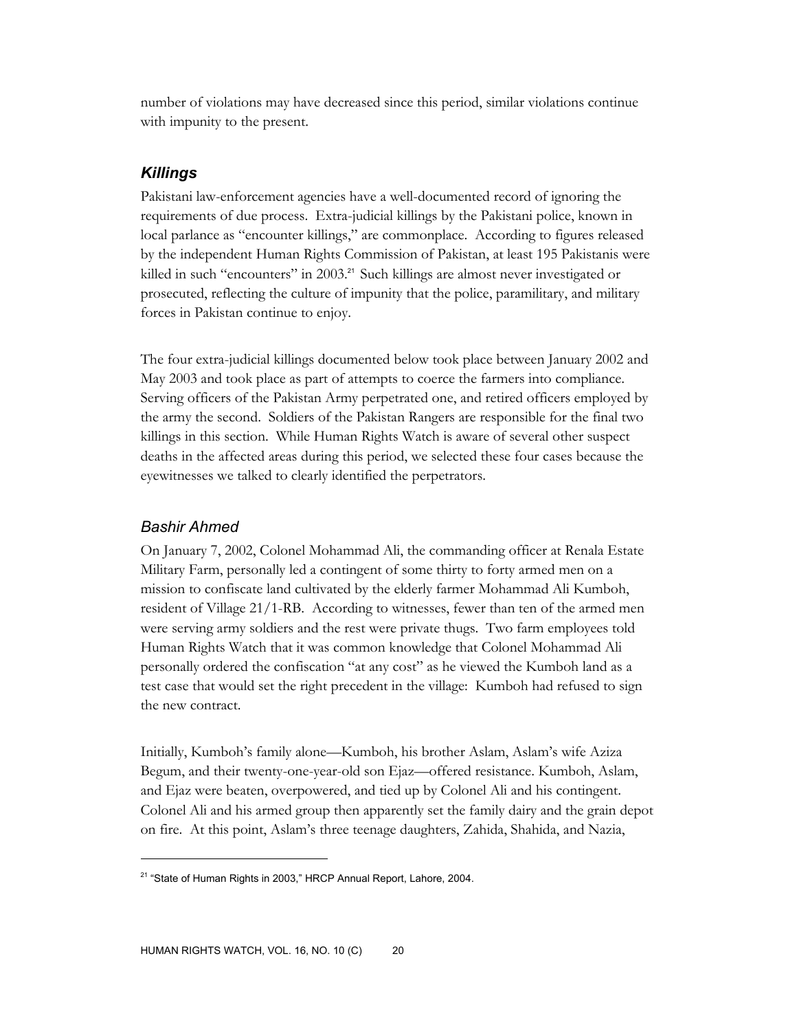number of violations may have decreased since this period, similar violations continue with impunity to the present.

# *Killings*

Pakistani law-enforcement agencies have a well-documented record of ignoring the requirements of due process. Extra-judicial killings by the Pakistani police, known in local parlance as "encounter killings," are commonplace. According to figures released by the independent Human Rights Commission of Pakistan, at least 195 Pakistanis were killed in such "encounters" in 2003.<sup>21</sup> Such killings are almost never investigated or prosecuted, reflecting the culture of impunity that the police, paramilitary, and military forces in Pakistan continue to enjoy.

The four extra-judicial killings documented below took place between January 2002 and May 2003 and took place as part of attempts to coerce the farmers into compliance. Serving officers of the Pakistan Army perpetrated one, and retired officers employed by the army the second. Soldiers of the Pakistan Rangers are responsible for the final two killings in this section. While Human Rights Watch is aware of several other suspect deaths in the affected areas during this period, we selected these four cases because the eyewitnesses we talked to clearly identified the perpetrators.

## *Bashir Ahmed*

 $\overline{a}$ 

On January 7, 2002, Colonel Mohammad Ali, the commanding officer at Renala Estate Military Farm, personally led a contingent of some thirty to forty armed men on a mission to confiscate land cultivated by the elderly farmer Mohammad Ali Kumboh, resident of Village 21/1-RB. According to witnesses, fewer than ten of the armed men were serving army soldiers and the rest were private thugs. Two farm employees told Human Rights Watch that it was common knowledge that Colonel Mohammad Ali personally ordered the confiscation "at any cost" as he viewed the Kumboh land as a test case that would set the right precedent in the village: Kumboh had refused to sign the new contract.

Initially, Kumboh's family alone—Kumboh, his brother Aslam, Aslam's wife Aziza Begum, and their twenty-one-year-old son Ejaz—offered resistance. Kumboh, Aslam, and Ejaz were beaten, overpowered, and tied up by Colonel Ali and his contingent. Colonel Ali and his armed group then apparently set the family dairy and the grain depot on fire. At this point, Aslam's three teenage daughters, Zahida, Shahida, and Nazia,

<sup>&</sup>lt;sup>21</sup> "State of Human Rights in 2003," HRCP Annual Report, Lahore, 2004.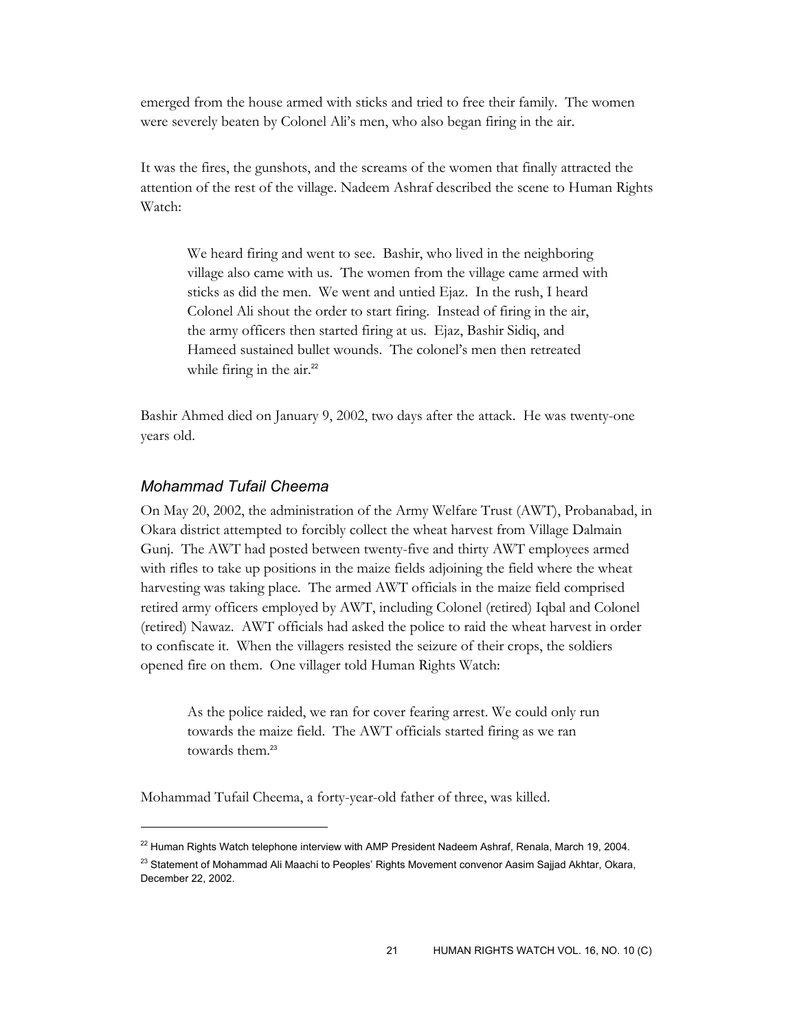emerged from the house armed with sticks and tried to free their family. The women were severely beaten by Colonel Ali's men, who also began firing in the air.

It was the fires, the gunshots, and the screams of the women that finally attracted the attention of the rest of the village. Nadeem Ashraf described the scene to Human Rights Watch:

We heard firing and went to see. Bashir, who lived in the neighboring village also came with us. The women from the village came armed with sticks as did the men. We went and untied Ejaz. In the rush, I heard Colonel Ali shout the order to start firing. Instead of firing in the air, the army officers then started firing at us. Ejaz, Bashir Sidiq, and Hameed sustained bullet wounds. The colonel's men then retreated while firing in the air.<sup>22</sup>

Bashir Ahmed died on January 9, 2002, two days after the attack. He was twenty-one years old.

## *Mohammad Tufail Cheema*

-

On May 20, 2002, the administration of the Army Welfare Trust (AWT), Probanabad, in Okara district attempted to forcibly collect the wheat harvest from Village Dalmain Gunj. The AWT had posted between twenty-five and thirty AWT employees armed with rifles to take up positions in the maize fields adjoining the field where the wheat harvesting was taking place. The armed AWT officials in the maize field comprised retired army officers employed by AWT, including Colonel (retired) Iqbal and Colonel (retired) Nawaz. AWT officials had asked the police to raid the wheat harvest in order to confiscate it. When the villagers resisted the seizure of their crops, the soldiers opened fire on them. One villager told Human Rights Watch:

As the police raided, we ran for cover fearing arrest. We could only run towards the maize field. The AWT officials started firing as we ran towards them.<sup>23</sup>

Mohammad Tufail Cheema, a forty-year-old father of three, was killed.

 $^{22}$  Human Rights Watch telephone interview with AMP President Nadeem Ashraf, Renala, March 19, 2004.

<sup>&</sup>lt;sup>23</sup> Statement of Mohammad Ali Maachi to Peoples' Rights Movement convenor Aasim Sajjad Akhtar, Okara, December 22, 2002.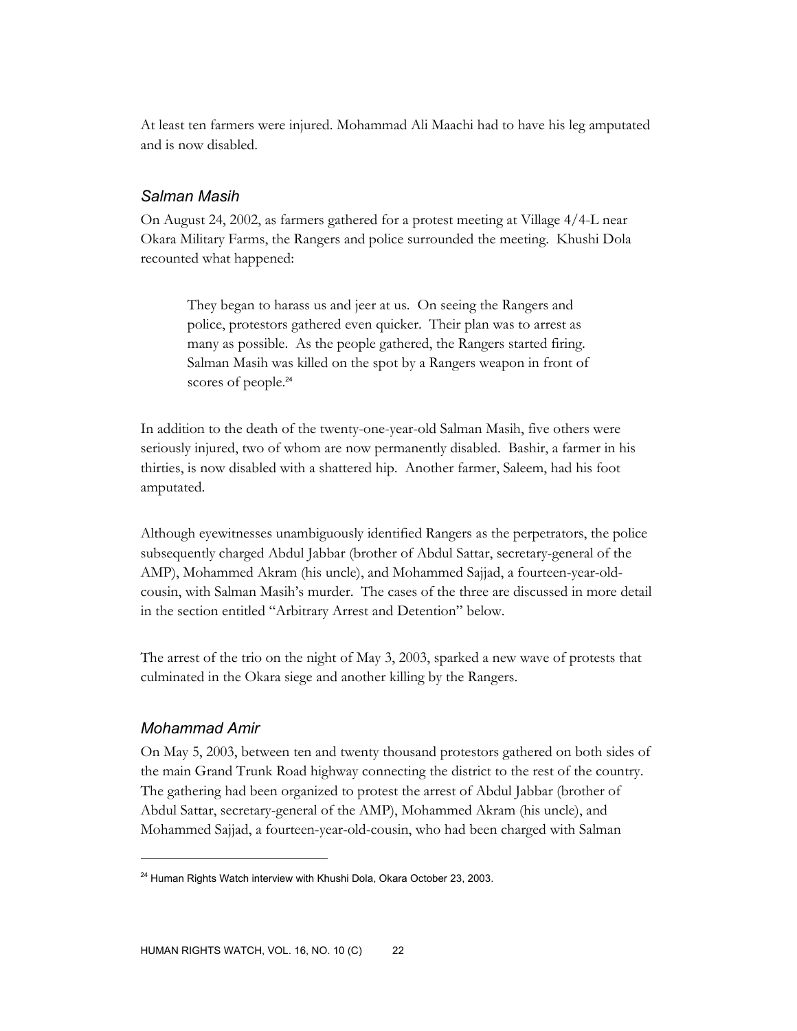At least ten farmers were injured. Mohammad Ali Maachi had to have his leg amputated and is now disabled.

#### *Salman Masih*

On August 24, 2002, as farmers gathered for a protest meeting at Village 4/4-L near Okara Military Farms, the Rangers and police surrounded the meeting. Khushi Dola recounted what happened:

They began to harass us and jeer at us. On seeing the Rangers and police, protestors gathered even quicker. Their plan was to arrest as many as possible. As the people gathered, the Rangers started firing. Salman Masih was killed on the spot by a Rangers weapon in front of scores of people.<sup>24</sup>

In addition to the death of the twenty-one-year-old Salman Masih, five others were seriously injured, two of whom are now permanently disabled. Bashir, a farmer in his thirties, is now disabled with a shattered hip. Another farmer, Saleem, had his foot amputated.

Although eyewitnesses unambiguously identified Rangers as the perpetrators, the police subsequently charged Abdul Jabbar (brother of Abdul Sattar, secretary-general of the AMP), Mohammed Akram (his uncle), and Mohammed Sajjad, a fourteen-year-oldcousin, with Salman Masih's murder. The cases of the three are discussed in more detail in the section entitled "Arbitrary Arrest and Detention" below.

The arrest of the trio on the night of May 3, 2003, sparked a new wave of protests that culminated in the Okara siege and another killing by the Rangers.

## *Mohammad Amir*

 $\overline{a}$ 

On May 5, 2003, between ten and twenty thousand protestors gathered on both sides of the main Grand Trunk Road highway connecting the district to the rest of the country. The gathering had been organized to protest the arrest of Abdul Jabbar (brother of Abdul Sattar, secretary-general of the AMP), Mohammed Akram (his uncle), and Mohammed Sajjad, a fourteen-year-old-cousin, who had been charged with Salman

<sup>&</sup>lt;sup>24</sup> Human Rights Watch interview with Khushi Dola, Okara October 23, 2003.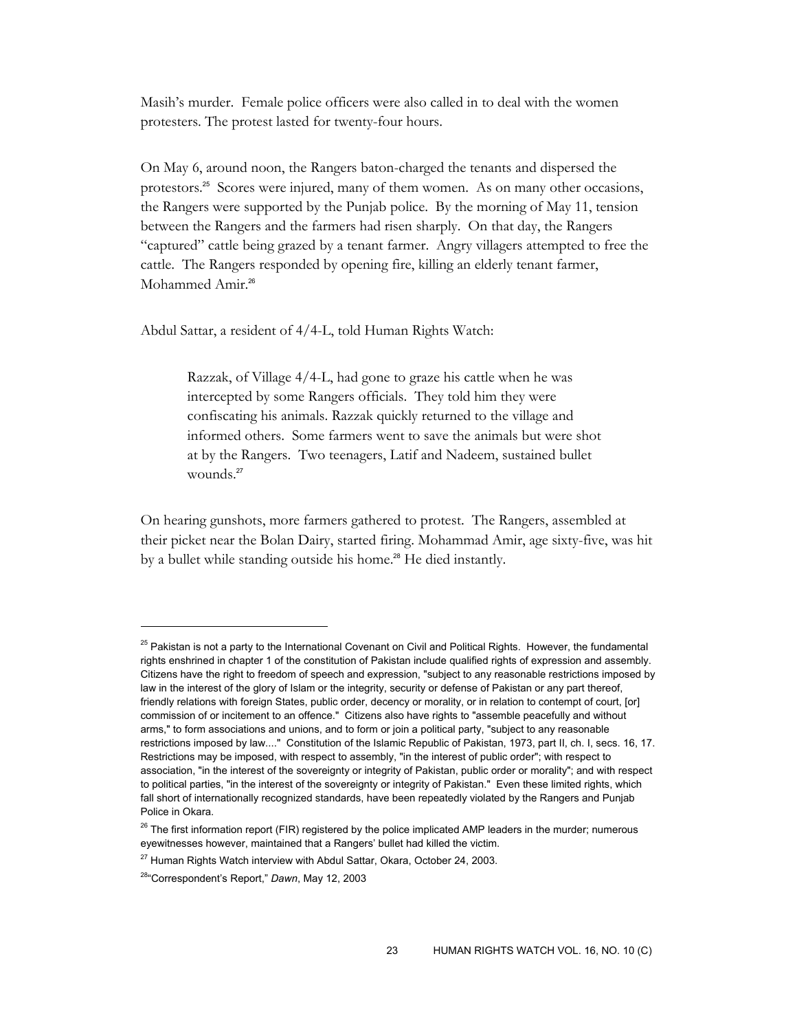Masih's murder. Female police officers were also called in to deal with the women protesters. The protest lasted for twenty-four hours.

On May 6, around noon, the Rangers baton-charged the tenants and dispersed the protestors.25 Scores were injured, many of them women. As on many other occasions, the Rangers were supported by the Punjab police. By the morning of May 11, tension between the Rangers and the farmers had risen sharply. On that day, the Rangers "captured" cattle being grazed by a tenant farmer. Angry villagers attempted to free the cattle. The Rangers responded by opening fire, killing an elderly tenant farmer, Mohammed Amir.<sup>26</sup>

Abdul Sattar, a resident of 4/4-L, told Human Rights Watch:

Razzak, of Village 4/4-L, had gone to graze his cattle when he was intercepted by some Rangers officials. They told him they were confiscating his animals. Razzak quickly returned to the village and informed others. Some farmers went to save the animals but were shot at by the Rangers. Two teenagers, Latif and Nadeem, sustained bullet wounds.<sup>27</sup>

On hearing gunshots, more farmers gathered to protest. The Rangers, assembled at their picket near the Bolan Dairy, started firing. Mohammad Amir, age sixty-five, was hit by a bullet while standing outside his home.<sup>28</sup> He died instantly.

<sup>&</sup>lt;sup>25</sup> Pakistan is not a party to the International Covenant on Civil and Political Rights. However, the fundamental rights enshrined in chapter 1 of the constitution of Pakistan include qualified rights of expression and assembly. Citizens have the right to freedom of speech and expression, "subject to any reasonable restrictions imposed by law in the interest of the glory of Islam or the integrity, security or defense of Pakistan or any part thereof, friendly relations with foreign States, public order, decency or morality, or in relation to contempt of court, [or] commission of or incitement to an offence." Citizens also have rights to "assemble peacefully and without arms," to form associations and unions, and to form or join a political party, "subject to any reasonable restrictions imposed by law...." Constitution of the Islamic Republic of Pakistan, 1973, part II, ch. I, secs. 16, 17. Restrictions may be imposed, with respect to assembly, "in the interest of public order"; with respect to association, "in the interest of the sovereignty or integrity of Pakistan, public order or morality"; and with respect to political parties, "in the interest of the sovereignty or integrity of Pakistan." Even these limited rights, which fall short of internationally recognized standards, have been repeatedly violated by the Rangers and Punjab Police in Okara.

 $26$  The first information report (FIR) registered by the police implicated AMP leaders in the murder; numerous eyewitnesses however, maintained that a Rangers' bullet had killed the victim.

 $27$  Human Rights Watch interview with Abdul Sattar, Okara, October 24, 2003.

<sup>28&</sup>quot;Correspondent's Report," *Dawn*, May 12, 2003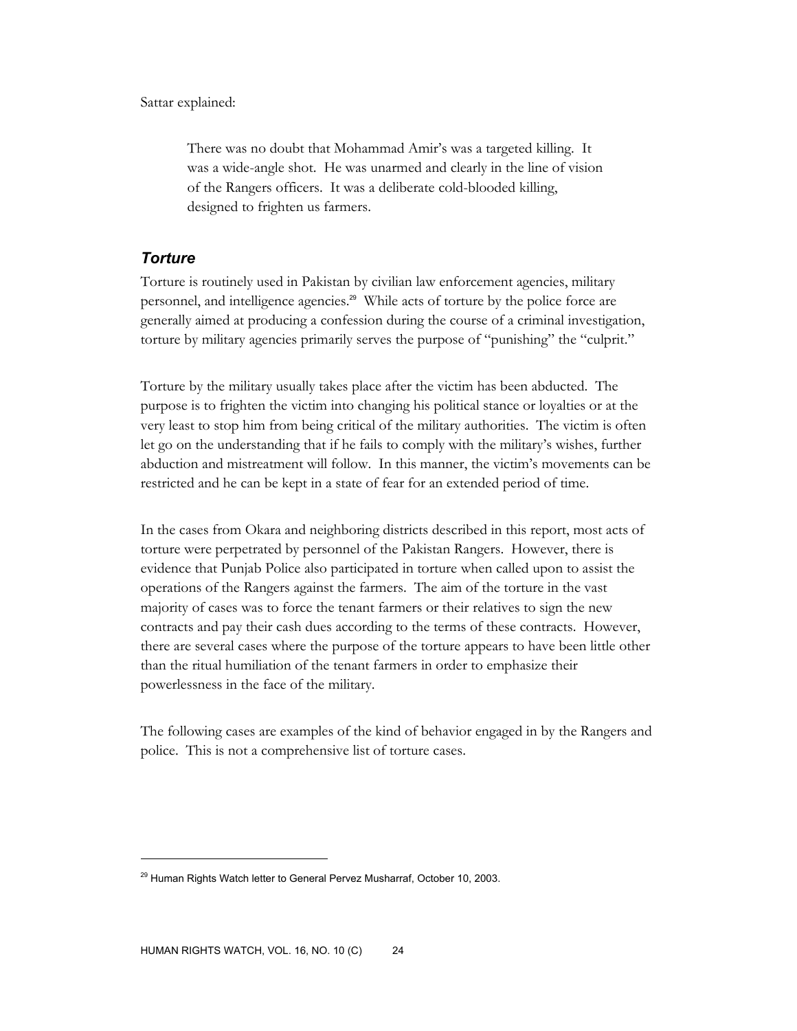Sattar explained:

There was no doubt that Mohammad Amir's was a targeted killing. It was a wide-angle shot. He was unarmed and clearly in the line of vision of the Rangers officers. It was a deliberate cold-blooded killing, designed to frighten us farmers.

# *Torture*

-

Torture is routinely used in Pakistan by civilian law enforcement agencies, military personnel, and intelligence agencies.<sup>29</sup> While acts of torture by the police force are generally aimed at producing a confession during the course of a criminal investigation, torture by military agencies primarily serves the purpose of "punishing" the "culprit."

Torture by the military usually takes place after the victim has been abducted. The purpose is to frighten the victim into changing his political stance or loyalties or at the very least to stop him from being critical of the military authorities. The victim is often let go on the understanding that if he fails to comply with the military's wishes, further abduction and mistreatment will follow. In this manner, the victim's movements can be restricted and he can be kept in a state of fear for an extended period of time.

In the cases from Okara and neighboring districts described in this report, most acts of torture were perpetrated by personnel of the Pakistan Rangers. However, there is evidence that Punjab Police also participated in torture when called upon to assist the operations of the Rangers against the farmers. The aim of the torture in the vast majority of cases was to force the tenant farmers or their relatives to sign the new contracts and pay their cash dues according to the terms of these contracts. However, there are several cases where the purpose of the torture appears to have been little other than the ritual humiliation of the tenant farmers in order to emphasize their powerlessness in the face of the military.

The following cases are examples of the kind of behavior engaged in by the Rangers and police. This is not a comprehensive list of torture cases.

 $^{29}$  Human Rights Watch letter to General Pervez Musharraf, October 10, 2003.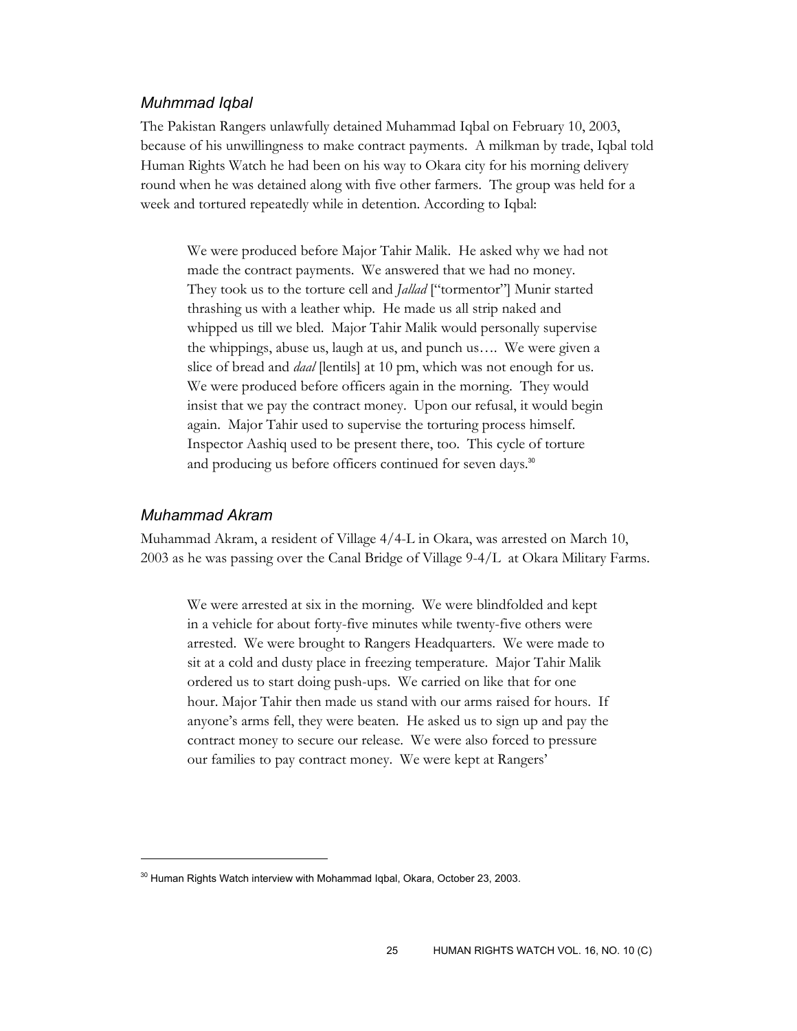#### *Muhmmad Iqbal*

The Pakistan Rangers unlawfully detained Muhammad Iqbal on February 10, 2003, because of his unwillingness to make contract payments. A milkman by trade, Iqbal told Human Rights Watch he had been on his way to Okara city for his morning delivery round when he was detained along with five other farmers. The group was held for a week and tortured repeatedly while in detention. According to Iqbal:

We were produced before Major Tahir Malik. He asked why we had not made the contract payments. We answered that we had no money. They took us to the torture cell and *Jallad* ["tormentor"] Munir started thrashing us with a leather whip. He made us all strip naked and whipped us till we bled. Major Tahir Malik would personally supervise the whippings, abuse us, laugh at us, and punch us…. We were given a slice of bread and *daal* [lentils] at 10 pm, which was not enough for us. We were produced before officers again in the morning. They would insist that we pay the contract money. Upon our refusal, it would begin again. Major Tahir used to supervise the torturing process himself. Inspector Aashiq used to be present there, too. This cycle of torture and producing us before officers continued for seven days.<sup>30</sup>

#### *Muhammad Akram*

 $\overline{a}$ 

Muhammad Akram, a resident of Village 4/4-L in Okara, was arrested on March 10, 2003 as he was passing over the Canal Bridge of Village 9-4/L at Okara Military Farms.

We were arrested at six in the morning. We were blindfolded and kept in a vehicle for about forty-five minutes while twenty-five others were arrested. We were brought to Rangers Headquarters. We were made to sit at a cold and dusty place in freezing temperature. Major Tahir Malik ordered us to start doing push-ups. We carried on like that for one hour. Major Tahir then made us stand with our arms raised for hours. If anyone's arms fell, they were beaten. He asked us to sign up and pay the contract money to secure our release. We were also forced to pressure our families to pay contract money. We were kept at Rangers'

<sup>&</sup>lt;sup>30</sup> Human Rights Watch interview with Mohammad Iqbal, Okara, October 23, 2003.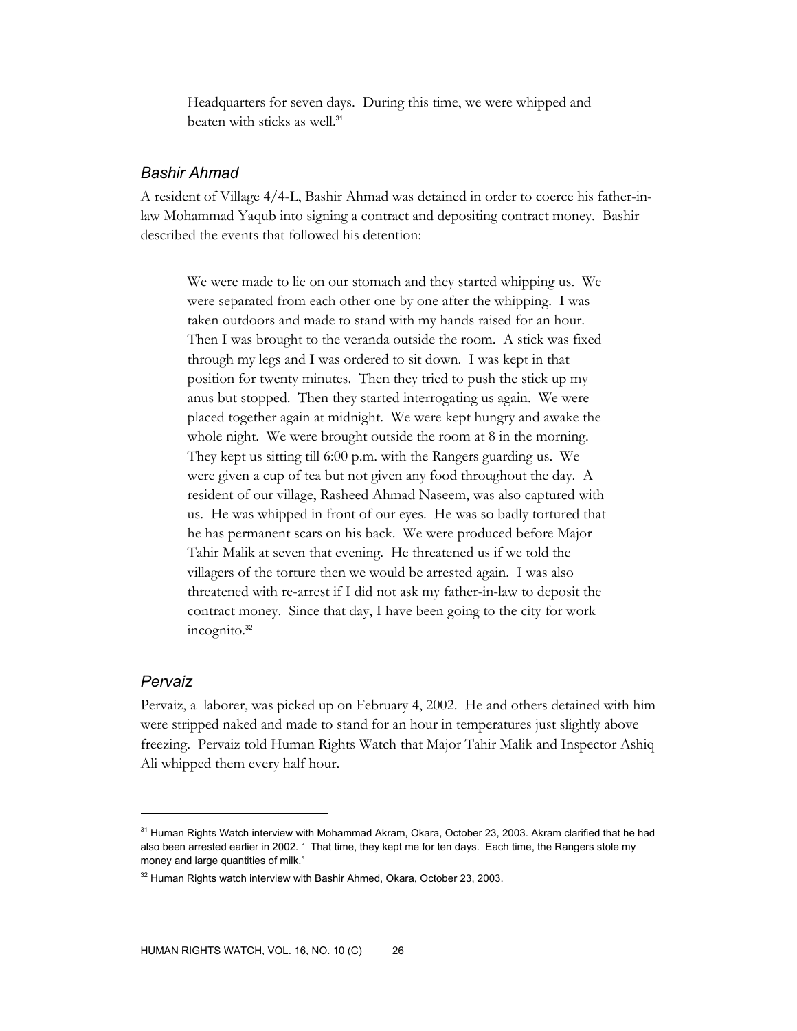Headquarters for seven days. During this time, we were whipped and beaten with sticks as well.<sup>31</sup>

## *Bashir Ahmad*

A resident of Village 4/4-L, Bashir Ahmad was detained in order to coerce his father-inlaw Mohammad Yaqub into signing a contract and depositing contract money. Bashir described the events that followed his detention:

We were made to lie on our stomach and they started whipping us. We were separated from each other one by one after the whipping. I was taken outdoors and made to stand with my hands raised for an hour. Then I was brought to the veranda outside the room. A stick was fixed through my legs and I was ordered to sit down. I was kept in that position for twenty minutes. Then they tried to push the stick up my anus but stopped. Then they started interrogating us again. We were placed together again at midnight. We were kept hungry and awake the whole night. We were brought outside the room at 8 in the morning. They kept us sitting till 6:00 p.m. with the Rangers guarding us. We were given a cup of tea but not given any food throughout the day. A resident of our village, Rasheed Ahmad Naseem, was also captured with us. He was whipped in front of our eyes. He was so badly tortured that he has permanent scars on his back. We were produced before Major Tahir Malik at seven that evening. He threatened us if we told the villagers of the torture then we would be arrested again. I was also threatened with re-arrest if I did not ask my father-in-law to deposit the contract money. Since that day, I have been going to the city for work incognito.<sup>32</sup>

#### *Pervaiz*

 $\overline{a}$ 

Pervaiz, a laborer, was picked up on February 4, 2002. He and others detained with him were stripped naked and made to stand for an hour in temperatures just slightly above freezing. Pervaiz told Human Rights Watch that Major Tahir Malik and Inspector Ashiq Ali whipped them every half hour.

 $31$  Human Rights Watch interview with Mohammad Akram, Okara, October 23, 2003. Akram clarified that he had also been arrested earlier in 2002. " That time, they kept me for ten days. Each time, the Rangers stole my money and large quantities of milk."

 $32$  Human Rights watch interview with Bashir Ahmed, Okara, October 23, 2003.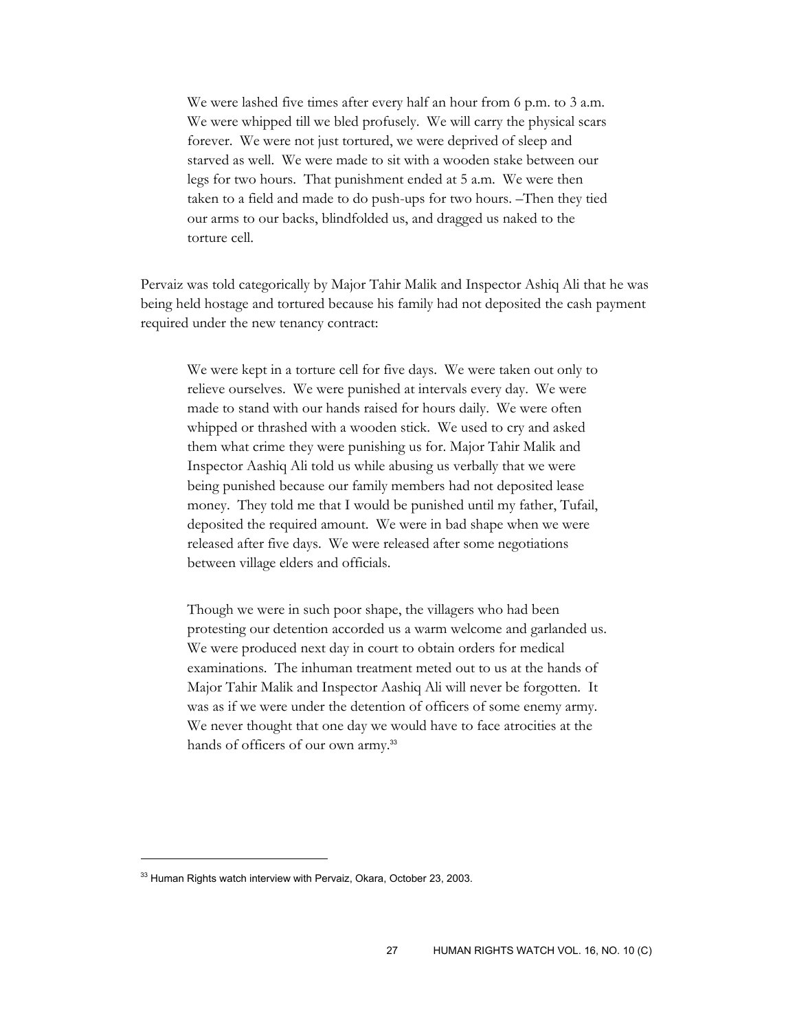We were lashed five times after every half an hour from 6 p.m. to 3 a.m. We were whipped till we bled profusely. We will carry the physical scars forever. We were not just tortured, we were deprived of sleep and starved as well. We were made to sit with a wooden stake between our legs for two hours. That punishment ended at 5 a.m. We were then taken to a field and made to do push-ups for two hours. –Then they tied our arms to our backs, blindfolded us, and dragged us naked to the torture cell.

Pervaiz was told categorically by Major Tahir Malik and Inspector Ashiq Ali that he was being held hostage and tortured because his family had not deposited the cash payment required under the new tenancy contract:

We were kept in a torture cell for five days. We were taken out only to relieve ourselves. We were punished at intervals every day. We were made to stand with our hands raised for hours daily. We were often whipped or thrashed with a wooden stick. We used to cry and asked them what crime they were punishing us for. Major Tahir Malik and Inspector Aashiq Ali told us while abusing us verbally that we were being punished because our family members had not deposited lease money. They told me that I would be punished until my father, Tufail, deposited the required amount. We were in bad shape when we were released after five days. We were released after some negotiations between village elders and officials.

Though we were in such poor shape, the villagers who had been protesting our detention accorded us a warm welcome and garlanded us. We were produced next day in court to obtain orders for medical examinations. The inhuman treatment meted out to us at the hands of Major Tahir Malik and Inspector Aashiq Ali will never be forgotten. It was as if we were under the detention of officers of some enemy army. We never thought that one day we would have to face atrocities at the hands of officers of our own army.<sup>33</sup>

<sup>&</sup>lt;sup>33</sup> Human Rights watch interview with Pervaiz, Okara, October 23, 2003.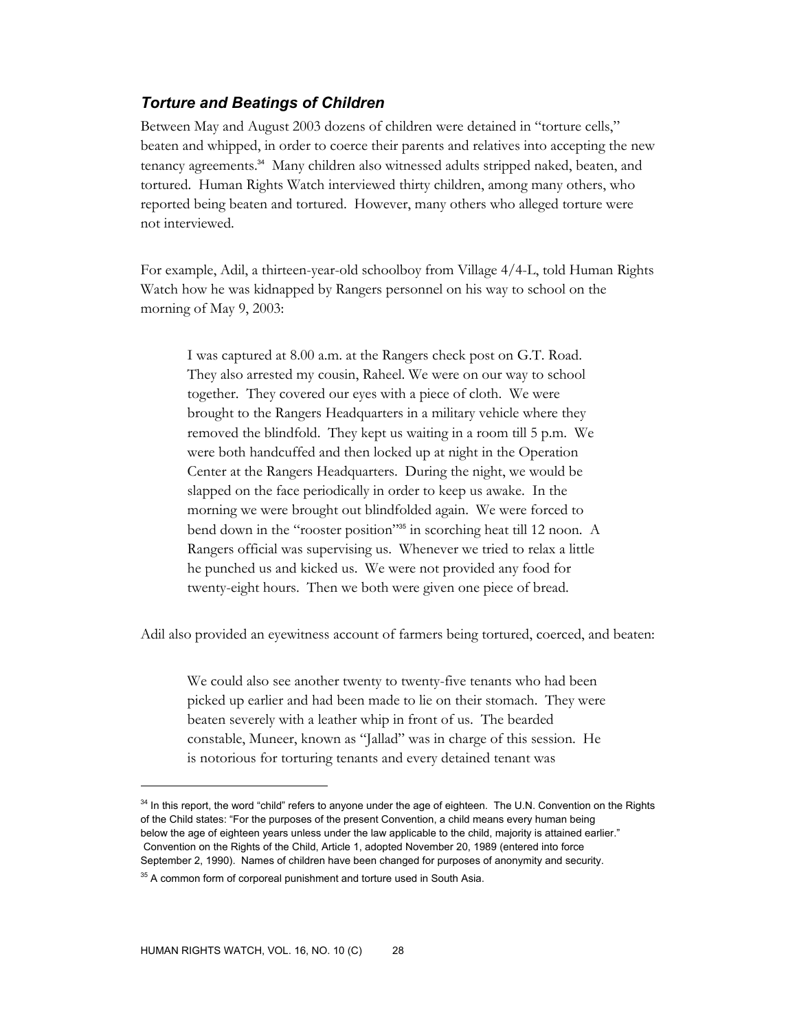# *Torture and Beatings of Children*

Between May and August 2003 dozens of children were detained in "torture cells," beaten and whipped, in order to coerce their parents and relatives into accepting the new tenancy agreements.34 Many children also witnessed adults stripped naked, beaten, and tortured. Human Rights Watch interviewed thirty children, among many others, who reported being beaten and tortured. However, many others who alleged torture were not interviewed.

For example, Adil, a thirteen-year-old schoolboy from Village 4/4-L, told Human Rights Watch how he was kidnapped by Rangers personnel on his way to school on the morning of May 9, 2003:

I was captured at 8.00 a.m. at the Rangers check post on G.T. Road. They also arrested my cousin, Raheel. We were on our way to school together. They covered our eyes with a piece of cloth. We were brought to the Rangers Headquarters in a military vehicle where they removed the blindfold. They kept us waiting in a room till 5 p.m. We were both handcuffed and then locked up at night in the Operation Center at the Rangers Headquarters. During the night, we would be slapped on the face periodically in order to keep us awake. In the morning we were brought out blindfolded again. We were forced to bend down in the "rooster position"35 in scorching heat till 12 noon. A Rangers official was supervising us. Whenever we tried to relax a little he punched us and kicked us. We were not provided any food for twenty-eight hours. Then we both were given one piece of bread.

Adil also provided an eyewitness account of farmers being tortured, coerced, and beaten:

We could also see another twenty to twenty-five tenants who had been picked up earlier and had been made to lie on their stomach. They were beaten severely with a leather whip in front of us. The bearded constable, Muneer, known as "Jallad" was in charge of this session. He is notorious for torturing tenants and every detained tenant was

<sup>&</sup>lt;sup>34</sup> In this report, the word "child" refers to anyone under the age of eighteen. The U.N. Convention on the Rights of the Child states: "For the purposes of the present Convention, a child means every human being below the age of eighteen years unless under the law applicable to the child, majority is attained earlier." Convention on the Rights of the Child, Article 1, adopted November 20, 1989 (entered into force September 2, 1990). Names of children have been changed for purposes of anonymity and security.

 $35$  A common form of corporeal punishment and torture used in South Asia.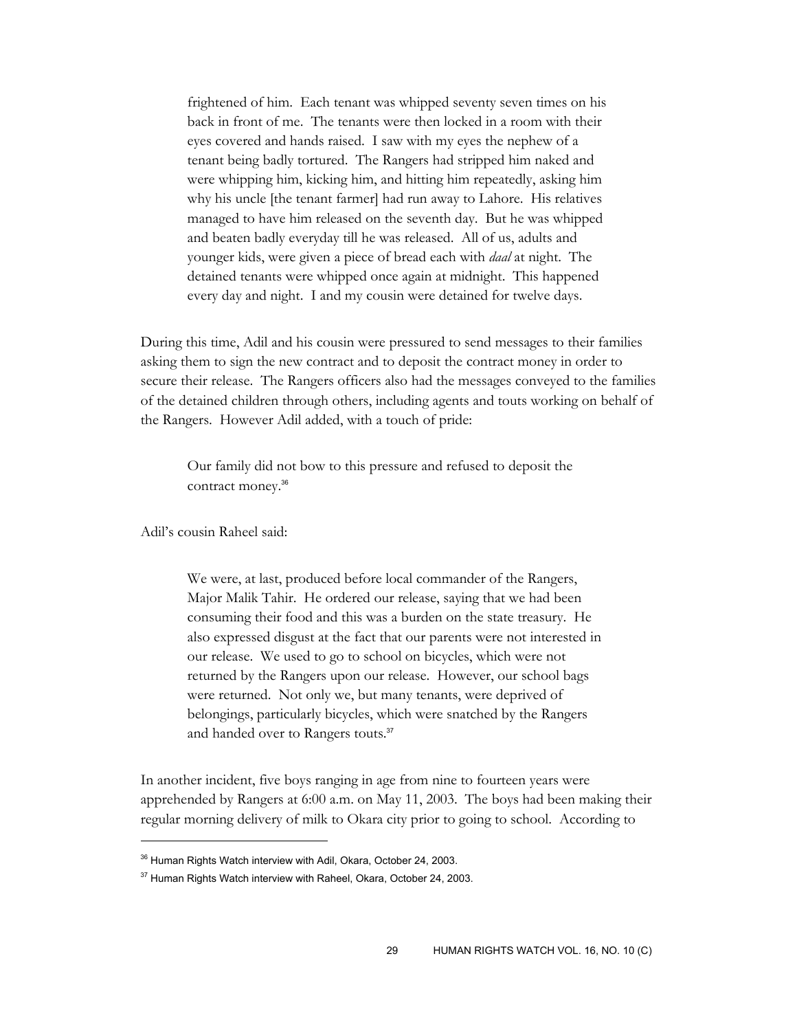frightened of him. Each tenant was whipped seventy seven times on his back in front of me. The tenants were then locked in a room with their eyes covered and hands raised. I saw with my eyes the nephew of a tenant being badly tortured. The Rangers had stripped him naked and were whipping him, kicking him, and hitting him repeatedly, asking him why his uncle [the tenant farmer] had run away to Lahore. His relatives managed to have him released on the seventh day. But he was whipped and beaten badly everyday till he was released. All of us, adults and younger kids, were given a piece of bread each with *daal* at night. The detained tenants were whipped once again at midnight. This happened every day and night. I and my cousin were detained for twelve days.

During this time, Adil and his cousin were pressured to send messages to their families asking them to sign the new contract and to deposit the contract money in order to secure their release. The Rangers officers also had the messages conveyed to the families of the detained children through others, including agents and touts working on behalf of the Rangers. However Adil added, with a touch of pride:

Our family did not bow to this pressure and refused to deposit the contract money.<sup>36</sup>

Adil's cousin Raheel said:

 $\overline{a}$ 

We were, at last, produced before local commander of the Rangers, Major Malik Tahir. He ordered our release, saying that we had been consuming their food and this was a burden on the state treasury. He also expressed disgust at the fact that our parents were not interested in our release. We used to go to school on bicycles, which were not returned by the Rangers upon our release. However, our school bags were returned. Not only we, but many tenants, were deprived of belongings, particularly bicycles, which were snatched by the Rangers and handed over to Rangers touts.<sup>37</sup>

In another incident, five boys ranging in age from nine to fourteen years were apprehended by Rangers at 6:00 a.m. on May 11, 2003. The boys had been making their regular morning delivery of milk to Okara city prior to going to school. According to

<sup>&</sup>lt;sup>36</sup> Human Rights Watch interview with Adil, Okara, October 24, 2003.

<sup>&</sup>lt;sup>37</sup> Human Rights Watch interview with Raheel, Okara, October 24, 2003.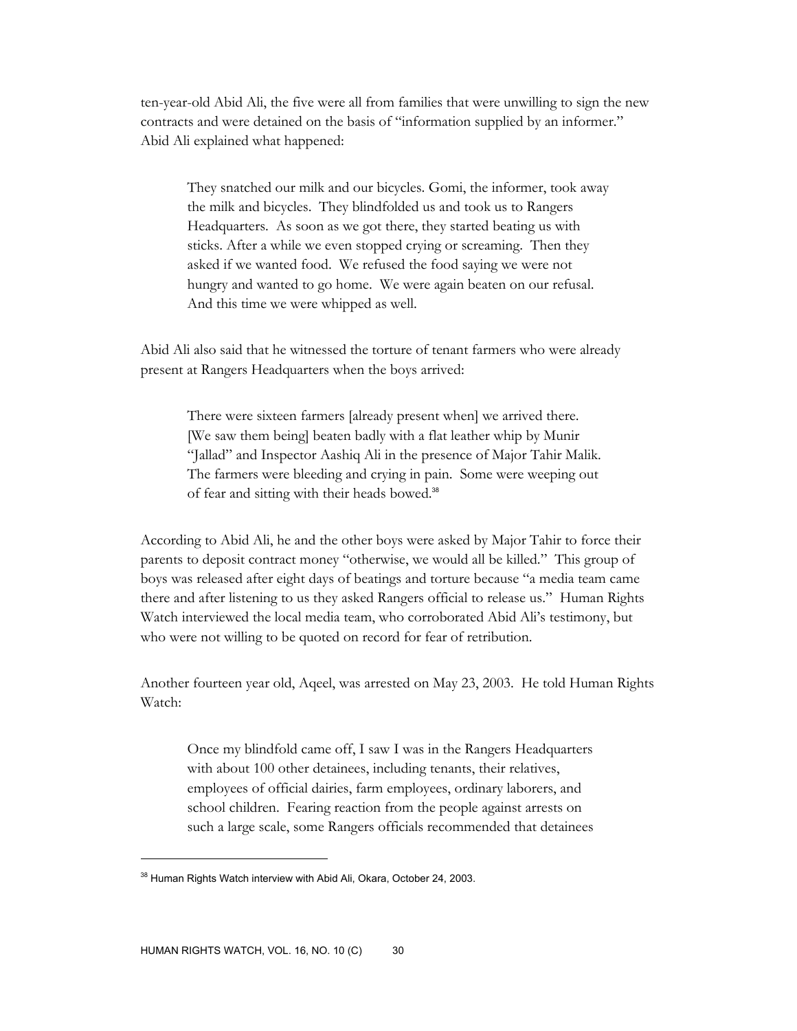ten-year-old Abid Ali, the five were all from families that were unwilling to sign the new contracts and were detained on the basis of "information supplied by an informer." Abid Ali explained what happened:

They snatched our milk and our bicycles. Gomi, the informer, took away the milk and bicycles. They blindfolded us and took us to Rangers Headquarters. As soon as we got there, they started beating us with sticks. After a while we even stopped crying or screaming. Then they asked if we wanted food. We refused the food saying we were not hungry and wanted to go home. We were again beaten on our refusal. And this time we were whipped as well.

Abid Ali also said that he witnessed the torture of tenant farmers who were already present at Rangers Headquarters when the boys arrived:

There were sixteen farmers [already present when] we arrived there. [We saw them being] beaten badly with a flat leather whip by Munir "Jallad" and Inspector Aashiq Ali in the presence of Major Tahir Malik. The farmers were bleeding and crying in pain. Some were weeping out of fear and sitting with their heads bowed.<sup>38</sup>

According to Abid Ali, he and the other boys were asked by Major Tahir to force their parents to deposit contract money "otherwise, we would all be killed." This group of boys was released after eight days of beatings and torture because "a media team came there and after listening to us they asked Rangers official to release us." Human Rights Watch interviewed the local media team, who corroborated Abid Ali's testimony, but who were not willing to be quoted on record for fear of retribution.

Another fourteen year old, Aqeel, was arrested on May 23, 2003. He told Human Rights Watch:

Once my blindfold came off, I saw I was in the Rangers Headquarters with about 100 other detainees, including tenants, their relatives, employees of official dairies, farm employees, ordinary laborers, and school children. Fearing reaction from the people against arrests on such a large scale, some Rangers officials recommended that detainees

<sup>&</sup>lt;sup>38</sup> Human Rights Watch interview with Abid Ali, Okara, October 24, 2003.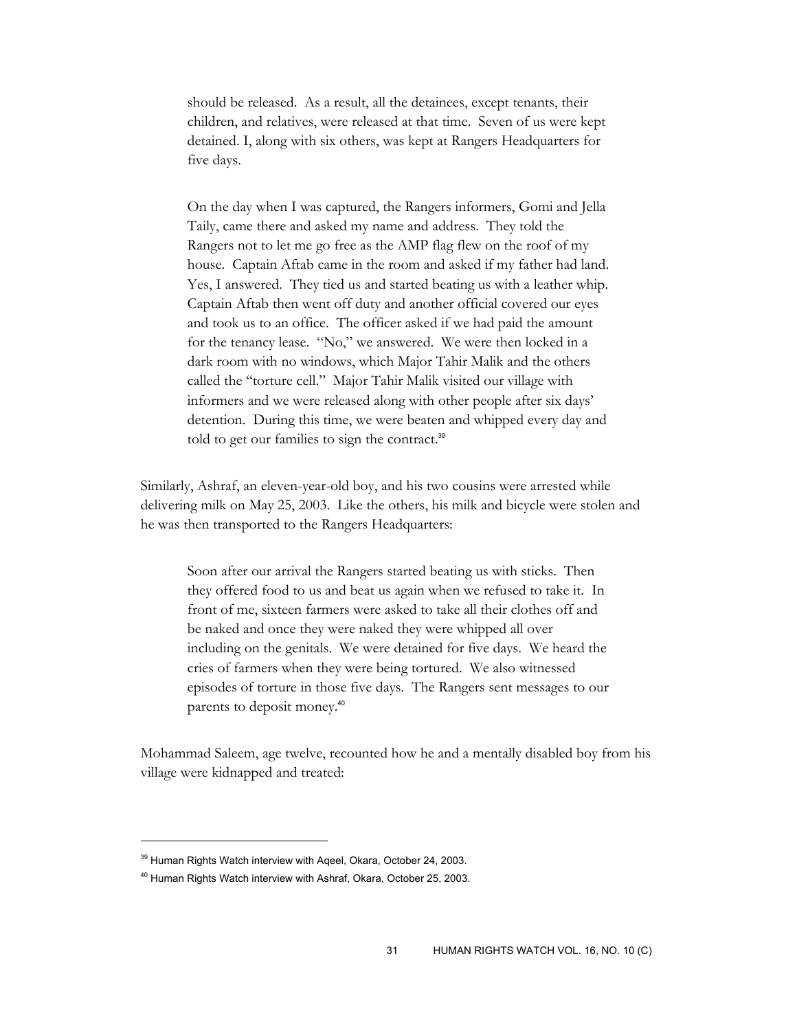should be released. As a result, all the detainees, except tenants, their children, and relatives, were released at that time. Seven of us were kept detained. I, along with six others, was kept at Rangers Headquarters for five days.

On the day when I was captured, the Rangers informers, Gomi and Jella Taily, came there and asked my name and address. They told the Rangers not to let me go free as the AMP flag flew on the roof of my house. Captain Aftab came in the room and asked if my father had land. Yes, I answered. They tied us and started beating us with a leather whip. Captain Aftab then went off duty and another official covered our eyes and took us to an office. The officer asked if we had paid the amount for the tenancy lease. "No," we answered. We were then locked in a dark room with no windows, which Major Tahir Malik and the others called the "torture cell." Major Tahir Malik visited our village with informers and we were released along with other people after six days' detention. During this time, we were beaten and whipped every day and told to get our families to sign the contract.<sup>39</sup>

Similarly, Ashraf, an eleven-year-old boy, and his two cousins were arrested while delivering milk on May 25, 2003. Like the others, his milk and bicycle were stolen and he was then transported to the Rangers Headquarters:

Soon after our arrival the Rangers started beating us with sticks. Then they offered food to us and beat us again when we refused to take it. In front of me, sixteen farmers were asked to take all their clothes off and be naked and once they were naked they were whipped all over including on the genitals. We were detained for five days. We heard the cries of farmers when they were being tortured. We also witnessed episodes of torture in those five days. The Rangers sent messages to our parents to deposit money.<sup>40</sup>

Mohammad Saleem, age twelve, recounted how he and a mentally disabled boy from his village were kidnapped and treated:

<sup>&</sup>lt;sup>39</sup> Human Rights Watch interview with Aqeel, Okara, October 24, 2003.

<sup>40</sup> Human Rights Watch interview with Ashraf, Okara, October 25, 2003.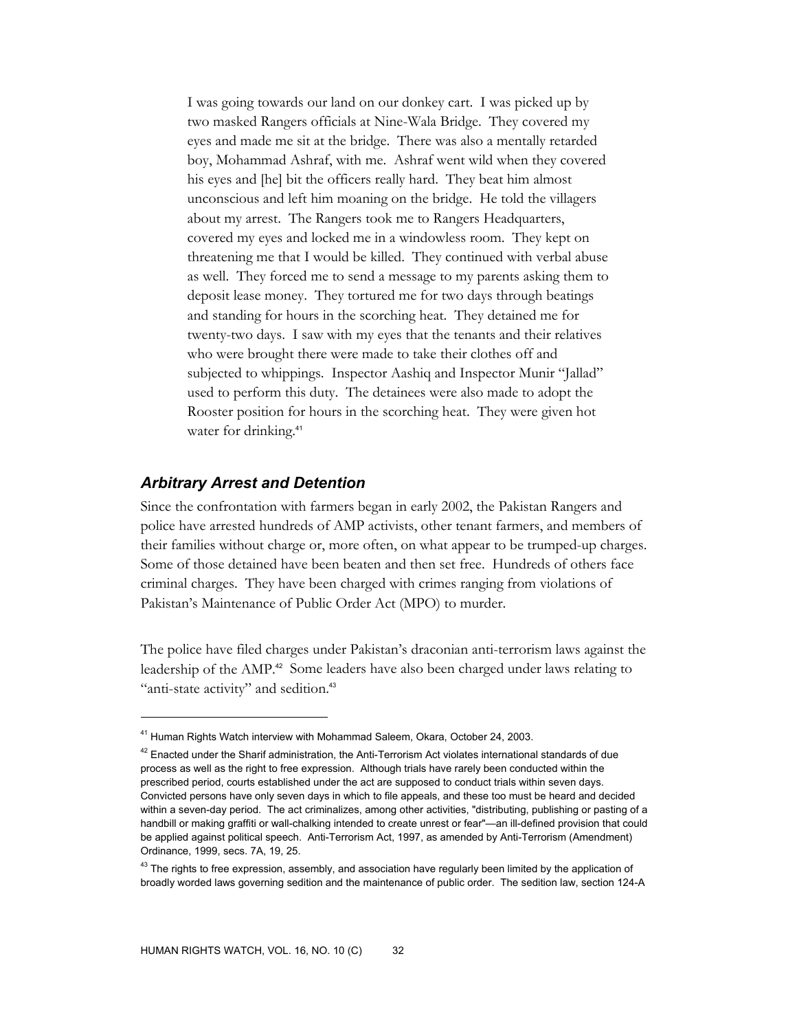I was going towards our land on our donkey cart. I was picked up by two masked Rangers officials at Nine-Wala Bridge. They covered my eyes and made me sit at the bridge. There was also a mentally retarded boy, Mohammad Ashraf, with me. Ashraf went wild when they covered his eyes and [he] bit the officers really hard. They beat him almost unconscious and left him moaning on the bridge. He told the villagers about my arrest. The Rangers took me to Rangers Headquarters, covered my eyes and locked me in a windowless room. They kept on threatening me that I would be killed. They continued with verbal abuse as well. They forced me to send a message to my parents asking them to deposit lease money. They tortured me for two days through beatings and standing for hours in the scorching heat. They detained me for twenty-two days. I saw with my eyes that the tenants and their relatives who were brought there were made to take their clothes off and subjected to whippings. Inspector Aashiq and Inspector Munir "Jallad" used to perform this duty. The detainees were also made to adopt the Rooster position for hours in the scorching heat. They were given hot water for drinking.<sup>41</sup>

#### *Arbitrary Arrest and Detention*

-

Since the confrontation with farmers began in early 2002, the Pakistan Rangers and police have arrested hundreds of AMP activists, other tenant farmers, and members of their families without charge or, more often, on what appear to be trumped-up charges. Some of those detained have been beaten and then set free. Hundreds of others face criminal charges. They have been charged with crimes ranging from violations of Pakistan's Maintenance of Public Order Act (MPO) to murder.

The police have filed charges under Pakistan's draconian anti-terrorism laws against the leadership of the AMP.<sup>42</sup> Some leaders have also been charged under laws relating to "anti-state activity" and sedition.<sup>43</sup>

<sup>&</sup>lt;sup>41</sup> Human Rights Watch interview with Mohammad Saleem, Okara, October 24, 2003.

 $42$  Enacted under the Sharif administration, the Anti-Terrorism Act violates international standards of due process as well as the right to free expression. Although trials have rarely been conducted within the prescribed period, courts established under the act are supposed to conduct trials within seven days. Convicted persons have only seven days in which to file appeals, and these too must be heard and decided within a seven-day period. The act criminalizes, among other activities, "distributing, publishing or pasting of a handbill or making graffiti or wall-chalking intended to create unrest or fear"—an ill-defined provision that could be applied against political speech. Anti-Terrorism Act, 1997, as amended by Anti-Terrorism (Amendment) Ordinance, 1999, secs. 7A, 19, 25.

<sup>&</sup>lt;sup>43</sup> The rights to free expression, assembly, and association have regularly been limited by the application of broadly worded laws governing sedition and the maintenance of public order. The sedition law, section 124-A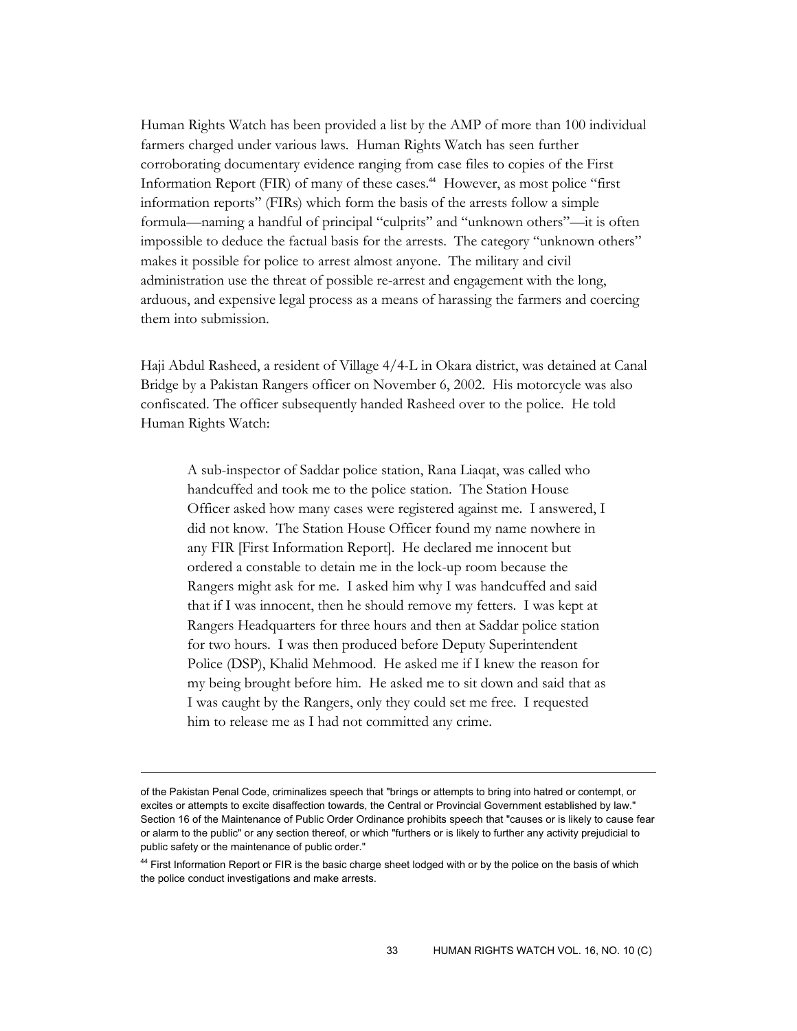Human Rights Watch has been provided a list by the AMP of more than 100 individual farmers charged under various laws. Human Rights Watch has seen further corroborating documentary evidence ranging from case files to copies of the First Information Report (FIR) of many of these cases.<sup>44</sup> However, as most police "first information reports" (FIRs) which form the basis of the arrests follow a simple formula—naming a handful of principal "culprits" and "unknown others"—it is often impossible to deduce the factual basis for the arrests. The category "unknown others" makes it possible for police to arrest almost anyone. The military and civil administration use the threat of possible re-arrest and engagement with the long, arduous, and expensive legal process as a means of harassing the farmers and coercing them into submission.

Haji Abdul Rasheed, a resident of Village 4/4-L in Okara district, was detained at Canal Bridge by a Pakistan Rangers officer on November 6, 2002. His motorcycle was also confiscated. The officer subsequently handed Rasheed over to the police. He told Human Rights Watch:

A sub-inspector of Saddar police station, Rana Liaqat, was called who handcuffed and took me to the police station. The Station House Officer asked how many cases were registered against me. I answered, I did not know. The Station House Officer found my name nowhere in any FIR [First Information Report]. He declared me innocent but ordered a constable to detain me in the lock-up room because the Rangers might ask for me. I asked him why I was handcuffed and said that if I was innocent, then he should remove my fetters. I was kept at Rangers Headquarters for three hours and then at Saddar police station for two hours. I was then produced before Deputy Superintendent Police (DSP), Khalid Mehmood. He asked me if I knew the reason for my being brought before him. He asked me to sit down and said that as I was caught by the Rangers, only they could set me free. I requested him to release me as I had not committed any crime.

of the Pakistan Penal Code, criminalizes speech that "brings or attempts to bring into hatred or contempt, or excites or attempts to excite disaffection towards, the Central or Provincial Government established by law." Section 16 of the Maintenance of Public Order Ordinance prohibits speech that "causes or is likely to cause fear or alarm to the public" or any section thereof, or which "furthers or is likely to further any activity prejudicial to public safety or the maintenance of public order."

<sup>&</sup>lt;sup>44</sup> First Information Report or FIR is the basic charge sheet lodged with or by the police on the basis of which the police conduct investigations and make arrests.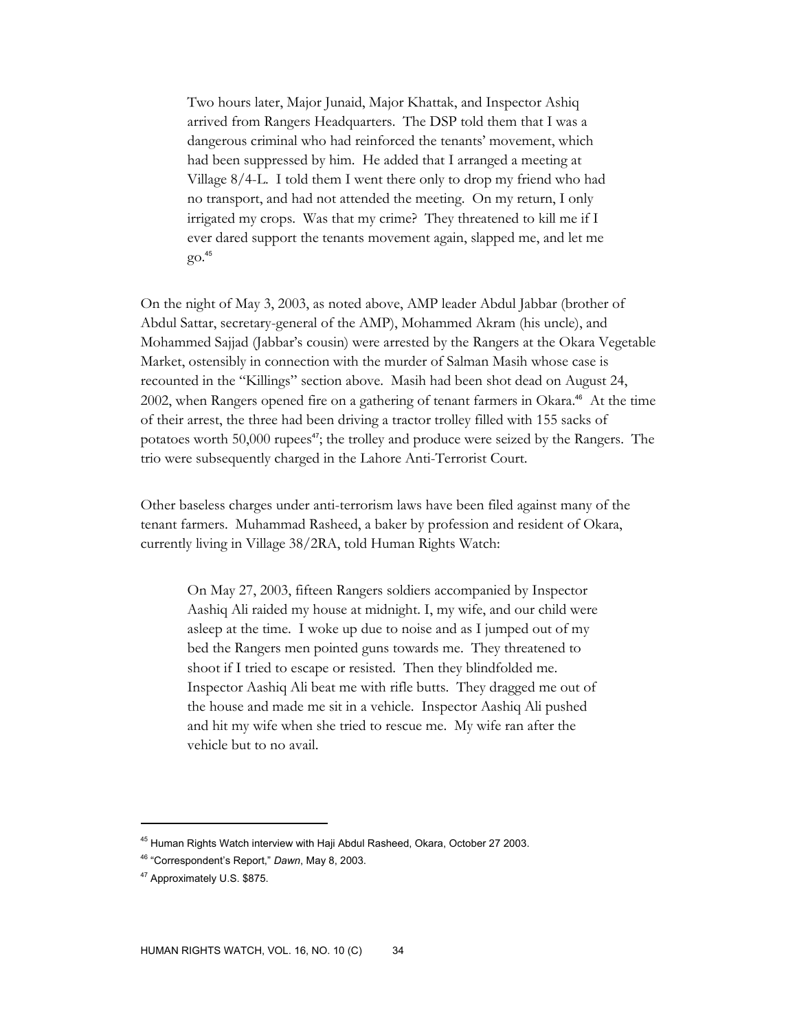Two hours later, Major Junaid, Major Khattak, and Inspector Ashiq arrived from Rangers Headquarters. The DSP told them that I was a dangerous criminal who had reinforced the tenants' movement, which had been suppressed by him. He added that I arranged a meeting at Village 8/4-L. I told them I went there only to drop my friend who had no transport, and had not attended the meeting. On my return, I only irrigated my crops. Was that my crime? They threatened to kill me if I ever dared support the tenants movement again, slapped me, and let me go.<sup>45</sup>

On the night of May 3, 2003, as noted above, AMP leader Abdul Jabbar (brother of Abdul Sattar, secretary-general of the AMP), Mohammed Akram (his uncle), and Mohammed Sajjad (Jabbar's cousin) were arrested by the Rangers at the Okara Vegetable Market, ostensibly in connection with the murder of Salman Masih whose case is recounted in the "Killings" section above. Masih had been shot dead on August 24, 2002, when Rangers opened fire on a gathering of tenant farmers in Okara.<sup>46</sup> At the time of their arrest, the three had been driving a tractor trolley filled with 155 sacks of potatoes worth 50,000 rupees<sup>47</sup>; the trolley and produce were seized by the Rangers. The trio were subsequently charged in the Lahore Anti-Terrorist Court.

Other baseless charges under anti-terrorism laws have been filed against many of the tenant farmers. Muhammad Rasheed, a baker by profession and resident of Okara, currently living in Village 38/2RA, told Human Rights Watch:

On May 27, 2003, fifteen Rangers soldiers accompanied by Inspector Aashiq Ali raided my house at midnight. I, my wife, and our child were asleep at the time. I woke up due to noise and as I jumped out of my bed the Rangers men pointed guns towards me. They threatened to shoot if I tried to escape or resisted. Then they blindfolded me. Inspector Aashiq Ali beat me with rifle butts. They dragged me out of the house and made me sit in a vehicle. Inspector Aashiq Ali pushed and hit my wife when she tried to rescue me. My wife ran after the vehicle but to no avail.

<sup>&</sup>lt;sup>45</sup> Human Rights Watch interview with Haji Abdul Rasheed, Okara, October 27 2003.

<sup>46 &</sup>quot;Correspondent's Report," *Dawn*, May 8, 2003.

<sup>47</sup> Approximately U.S. \$875.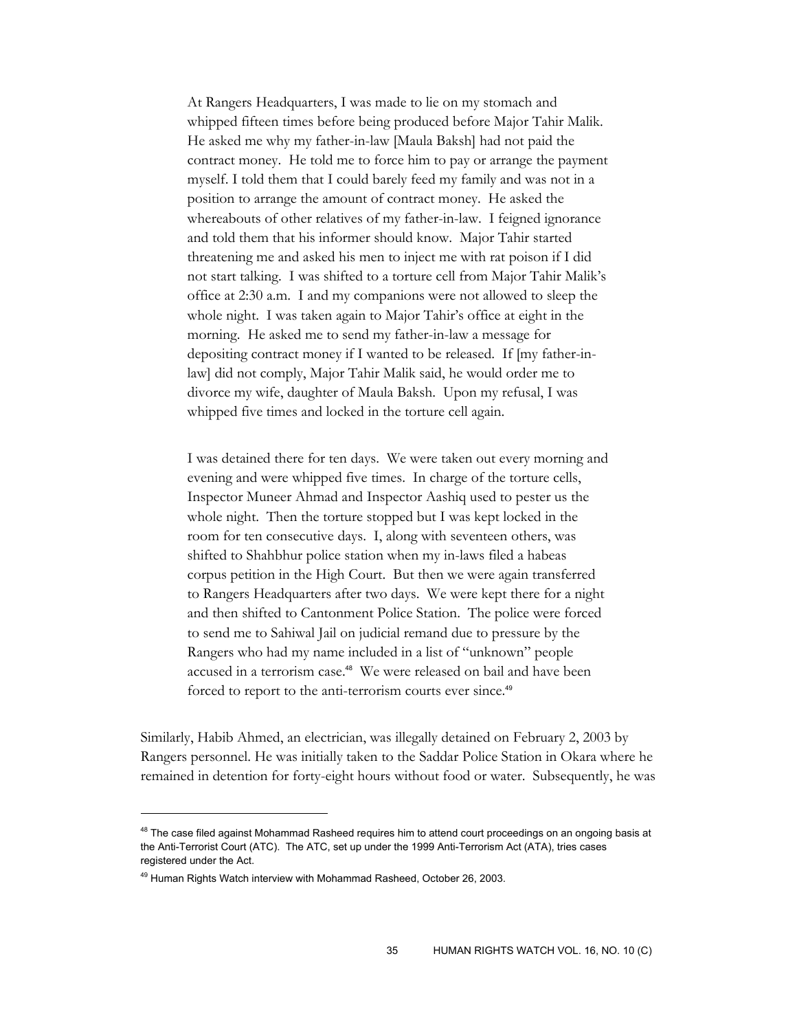At Rangers Headquarters, I was made to lie on my stomach and whipped fifteen times before being produced before Major Tahir Malik. He asked me why my father-in-law [Maula Baksh] had not paid the contract money. He told me to force him to pay or arrange the payment myself. I told them that I could barely feed my family and was not in a position to arrange the amount of contract money. He asked the whereabouts of other relatives of my father-in-law. I feigned ignorance and told them that his informer should know. Major Tahir started threatening me and asked his men to inject me with rat poison if I did not start talking. I was shifted to a torture cell from Major Tahir Malik's office at 2:30 a.m. I and my companions were not allowed to sleep the whole night. I was taken again to Major Tahir's office at eight in the morning. He asked me to send my father-in-law a message for depositing contract money if I wanted to be released. If [my father-inlaw] did not comply, Major Tahir Malik said, he would order me to divorce my wife, daughter of Maula Baksh. Upon my refusal, I was whipped five times and locked in the torture cell again.

I was detained there for ten days. We were taken out every morning and evening and were whipped five times. In charge of the torture cells, Inspector Muneer Ahmad and Inspector Aashiq used to pester us the whole night. Then the torture stopped but I was kept locked in the room for ten consecutive days. I, along with seventeen others, was shifted to Shahbhur police station when my in-laws filed a habeas corpus petition in the High Court. But then we were again transferred to Rangers Headquarters after two days. We were kept there for a night and then shifted to Cantonment Police Station. The police were forced to send me to Sahiwal Jail on judicial remand due to pressure by the Rangers who had my name included in a list of "unknown" people accused in a terrorism case.<sup>48</sup> We were released on bail and have been forced to report to the anti-terrorism courts ever since.<sup>49</sup>

Similarly, Habib Ahmed, an electrician, was illegally detained on February 2, 2003 by Rangers personnel. He was initially taken to the Saddar Police Station in Okara where he remained in detention for forty-eight hours without food or water. Subsequently, he was

<sup>&</sup>lt;sup>48</sup> The case filed against Mohammad Rasheed requires him to attend court proceedings on an ongoing basis at the Anti-Terrorist Court (ATC). The ATC, set up under the 1999 Anti-Terrorism Act (ATA), tries cases registered under the Act.

<sup>&</sup>lt;sup>49</sup> Human Rights Watch interview with Mohammad Rasheed, October 26, 2003.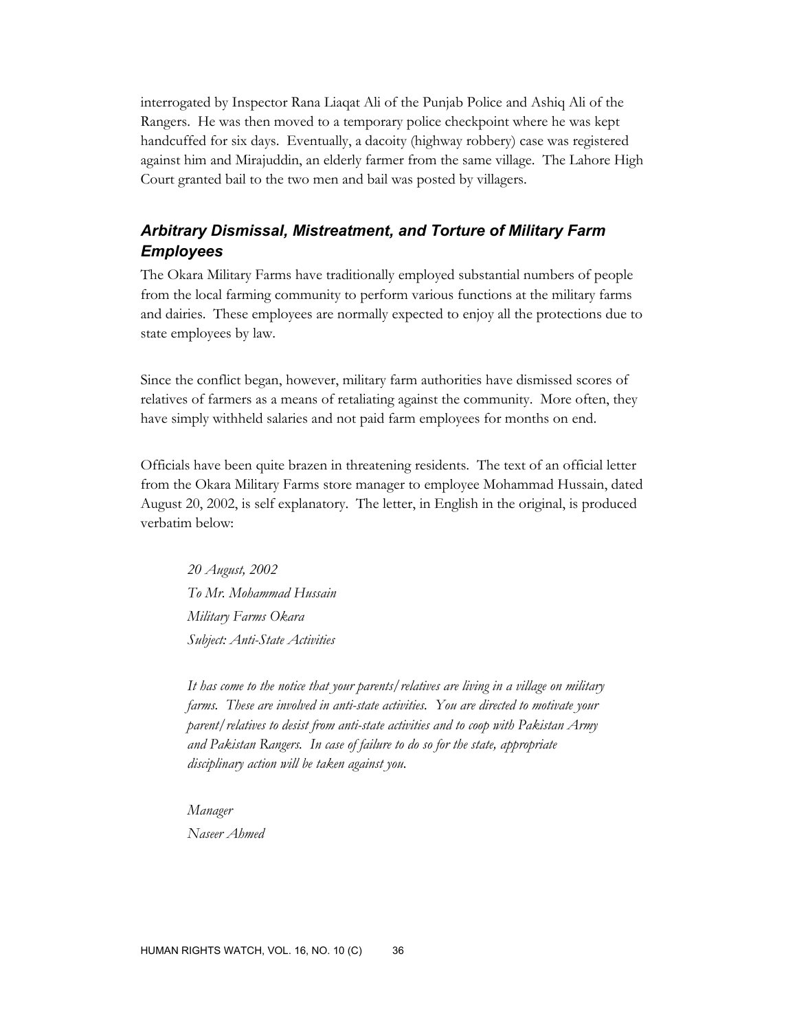interrogated by Inspector Rana Liaqat Ali of the Punjab Police and Ashiq Ali of the Rangers. He was then moved to a temporary police checkpoint where he was kept handcuffed for six days. Eventually, a dacoity (highway robbery) case was registered against him and Mirajuddin, an elderly farmer from the same village. The Lahore High Court granted bail to the two men and bail was posted by villagers.

# *Arbitrary Dismissal, Mistreatment, and Torture of Military Farm Employees*

The Okara Military Farms have traditionally employed substantial numbers of people from the local farming community to perform various functions at the military farms and dairies. These employees are normally expected to enjoy all the protections due to state employees by law.

Since the conflict began, however, military farm authorities have dismissed scores of relatives of farmers as a means of retaliating against the community. More often, they have simply withheld salaries and not paid farm employees for months on end.

Officials have been quite brazen in threatening residents. The text of an official letter from the Okara Military Farms store manager to employee Mohammad Hussain, dated August 20, 2002, is self explanatory. The letter, in English in the original, is produced verbatim below:

*20 August, 2002 To Mr. Mohammad Hussain Military Farms Okara Subject: Anti-State Activities* 

*It has come to the notice that your parents/relatives are living in a village on military farms. These are involved in anti-state activities. You are directed to motivate your parent/relatives to desist from anti-state activities and to coop with Pakistan Army and Pakistan Rangers. In case of failure to do so for the state, appropriate disciplinary action will be taken against you.* 

*Manager Naseer Ahmed*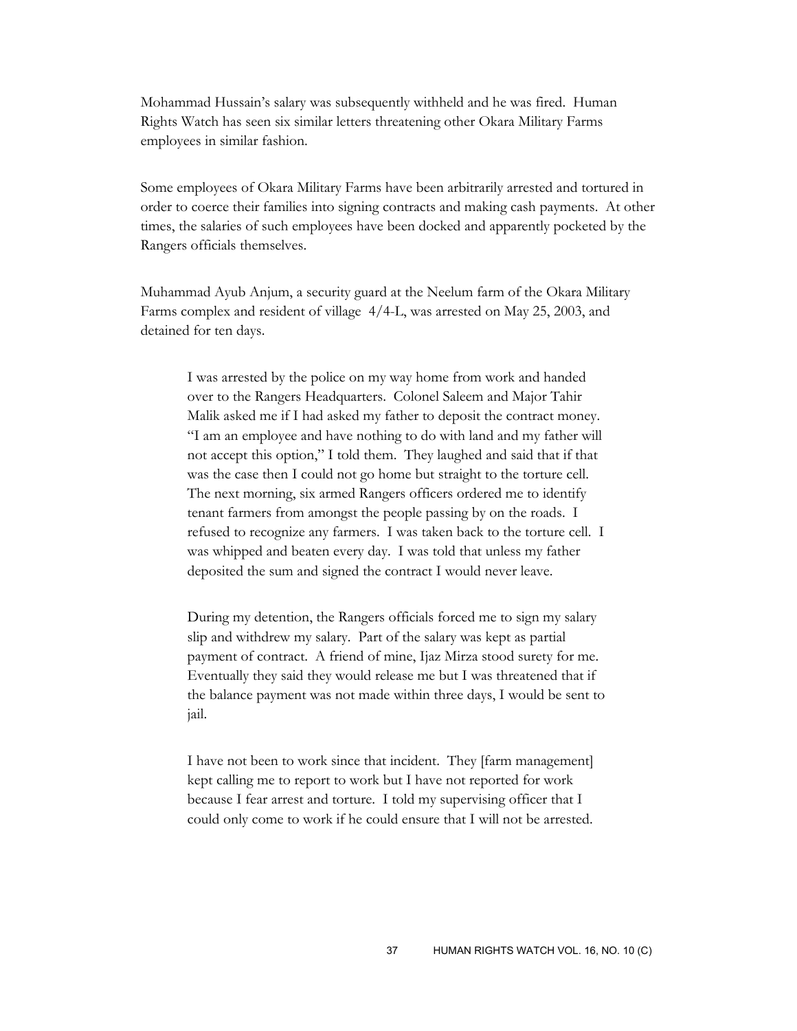Mohammad Hussain's salary was subsequently withheld and he was fired. Human Rights Watch has seen six similar letters threatening other Okara Military Farms employees in similar fashion.

Some employees of Okara Military Farms have been arbitrarily arrested and tortured in order to coerce their families into signing contracts and making cash payments. At other times, the salaries of such employees have been docked and apparently pocketed by the Rangers officials themselves.

Muhammad Ayub Anjum, a security guard at the Neelum farm of the Okara Military Farms complex and resident of village 4/4-L, was arrested on May 25, 2003, and detained for ten days.

I was arrested by the police on my way home from work and handed over to the Rangers Headquarters. Colonel Saleem and Major Tahir Malik asked me if I had asked my father to deposit the contract money. "I am an employee and have nothing to do with land and my father will not accept this option," I told them. They laughed and said that if that was the case then I could not go home but straight to the torture cell. The next morning, six armed Rangers officers ordered me to identify tenant farmers from amongst the people passing by on the roads. I refused to recognize any farmers. I was taken back to the torture cell. I was whipped and beaten every day. I was told that unless my father deposited the sum and signed the contract I would never leave.

During my detention, the Rangers officials forced me to sign my salary slip and withdrew my salary. Part of the salary was kept as partial payment of contract. A friend of mine, Ijaz Mirza stood surety for me. Eventually they said they would release me but I was threatened that if the balance payment was not made within three days, I would be sent to jail.

I have not been to work since that incident. They [farm management] kept calling me to report to work but I have not reported for work because I fear arrest and torture. I told my supervising officer that I could only come to work if he could ensure that I will not be arrested.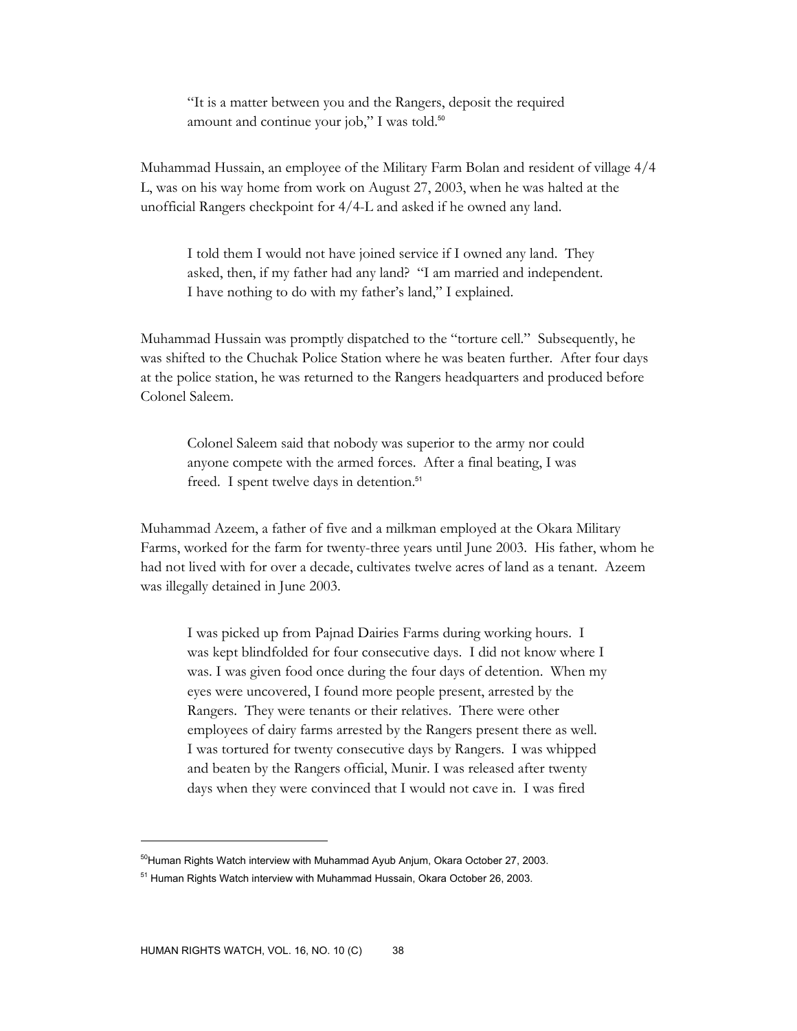"It is a matter between you and the Rangers, deposit the required amount and continue your job," I was told.<sup>50</sup>

Muhammad Hussain, an employee of the Military Farm Bolan and resident of village 4/4 L, was on his way home from work on August 27, 2003, when he was halted at the unofficial Rangers checkpoint for 4/4-L and asked if he owned any land.

I told them I would not have joined service if I owned any land. They asked, then, if my father had any land? "I am married and independent. I have nothing to do with my father's land," I explained.

Muhammad Hussain was promptly dispatched to the "torture cell." Subsequently, he was shifted to the Chuchak Police Station where he was beaten further. After four days at the police station, he was returned to the Rangers headquarters and produced before Colonel Saleem.

Colonel Saleem said that nobody was superior to the army nor could anyone compete with the armed forces. After a final beating, I was freed. I spent twelve days in detention.<sup>51</sup>

Muhammad Azeem, a father of five and a milkman employed at the Okara Military Farms, worked for the farm for twenty-three years until June 2003. His father, whom he had not lived with for over a decade, cultivates twelve acres of land as a tenant. Azeem was illegally detained in June 2003.

I was picked up from Pajnad Dairies Farms during working hours. I was kept blindfolded for four consecutive days. I did not know where I was. I was given food once during the four days of detention. When my eyes were uncovered, I found more people present, arrested by the Rangers. They were tenants or their relatives. There were other employees of dairy farms arrested by the Rangers present there as well. I was tortured for twenty consecutive days by Rangers. I was whipped and beaten by the Rangers official, Munir. I was released after twenty days when they were convinced that I would not cave in. I was fired

 $50$ Human Rights Watch interview with Muhammad Ayub Anjum, Okara October 27, 2003.

<sup>&</sup>lt;sup>51</sup> Human Rights Watch interview with Muhammad Hussain, Okara October 26, 2003.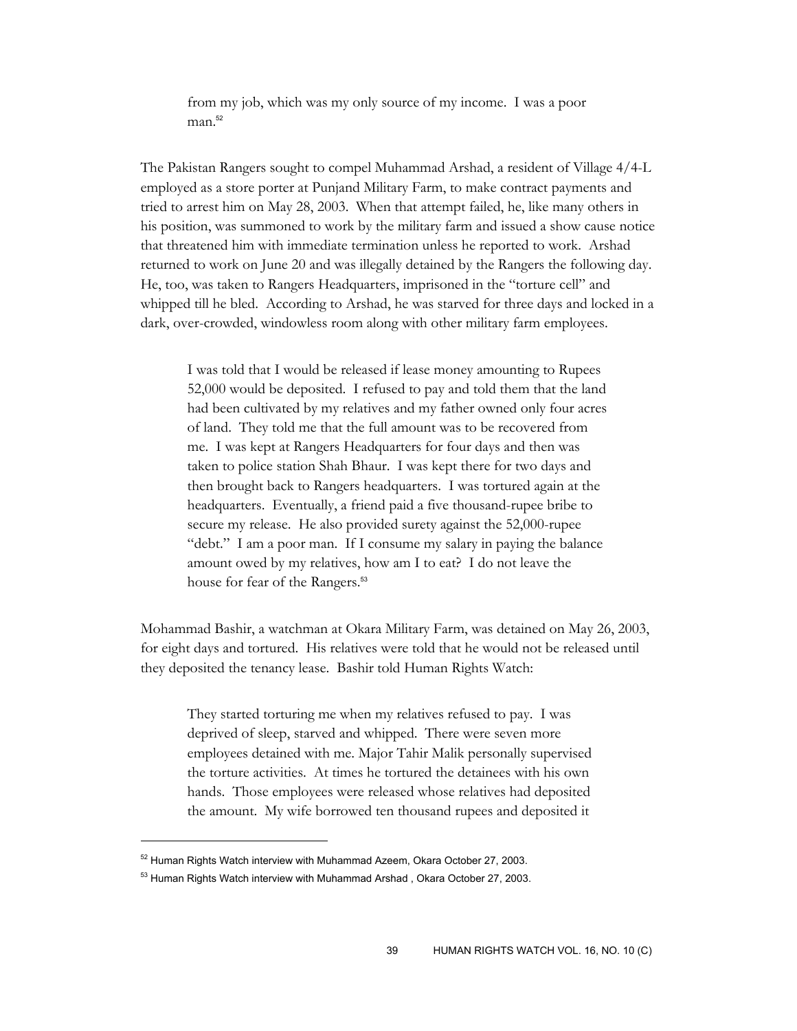from my job, which was my only source of my income. I was a poor  $man.<sup>52</sup>$ 

The Pakistan Rangers sought to compel Muhammad Arshad, a resident of Village 4/4-L employed as a store porter at Punjand Military Farm, to make contract payments and tried to arrest him on May 28, 2003. When that attempt failed, he, like many others in his position, was summoned to work by the military farm and issued a show cause notice that threatened him with immediate termination unless he reported to work. Arshad returned to work on June 20 and was illegally detained by the Rangers the following day. He, too, was taken to Rangers Headquarters, imprisoned in the "torture cell" and whipped till he bled. According to Arshad, he was starved for three days and locked in a dark, over-crowded, windowless room along with other military farm employees.

I was told that I would be released if lease money amounting to Rupees 52,000 would be deposited. I refused to pay and told them that the land had been cultivated by my relatives and my father owned only four acres of land. They told me that the full amount was to be recovered from me. I was kept at Rangers Headquarters for four days and then was taken to police station Shah Bhaur. I was kept there for two days and then brought back to Rangers headquarters. I was tortured again at the headquarters. Eventually, a friend paid a five thousand-rupee bribe to secure my release. He also provided surety against the 52,000-rupee "debt." I am a poor man. If I consume my salary in paying the balance amount owed by my relatives, how am I to eat? I do not leave the house for fear of the Rangers.<sup>53</sup>

Mohammad Bashir, a watchman at Okara Military Farm, was detained on May 26, 2003, for eight days and tortured. His relatives were told that he would not be released until they deposited the tenancy lease. Bashir told Human Rights Watch:

They started torturing me when my relatives refused to pay. I was deprived of sleep, starved and whipped. There were seven more employees detained with me. Major Tahir Malik personally supervised the torture activities. At times he tortured the detainees with his own hands. Those employees were released whose relatives had deposited the amount. My wife borrowed ten thousand rupees and deposited it

<sup>52</sup> Human Rights Watch interview with Muhammad Azeem, Okara October 27, 2003.

<sup>&</sup>lt;sup>53</sup> Human Rights Watch interview with Muhammad Arshad, Okara October 27, 2003.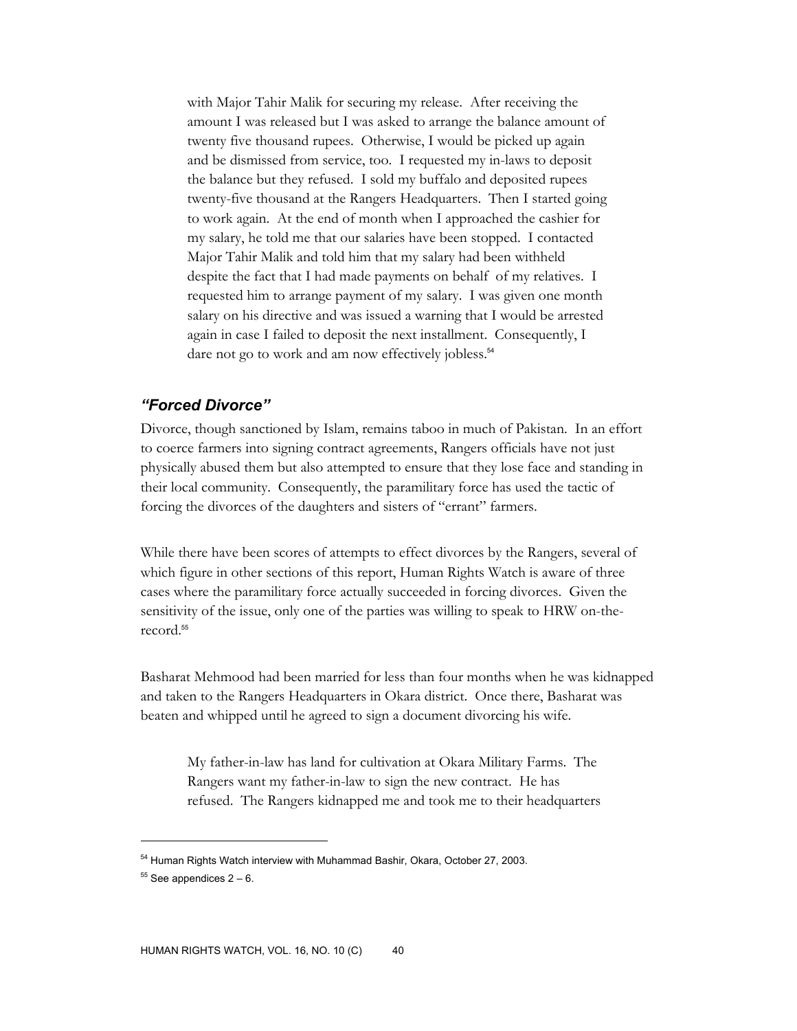with Major Tahir Malik for securing my release. After receiving the amount I was released but I was asked to arrange the balance amount of twenty five thousand rupees. Otherwise, I would be picked up again and be dismissed from service, too. I requested my in-laws to deposit the balance but they refused. I sold my buffalo and deposited rupees twenty-five thousand at the Rangers Headquarters. Then I started going to work again. At the end of month when I approached the cashier for my salary, he told me that our salaries have been stopped. I contacted Major Tahir Malik and told him that my salary had been withheld despite the fact that I had made payments on behalf of my relatives. I requested him to arrange payment of my salary. I was given one month salary on his directive and was issued a warning that I would be arrested again in case I failed to deposit the next installment. Consequently, I dare not go to work and am now effectively jobless.<sup>54</sup>

#### *"Forced Divorce"*

Divorce, though sanctioned by Islam, remains taboo in much of Pakistan. In an effort to coerce farmers into signing contract agreements, Rangers officials have not just physically abused them but also attempted to ensure that they lose face and standing in their local community. Consequently, the paramilitary force has used the tactic of forcing the divorces of the daughters and sisters of "errant" farmers.

While there have been scores of attempts to effect divorces by the Rangers, several of which figure in other sections of this report, Human Rights Watch is aware of three cases where the paramilitary force actually succeeded in forcing divorces. Given the sensitivity of the issue, only one of the parties was willing to speak to HRW on-therecord.<sup>55</sup>

Basharat Mehmood had been married for less than four months when he was kidnapped and taken to the Rangers Headquarters in Okara district. Once there, Basharat was beaten and whipped until he agreed to sign a document divorcing his wife.

My father-in-law has land for cultivation at Okara Military Farms. The Rangers want my father-in-law to sign the new contract. He has refused. The Rangers kidnapped me and took me to their headquarters

<sup>&</sup>lt;sup>54</sup> Human Rights Watch interview with Muhammad Bashir, Okara, October 27, 2003.

 $55$  See appendices  $2 - 6$ .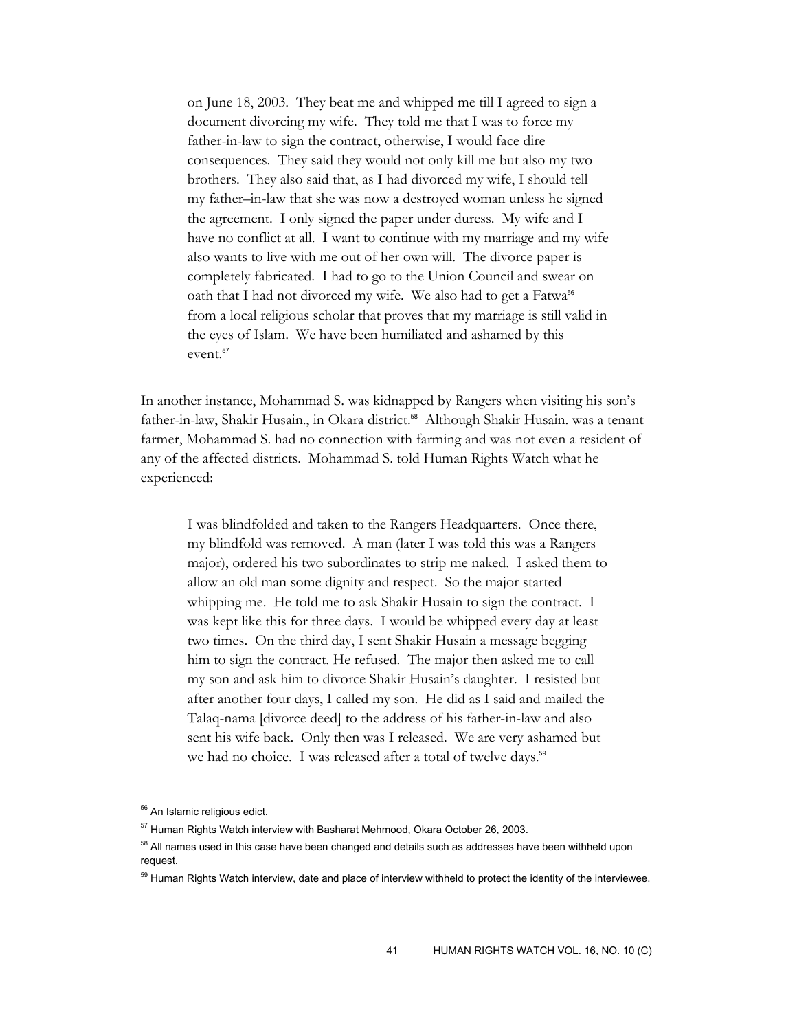on June 18, 2003. They beat me and whipped me till I agreed to sign a document divorcing my wife. They told me that I was to force my father-in-law to sign the contract, otherwise, I would face dire consequences. They said they would not only kill me but also my two brothers. They also said that, as I had divorced my wife, I should tell my father–in-law that she was now a destroyed woman unless he signed the agreement. I only signed the paper under duress. My wife and I have no conflict at all. I want to continue with my marriage and my wife also wants to live with me out of her own will. The divorce paper is completely fabricated. I had to go to the Union Council and swear on oath that I had not divorced my wife. We also had to get a Fatwa<sup>56</sup> from a local religious scholar that proves that my marriage is still valid in the eyes of Islam. We have been humiliated and ashamed by this event.<sup>57</sup>

In another instance, Mohammad S. was kidnapped by Rangers when visiting his son's father-in-law, Shakir Husain., in Okara district.<sup>58</sup> Although Shakir Husain. was a tenant farmer, Mohammad S. had no connection with farming and was not even a resident of any of the affected districts. Mohammad S. told Human Rights Watch what he experienced:

I was blindfolded and taken to the Rangers Headquarters. Once there, my blindfold was removed. A man (later I was told this was a Rangers major), ordered his two subordinates to strip me naked. I asked them to allow an old man some dignity and respect. So the major started whipping me. He told me to ask Shakir Husain to sign the contract. I was kept like this for three days. I would be whipped every day at least two times. On the third day, I sent Shakir Husain a message begging him to sign the contract. He refused. The major then asked me to call my son and ask him to divorce Shakir Husain's daughter. I resisted but after another four days, I called my son. He did as I said and mailed the Talaq-nama [divorce deed] to the address of his father-in-law and also sent his wife back. Only then was I released. We are very ashamed but we had no choice. I was released after a total of twelve days.<sup>59</sup>

<sup>&</sup>lt;sup>56</sup> An Islamic religious edict.

<sup>57</sup> Human Rights Watch interview with Basharat Mehmood, Okara October 26, 2003.

<sup>&</sup>lt;sup>58</sup> All names used in this case have been changed and details such as addresses have been withheld upon request.

<sup>&</sup>lt;sup>59</sup> Human Rights Watch interview, date and place of interview withheld to protect the identity of the interviewee.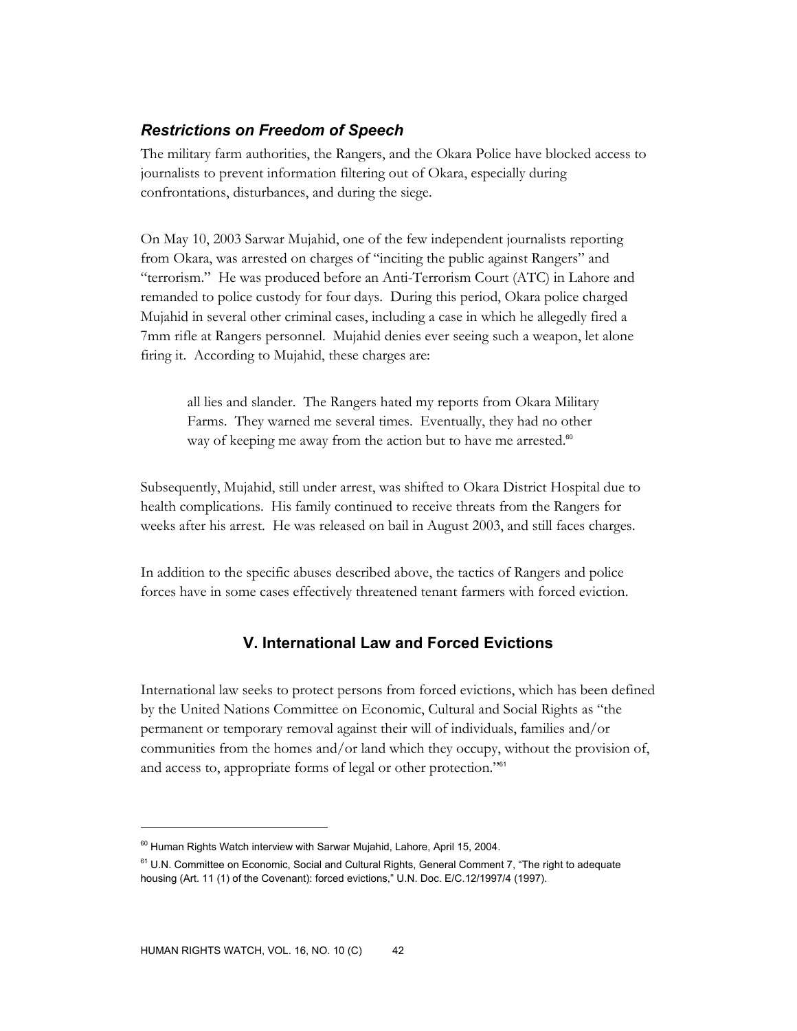# *Restrictions on Freedom of Speech*

The military farm authorities, the Rangers, and the Okara Police have blocked access to journalists to prevent information filtering out of Okara, especially during confrontations, disturbances, and during the siege.

On May 10, 2003 Sarwar Mujahid, one of the few independent journalists reporting from Okara, was arrested on charges of "inciting the public against Rangers" and "terrorism." He was produced before an Anti-Terrorism Court (ATC) in Lahore and remanded to police custody for four days. During this period, Okara police charged Mujahid in several other criminal cases, including a case in which he allegedly fired a 7mm rifle at Rangers personnel. Mujahid denies ever seeing such a weapon, let alone firing it. According to Mujahid, these charges are:

all lies and slander. The Rangers hated my reports from Okara Military Farms. They warned me several times. Eventually, they had no other way of keeping me away from the action but to have me arrested.<sup>60</sup>

Subsequently, Mujahid, still under arrest, was shifted to Okara District Hospital due to health complications. His family continued to receive threats from the Rangers for weeks after his arrest. He was released on bail in August 2003, and still faces charges.

In addition to the specific abuses described above, the tactics of Rangers and police forces have in some cases effectively threatened tenant farmers with forced eviction.

# **V. International Law and Forced Evictions**

International law seeks to protect persons from forced evictions, which has been defined by the United Nations Committee on Economic, Cultural and Social Rights as "the permanent or temporary removal against their will of individuals, families and/or communities from the homes and/or land which they occupy, without the provision of, and access to, appropriate forms of legal or other protection."<sup>61</sup>

 $^{60}$  Human Rights Watch interview with Sarwar Mujahid, Lahore, April 15, 2004.

<sup>&</sup>lt;sup>61</sup> U.N. Committee on Economic, Social and Cultural Rights, General Comment 7, "The right to adequate housing (Art. 11 (1) of the Covenant): forced evictions," U.N. Doc. E/C.12/1997/4 (1997).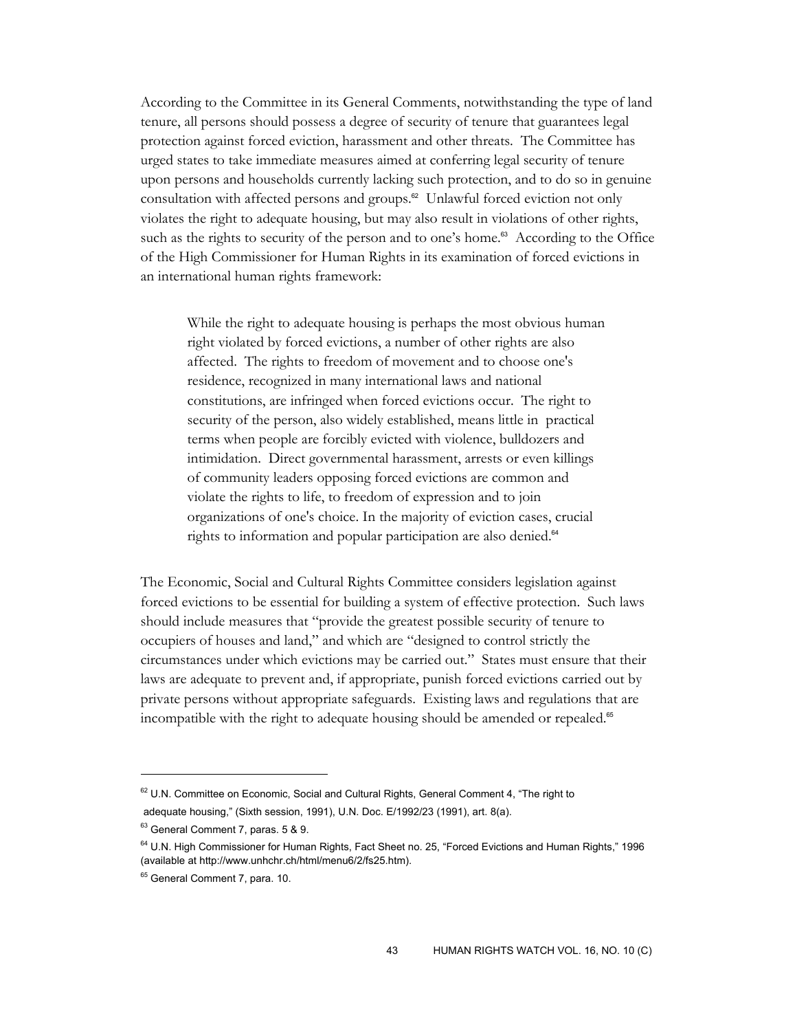According to the Committee in its General Comments, notwithstanding the type of land tenure, all persons should possess a degree of security of tenure that guarantees legal protection against forced eviction, harassment and other threats. The Committee has urged states to take immediate measures aimed at conferring legal security of tenure upon persons and households currently lacking such protection, and to do so in genuine consultation with affected persons and groups.62 Unlawful forced eviction not only violates the right to adequate housing, but may also result in violations of other rights, such as the rights to security of the person and to one's home.<sup>63</sup> According to the Office of the High Commissioner for Human Rights in its examination of forced evictions in an international human rights framework:

While the right to adequate housing is perhaps the most obvious human right violated by forced evictions, a number of other rights are also affected. The rights to freedom of movement and to choose one's residence, recognized in many international laws and national constitutions, are infringed when forced evictions occur. The right to security of the person, also widely established, means little in practical terms when people are forcibly evicted with violence, bulldozers and intimidation. Direct governmental harassment, arrests or even killings of community leaders opposing forced evictions are common and violate the rights to life, to freedom of expression and to join organizations of one's choice. In the majority of eviction cases, crucial rights to information and popular participation are also denied.<sup>64</sup>

The Economic, Social and Cultural Rights Committee considers legislation against forced evictions to be essential for building a system of effective protection. Such laws should include measures that "provide the greatest possible security of tenure to occupiers of houses and land," and which are "designed to control strictly the circumstances under which evictions may be carried out." States must ensure that their laws are adequate to prevent and, if appropriate, punish forced evictions carried out by private persons without appropriate safeguards. Existing laws and regulations that are incompatible with the right to adequate housing should be amended or repealed.<sup>65</sup>

<sup>&</sup>lt;sup>62</sup> U.N. Committee on Economic, Social and Cultural Rights, General Comment 4, "The right to adequate housing," (Sixth session, 1991), U.N. Doc. E/1992/23 (1991), art. 8(a).

<sup>63</sup> General Comment 7, paras. 5 & 9.

<sup>&</sup>lt;sup>64</sup> U.N. High Commissioner for Human Rights, Fact Sheet no. 25, "Forced Evictions and Human Rights," 1996 (available at http://www.unhchr.ch/html/menu6/2/fs25.htm).

<sup>&</sup>lt;sup>65</sup> General Comment 7, para. 10.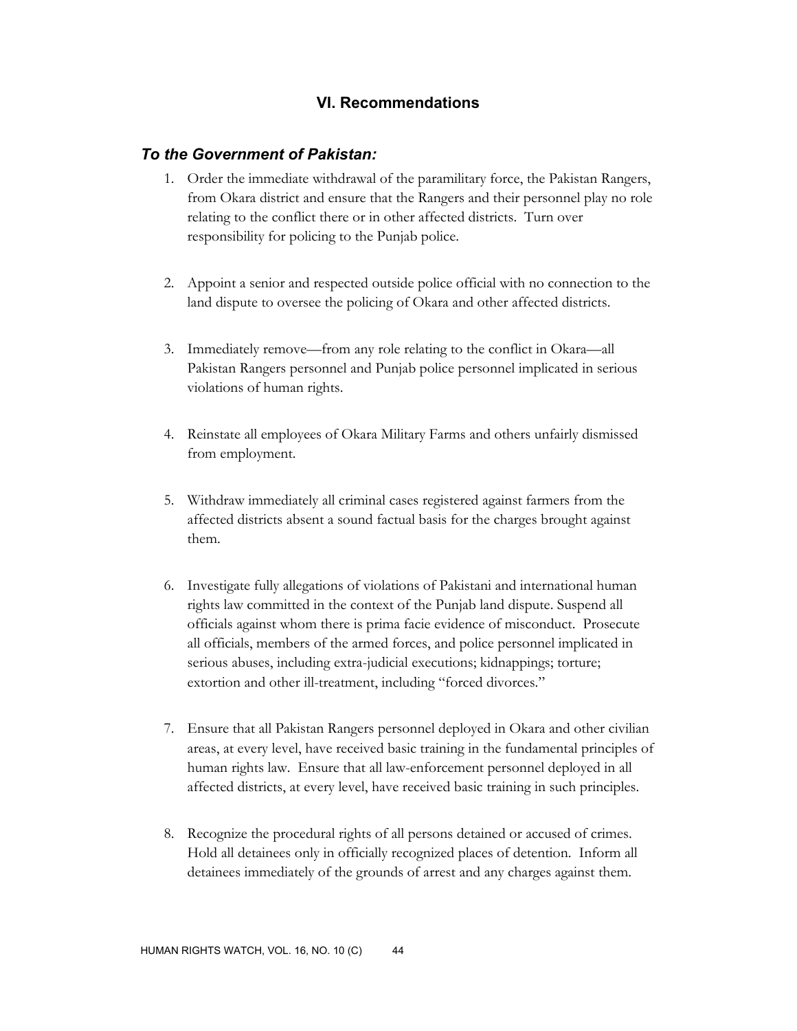# **VI. Recommendations**

## *To the Government of Pakistan:*

- 1. Order the immediate withdrawal of the paramilitary force, the Pakistan Rangers, from Okara district and ensure that the Rangers and their personnel play no role relating to the conflict there or in other affected districts. Turn over responsibility for policing to the Punjab police.
- 2. Appoint a senior and respected outside police official with no connection to the land dispute to oversee the policing of Okara and other affected districts.
- 3. Immediately remove—from any role relating to the conflict in Okara—all Pakistan Rangers personnel and Punjab police personnel implicated in serious violations of human rights.
- 4. Reinstate all employees of Okara Military Farms and others unfairly dismissed from employment.
- 5. Withdraw immediately all criminal cases registered against farmers from the affected districts absent a sound factual basis for the charges brought against them.
- 6. Investigate fully allegations of violations of Pakistani and international human rights law committed in the context of the Punjab land dispute. Suspend all officials against whom there is prima facie evidence of misconduct. Prosecute all officials, members of the armed forces, and police personnel implicated in serious abuses, including extra-judicial executions; kidnappings; torture; extortion and other ill-treatment, including "forced divorces."
- 7. Ensure that all Pakistan Rangers personnel deployed in Okara and other civilian areas, at every level, have received basic training in the fundamental principles of human rights law. Ensure that all law-enforcement personnel deployed in all affected districts, at every level, have received basic training in such principles.
- 8. Recognize the procedural rights of all persons detained or accused of crimes. Hold all detainees only in officially recognized places of detention. Inform all detainees immediately of the grounds of arrest and any charges against them.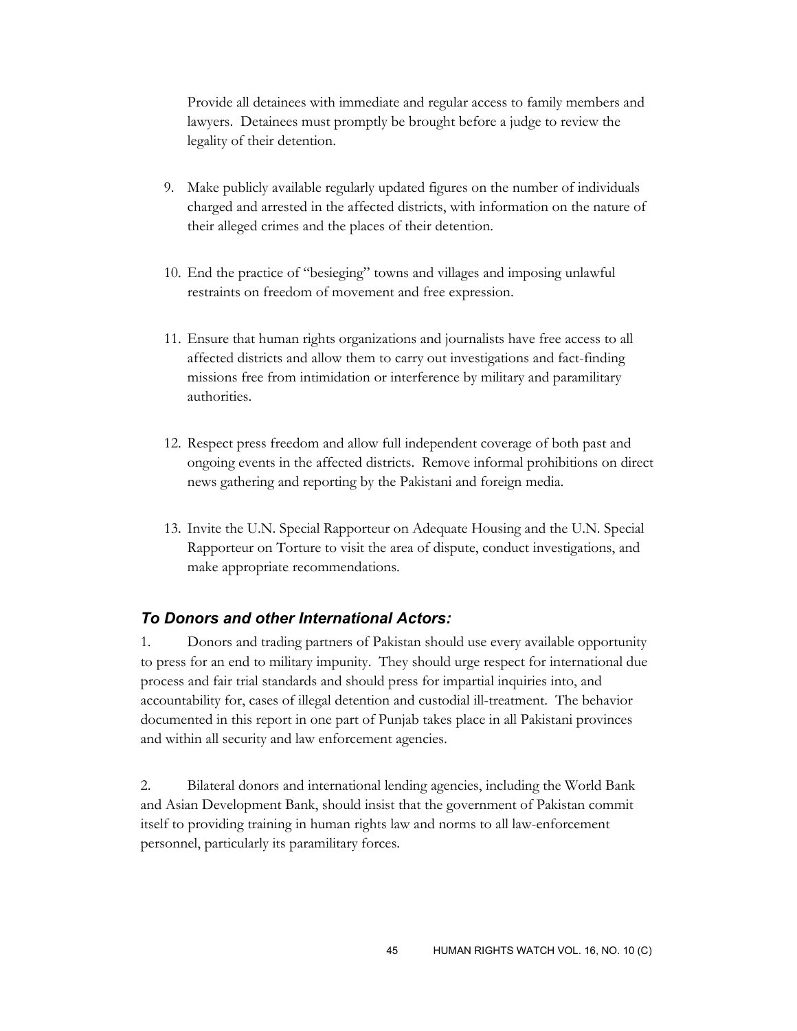Provide all detainees with immediate and regular access to family members and lawyers. Detainees must promptly be brought before a judge to review the legality of their detention.

- 9. Make publicly available regularly updated figures on the number of individuals charged and arrested in the affected districts, with information on the nature of their alleged crimes and the places of their detention.
- 10. End the practice of "besieging" towns and villages and imposing unlawful restraints on freedom of movement and free expression.
- 11. Ensure that human rights organizations and journalists have free access to all affected districts and allow them to carry out investigations and fact-finding missions free from intimidation or interference by military and paramilitary authorities.
- 12. Respect press freedom and allow full independent coverage of both past and ongoing events in the affected districts. Remove informal prohibitions on direct news gathering and reporting by the Pakistani and foreign media.
- 13. Invite the U.N. Special Rapporteur on Adequate Housing and the U.N. Special Rapporteur on Torture to visit the area of dispute, conduct investigations, and make appropriate recommendations.

# *To Donors and other International Actors:*

1. Donors and trading partners of Pakistan should use every available opportunity to press for an end to military impunity. They should urge respect for international due process and fair trial standards and should press for impartial inquiries into, and accountability for, cases of illegal detention and custodial ill-treatment. The behavior documented in this report in one part of Punjab takes place in all Pakistani provinces and within all security and law enforcement agencies.

2. Bilateral donors and international lending agencies, including the World Bank and Asian Development Bank, should insist that the government of Pakistan commit itself to providing training in human rights law and norms to all law-enforcement personnel, particularly its paramilitary forces.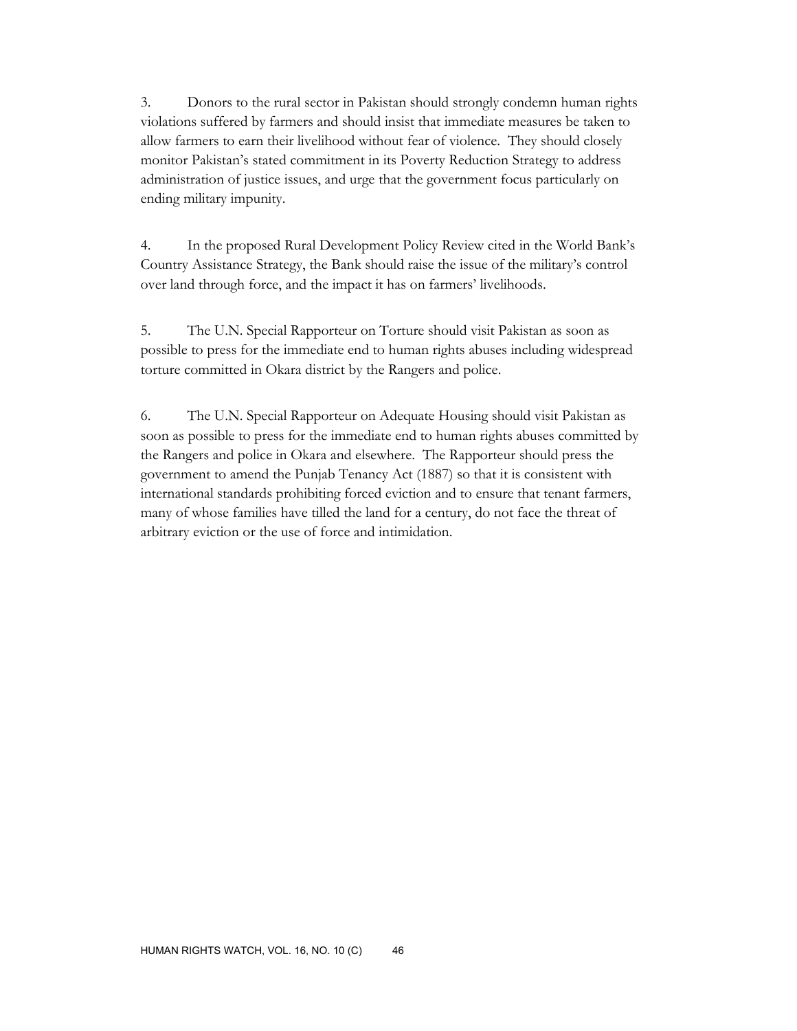3. Donors to the rural sector in Pakistan should strongly condemn human rights violations suffered by farmers and should insist that immediate measures be taken to allow farmers to earn their livelihood without fear of violence. They should closely monitor Pakistan's stated commitment in its Poverty Reduction Strategy to address administration of justice issues, and urge that the government focus particularly on ending military impunity.

4. In the proposed Rural Development Policy Review cited in the World Bank's Country Assistance Strategy, the Bank should raise the issue of the military's control over land through force, and the impact it has on farmers' livelihoods.

5. The U.N. Special Rapporteur on Torture should visit Pakistan as soon as possible to press for the immediate end to human rights abuses including widespread torture committed in Okara district by the Rangers and police.

6. The U.N. Special Rapporteur on Adequate Housing should visit Pakistan as soon as possible to press for the immediate end to human rights abuses committed by the Rangers and police in Okara and elsewhere. The Rapporteur should press the government to amend the Punjab Tenancy Act (1887) so that it is consistent with international standards prohibiting forced eviction and to ensure that tenant farmers, many of whose families have tilled the land for a century, do not face the threat of arbitrary eviction or the use of force and intimidation.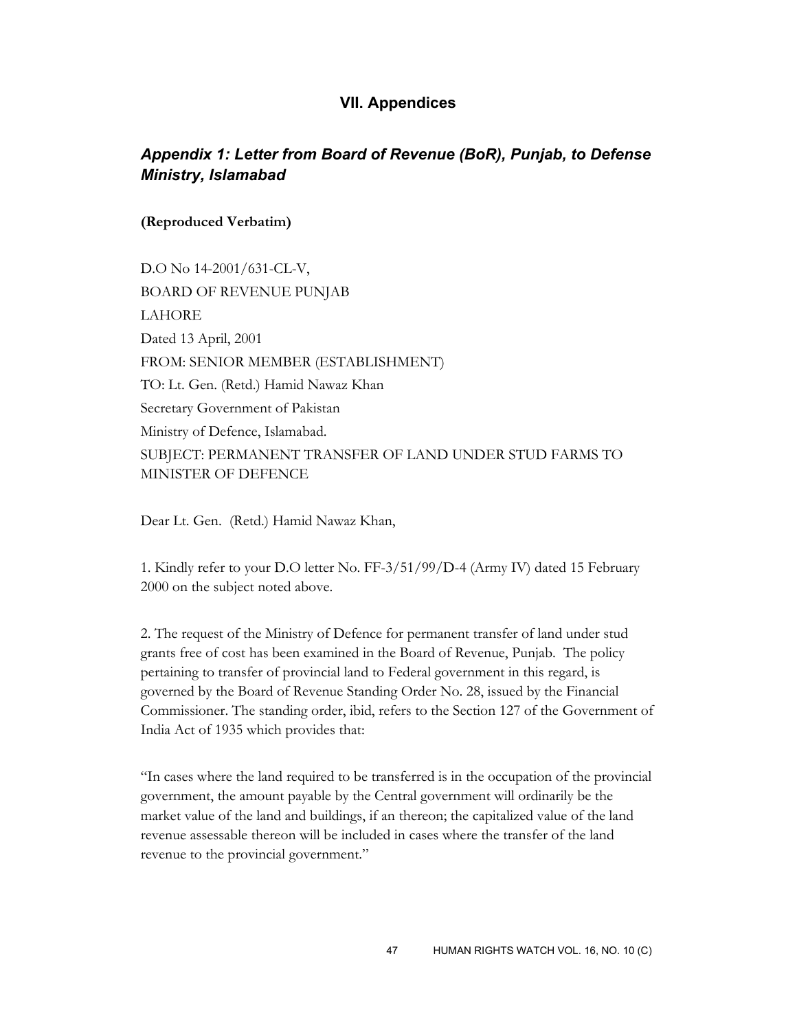## **VII. Appendices**

# *Appendix 1: Letter from Board of Revenue (BoR), Punjab, to Defense Ministry, Islamabad*

#### **(Reproduced Verbatim)**

D.O No 14-2001/631-CL-V, BOARD OF REVENUE PUNJAB LAHORE Dated 13 April, 2001 FROM: SENIOR MEMBER (ESTABLISHMENT) TO: Lt. Gen. (Retd.) Hamid Nawaz Khan Secretary Government of Pakistan Ministry of Defence, Islamabad. SUBJECT: PERMANENT TRANSFER OF LAND UNDER STUD FARMS TO MINISTER OF DEFENCE

Dear Lt. Gen. (Retd.) Hamid Nawaz Khan,

1. Kindly refer to your D.O letter No. FF-3/51/99/D-4 (Army IV) dated 15 February 2000 on the subject noted above.

2. The request of the Ministry of Defence for permanent transfer of land under stud grants free of cost has been examined in the Board of Revenue, Punjab. The policy pertaining to transfer of provincial land to Federal government in this regard, is governed by the Board of Revenue Standing Order No. 28, issued by the Financial Commissioner. The standing order, ibid, refers to the Section 127 of the Government of India Act of 1935 which provides that:

"In cases where the land required to be transferred is in the occupation of the provincial government, the amount payable by the Central government will ordinarily be the market value of the land and buildings, if an thereon; the capitalized value of the land revenue assessable thereon will be included in cases where the transfer of the land revenue to the provincial government."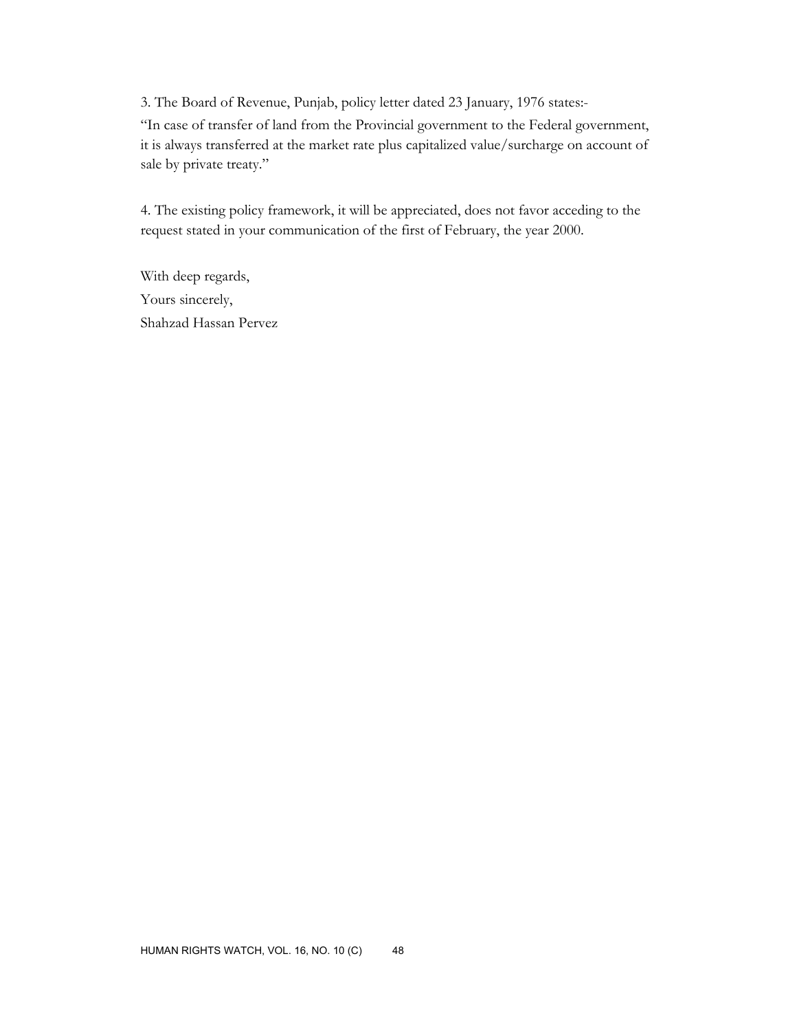3. The Board of Revenue, Punjab, policy letter dated 23 January, 1976 states:-

"In case of transfer of land from the Provincial government to the Federal government, it is always transferred at the market rate plus capitalized value/surcharge on account of sale by private treaty."

4. The existing policy framework, it will be appreciated, does not favor acceding to the request stated in your communication of the first of February, the year 2000.

With deep regards, Yours sincerely, Shahzad Hassan Pervez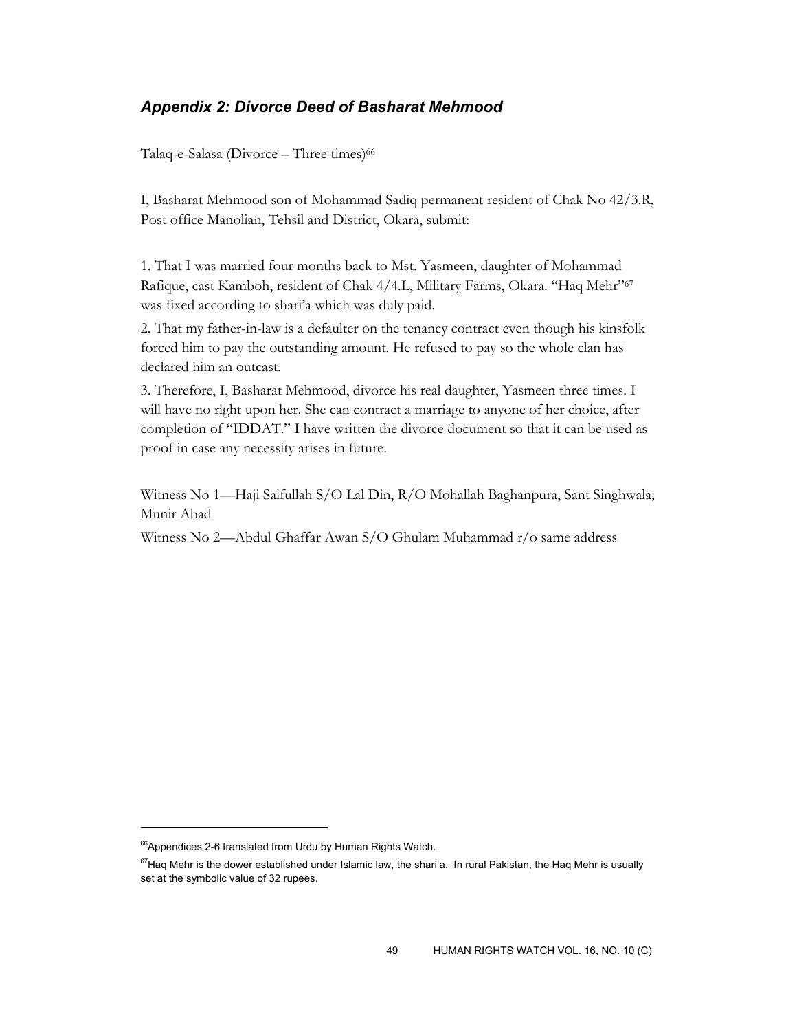# *Appendix 2: Divorce Deed of Basharat Mehmood*

Talaq-e-Salasa (Divorce – Three times)<sup>66</sup>

I, Basharat Mehmood son of Mohammad Sadiq permanent resident of Chak No 42/3.R, Post office Manolian, Tehsil and District, Okara, submit:

1. That I was married four months back to Mst. Yasmeen, daughter of Mohammad Rafique, cast Kamboh, resident of Chak 4/4.L, Military Farms, Okara. "Haq Mehr"<sup>67</sup> was fixed according to shari'a which was duly paid.

2. That my father-in-law is a defaulter on the tenancy contract even though his kinsfolk forced him to pay the outstanding amount. He refused to pay so the whole clan has declared him an outcast.

3. Therefore, I, Basharat Mehmood, divorce his real daughter, Yasmeen three times. I will have no right upon her. She can contract a marriage to anyone of her choice, after completion of "IDDAT." I have written the divorce document so that it can be used as proof in case any necessity arises in future.

Witness No 1—Haji Saifullah S/O Lal Din, R/O Mohallah Baghanpura, Sant Singhwala; Munir Abad

Witness No 2—Abdul Ghaffar Awan S/O Ghulam Muhammad r/o same address

 $66$ Appendices 2-6 translated from Urdu by Human Rights Watch.

 $67$ Haq Mehr is the dower established under Islamic law, the shari'a. In rural Pakistan, the Haq Mehr is usually set at the symbolic value of 32 rupees.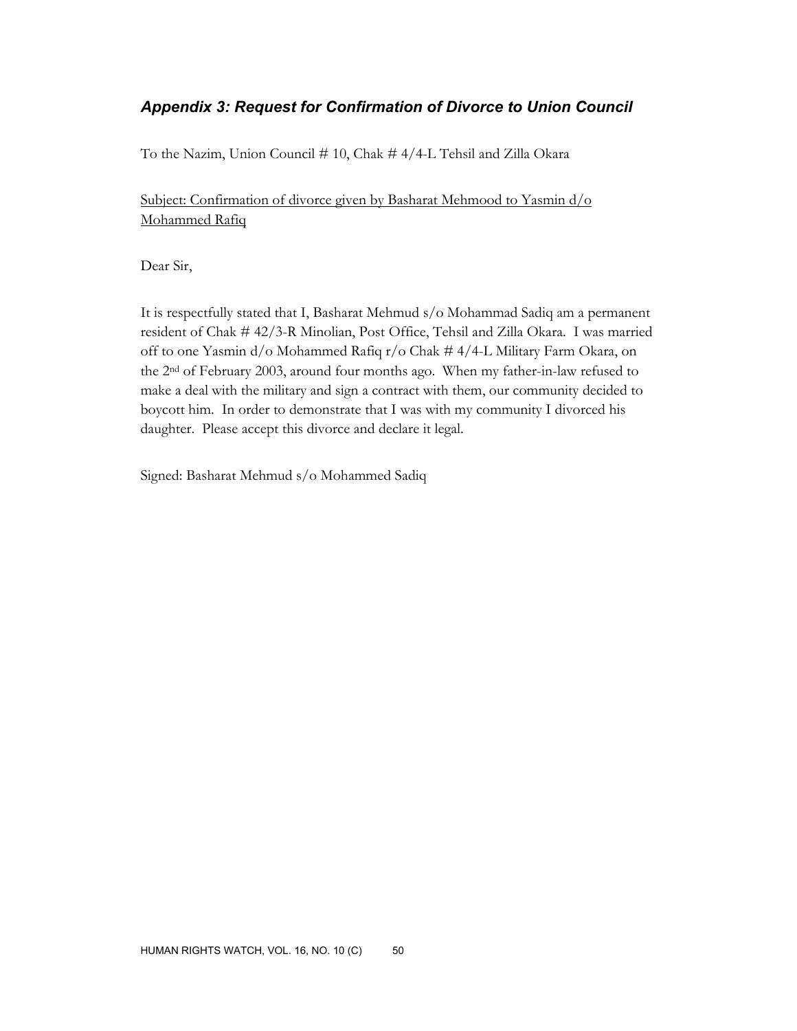# *Appendix 3: Request for Confirmation of Divorce to Union Council*

To the Nazim, Union Council # 10, Chak # 4/4-L Tehsil and Zilla Okara

Subject: Confirmation of divorce given by Basharat Mehmood to Yasmin d/o Mohammed Rafiq

Dear Sir,

It is respectfully stated that I, Basharat Mehmud s/o Mohammad Sadiq am a permanent resident of Chak # 42/3-R Minolian, Post Office, Tehsil and Zilla Okara. I was married off to one Yasmin d/o Mohammed Rafiq r/o Chak # 4/4-L Military Farm Okara, on the 2nd of February 2003, around four months ago. When my father-in-law refused to make a deal with the military and sign a contract with them, our community decided to boycott him. In order to demonstrate that I was with my community I divorced his daughter. Please accept this divorce and declare it legal.

Signed: Basharat Mehmud s/o Mohammed Sadiq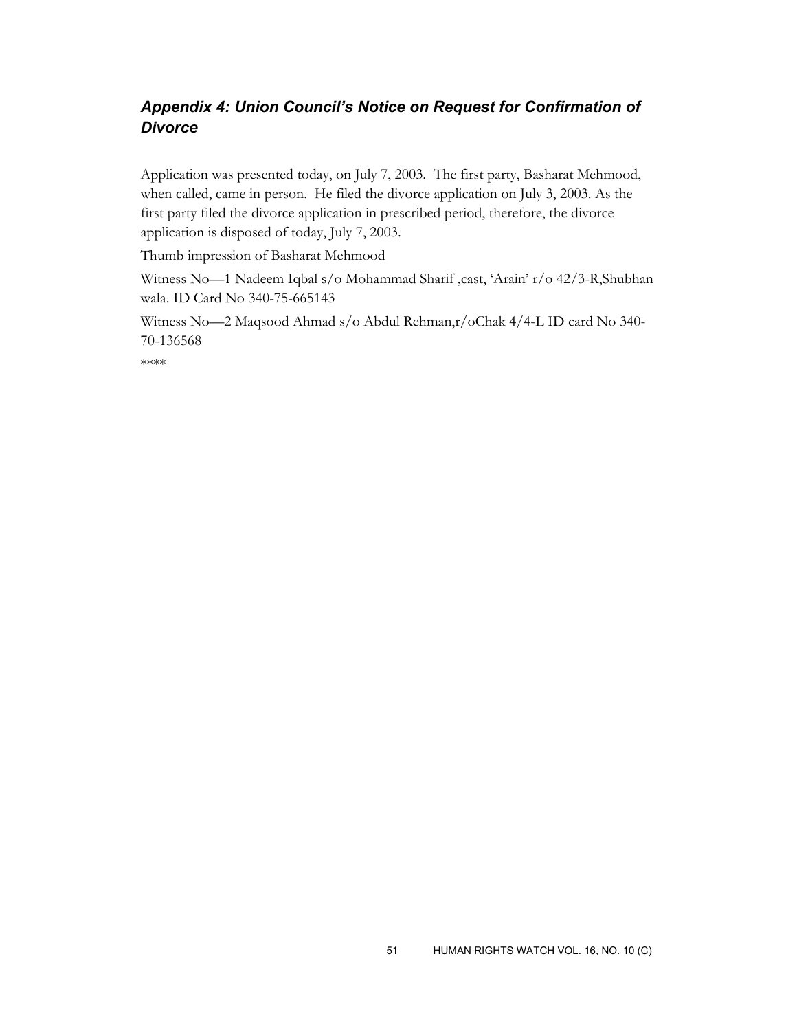# *Appendix 4: Union Council's Notice on Request for Confirmation of Divorce*

Application was presented today, on July 7, 2003. The first party, Basharat Mehmood, when called, came in person. He filed the divorce application on July 3, 2003. As the first party filed the divorce application in prescribed period, therefore, the divorce application is disposed of today, July 7, 2003.

Thumb impression of Basharat Mehmood

Witness No-1 Nadeem Iqbal s/o Mohammad Sharif ,cast, 'Arain' r/o 42/3-R,Shubhan wala. ID Card No 340-75-665143

Witness No—2 Maqsood Ahmad s/o Abdul Rehman,r/oChak 4/4-L ID card No 340- 70-136568

\*\*\*\*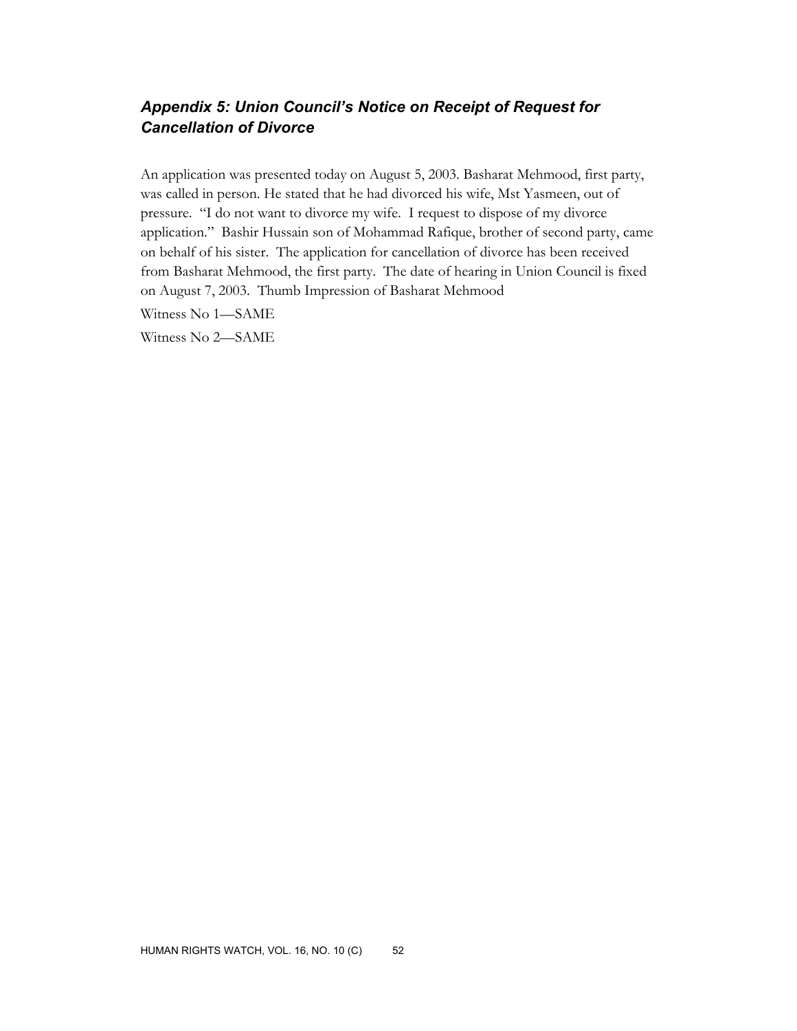# *Appendix 5: Union Council's Notice on Receipt of Request for Cancellation of Divorce*

An application was presented today on August 5, 2003. Basharat Mehmood, first party, was called in person. He stated that he had divorced his wife, Mst Yasmeen, out of pressure. "I do not want to divorce my wife. I request to dispose of my divorce application." Bashir Hussain son of Mohammad Rafique, brother of second party, came on behalf of his sister. The application for cancellation of divorce has been received from Basharat Mehmood, the first party. The date of hearing in Union Council is fixed on August 7, 2003. Thumb Impression of Basharat Mehmood

Witness No 1—SAME

Witness No 2—SAME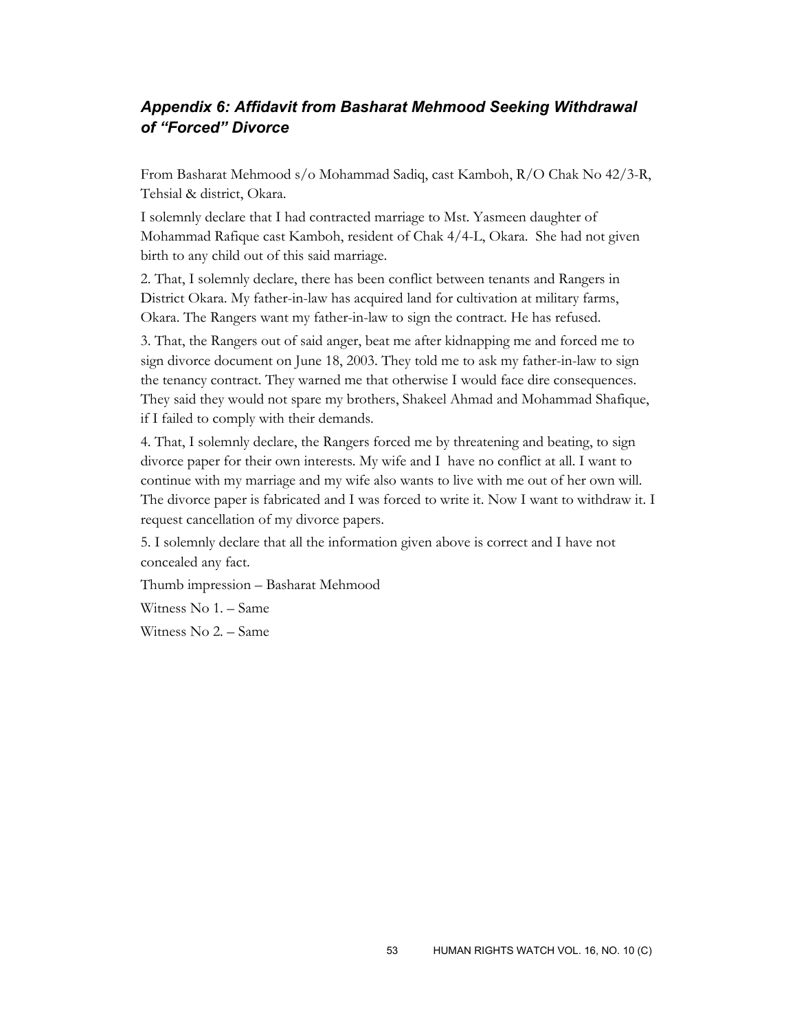# *Appendix 6: Affidavit from Basharat Mehmood Seeking Withdrawal of "Forced" Divorce*

From Basharat Mehmood s/o Mohammad Sadiq, cast Kamboh, R/O Chak No 42/3-R, Tehsial & district, Okara.

I solemnly declare that I had contracted marriage to Mst. Yasmeen daughter of Mohammad Rafique cast Kamboh, resident of Chak 4/4-L, Okara. She had not given birth to any child out of this said marriage.

2. That, I solemnly declare, there has been conflict between tenants and Rangers in District Okara. My father-in-law has acquired land for cultivation at military farms, Okara. The Rangers want my father-in-law to sign the contract. He has refused.

3. That, the Rangers out of said anger, beat me after kidnapping me and forced me to sign divorce document on June 18, 2003. They told me to ask my father-in-law to sign the tenancy contract. They warned me that otherwise I would face dire consequences. They said they would not spare my brothers, Shakeel Ahmad and Mohammad Shafique, if I failed to comply with their demands.

4. That, I solemnly declare, the Rangers forced me by threatening and beating, to sign divorce paper for their own interests. My wife and I have no conflict at all. I want to continue with my marriage and my wife also wants to live with me out of her own will. The divorce paper is fabricated and I was forced to write it. Now I want to withdraw it. I request cancellation of my divorce papers.

5. I solemnly declare that all the information given above is correct and I have not concealed any fact.

Thumb impression – Basharat Mehmood

Witness No 1. – Same

Witness No 2. – Same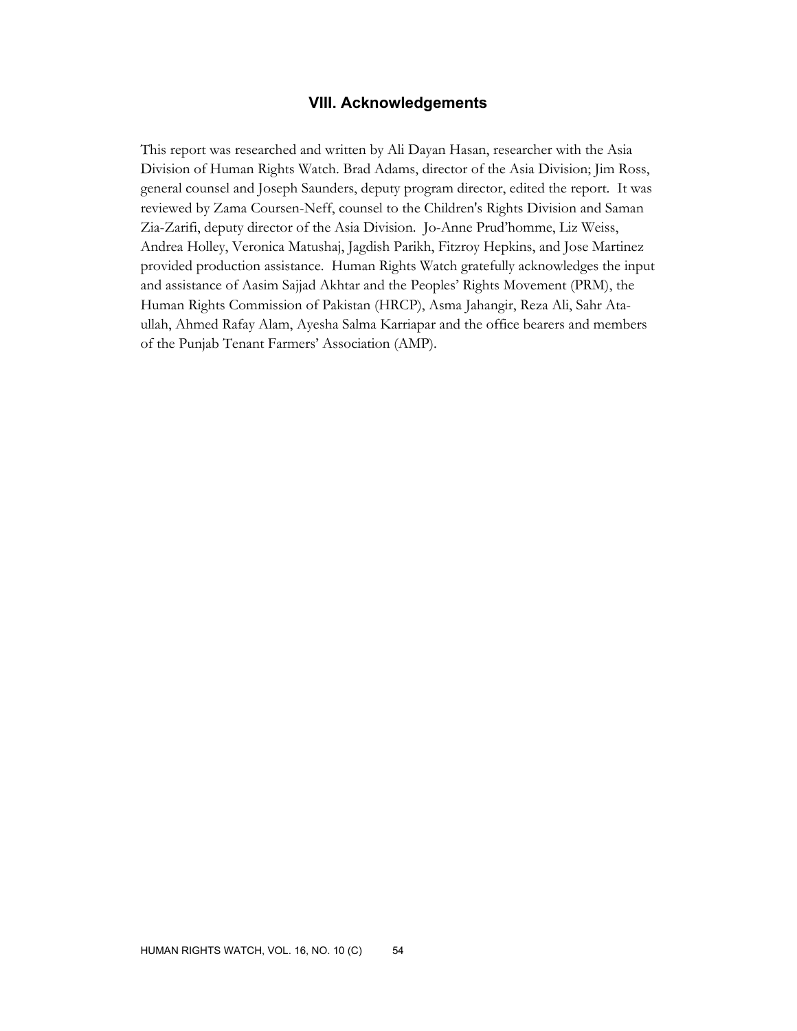## **VIII. Acknowledgements**

This report was researched and written by Ali Dayan Hasan, researcher with the Asia Division of Human Rights Watch. Brad Adams, director of the Asia Division; Jim Ross, general counsel and Joseph Saunders, deputy program director, edited the report. It was reviewed by Zama Coursen-Neff, counsel to the Children's Rights Division and Saman Zia-Zarifi, deputy director of the Asia Division. Jo-Anne Prud'homme, Liz Weiss, Andrea Holley, Veronica Matushaj, Jagdish Parikh, Fitzroy Hepkins, and Jose Martinez provided production assistance. Human Rights Watch gratefully acknowledges the input and assistance of Aasim Sajjad Akhtar and the Peoples' Rights Movement (PRM), the Human Rights Commission of Pakistan (HRCP), Asma Jahangir, Reza Ali, Sahr Ataullah, Ahmed Rafay Alam, Ayesha Salma Karriapar and the office bearers and members of the Punjab Tenant Farmers' Association (AMP).